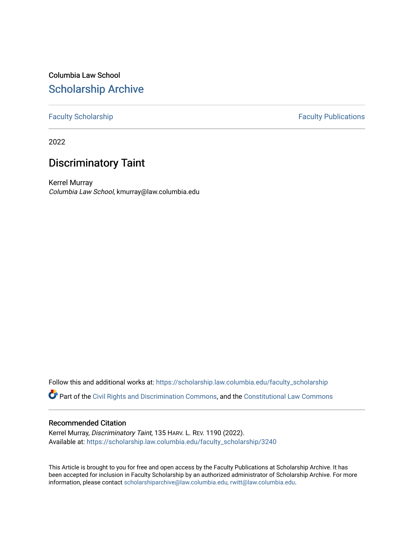# Columbia Law School [Scholarship Archive](https://scholarship.law.columbia.edu/)

# [Faculty Scholarship](https://scholarship.law.columbia.edu/faculty_scholarship) **Faculty Publications**

2022

# Discriminatory Taint

Kerrel Murray Columbia Law School, kmurray@law.columbia.edu

Follow this and additional works at: [https://scholarship.law.columbia.edu/faculty\\_scholarship](https://scholarship.law.columbia.edu/faculty_scholarship?utm_source=scholarship.law.columbia.edu%2Ffaculty_scholarship%2F3240&utm_medium=PDF&utm_campaign=PDFCoverPages)

Part of the [Civil Rights and Discrimination Commons,](http://network.bepress.com/hgg/discipline/585?utm_source=scholarship.law.columbia.edu%2Ffaculty_scholarship%2F3240&utm_medium=PDF&utm_campaign=PDFCoverPages) and the [Constitutional Law Commons](http://network.bepress.com/hgg/discipline/589?utm_source=scholarship.law.columbia.edu%2Ffaculty_scholarship%2F3240&utm_medium=PDF&utm_campaign=PDFCoverPages)

## Recommended Citation

Kerrel Murray, Discriminatory Taint, 135 HARV. L. REV. 1190 (2022). Available at: [https://scholarship.law.columbia.edu/faculty\\_scholarship/3240](https://scholarship.law.columbia.edu/faculty_scholarship/3240?utm_source=scholarship.law.columbia.edu%2Ffaculty_scholarship%2F3240&utm_medium=PDF&utm_campaign=PDFCoverPages)

This Article is brought to you for free and open access by the Faculty Publications at Scholarship Archive. It has been accepted for inclusion in Faculty Scholarship by an authorized administrator of Scholarship Archive. For more information, please contact [scholarshiparchive@law.columbia.edu, rwitt@law.columbia.edu](mailto:scholarshiparchive@law.columbia.edu,%20rwitt@law.columbia.edu).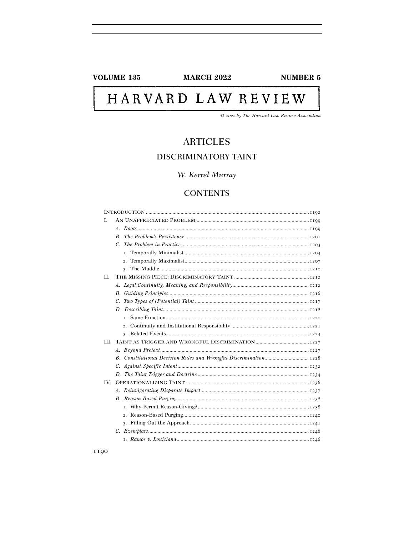## **VOLUME 135**

**MARCH 2022** 

**NUMBER 5** 

# HARVARD LAW REVIEW

 $\odot$  2022 by The Harvard Law Review Association

# **ARTICLES** DISCRIMINATORY TAINT

# W. Kerrel Murray

# **CONTENTS**

| L    |    |
|------|----|
|      |    |
|      |    |
|      |    |
|      | Ι. |
|      | 2. |
|      |    |
| H.   |    |
|      |    |
|      |    |
|      |    |
|      |    |
|      |    |
|      |    |
|      |    |
| III. |    |
|      |    |
|      |    |
|      |    |
|      |    |
| IV.  |    |
|      |    |
|      |    |
|      |    |
|      |    |
|      |    |
|      |    |
|      |    |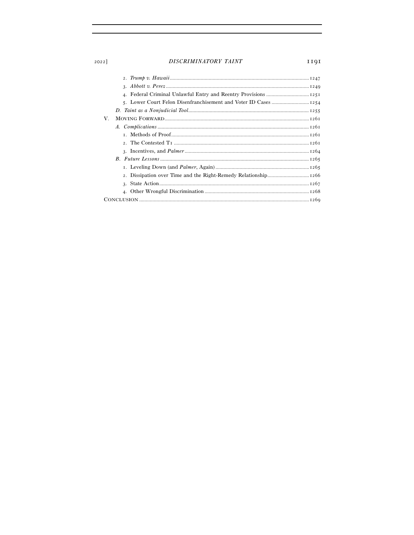## DISCRIMINATORY TAINT

1191

| V. |    |
|----|----|
|    |    |
|    |    |
|    |    |
|    |    |
|    |    |
|    |    |
|    |    |
|    |    |
|    | 4. |
|    |    |

2022]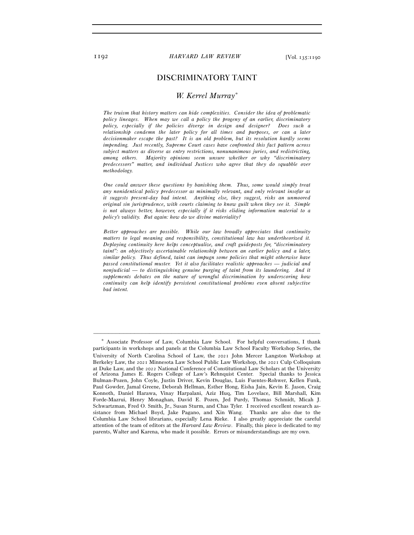## DISCRIMINATORY TAINT

#### *W. Kerrel Murray\**

 *The truism that history matters can hide complexities. Consider the idea of problematic policy lineages. When may we call a policy the progeny of an earlier, discriminatory policy, especially if the policies diverge in design and designer? Does such a relationship condemn the later policy for all times and purposes, or can a later decisionmaker escape the past? It is an old problem, but its resolution hardly seems impending. Just recently, Supreme Court cases have confronted this fact pattern across subject matters as diverse as entry restrictions, nonunanimous juries, and redistricting, among others. Majority opinions seem unsure whether or why "discriminatory predecessors" matter, and individual Justices who agree that they do squabble over methodology.* 

 *One could answer these questions by banishing them. Thus, some would simply treat any nonidentical policy predecessor as minimally relevant, and only relevant insofar as it suggests present-day bad intent. Anything else, they suggest, risks an unmoored original sin jurisprudence, with courts claiming to know guilt when they see it. Simple is not always better, however, especially if it risks eliding information material to a policy's validity. But again: how do we divine materiality?* 

 *Better approaches are possible. While our law broadly appreciates that continuity matters to legal meaning and responsibility, constitutional law has undertheorized it. Deploying continuity here helps conceptualize, and craft guideposts for, "discriminatory taint": an objectively ascertainable relationship between an earlier policy and a later, similar policy. Thus defined, taint can impugn some policies that might otherwise have passed constitutional muster. Yet it also facilitates realistic approaches — judicial and nonjudicial — to distinguishing genuine purging of taint from its laundering. And it supplements debates on the nature of wrongful discrimination by underscoring how continuity can help identify persistent constitutional problems even absent subjective bad intent.* 

<sup>\*</sup> Associate Professor of Law, Columbia Law School. For helpful conversations, I thank participants in workshops and panels at the Columbia Law School Faculty Workshop Series, the University of North Carolina School of Law, the 2021 John Mercer Langston Workshop at Berkeley Law, the 2021 Minnesota Law School Public Law Workshop, the 2021 Culp Colloquium at Duke Law, and the 2022 National Conference of Constitutional Law Scholars at the University of Arizona James E. Rogers College of Law's Rehnquist Center. Special thanks to Jessica Bulman-Pozen, John Coyle, Justin Driver, Kevin Douglas, Luis Fuentes-Rohwer, Kellen Funk, Paul Gowder, Jamal Greene, Deborah Hellman, Esther Hong, Eisha Jain, Kevin E. Jason, Craig Konnoth, Daniel Harawa, Vinay Harpalani, Aziz Huq, Tim Lovelace, Bill Marshall, Kim Forde-Mazrui, Henry Monaghan, David E. Pozen, Jed Purdy, Thomas Schmidt, Micah J. Schwartzman, Fred O. Smith, Jr., Susan Sturm, and Chas Tyler. I received excellent research assistance from Michael Boyd, Jake Pagano, and Xin Wang. Thanks are also due to the Columbia Law School librarians, especially Lena Rieke. I also greatly appreciate the careful attention of the team of editors at the *Harvard Law Review*. Finally, this piece is dedicated to my parents, Walter and Karena, who made it possible. Errors or misunderstandings are my own.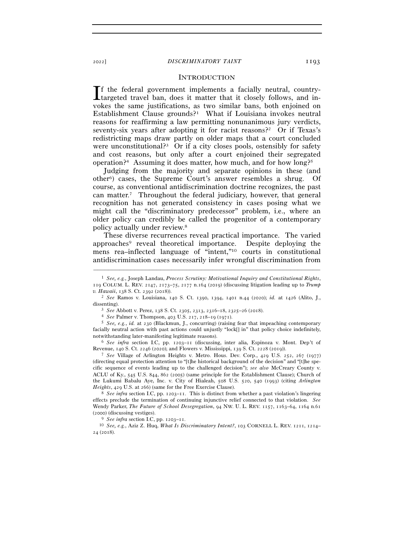#### <sup>2022</sup>] *DISCRIMINATORY TAINT* 1193

#### **INTRODUCTION**

f the federal government implements a facially neutral, country-If the federal government implements a facially neutral, country-<br>targeted travel ban, does it matter that it closely follows, and invokes the same justifications, as two similar bans, both enjoined on Establishment Clause grounds?<sup>1</sup> What if Louisiana invokes neutral reasons for reaffirming a law permitting nonunanimous jury verdicts, seventy-six years after adopting it for racist reasons?<sup>2</sup> Or if Texas's redistricting maps draw partly on older maps that a court concluded were unconstitutional?<sup>3</sup> Or if a city closes pools, ostensibly for safety and cost reasons, but only after a court enjoined their segregated operation?<sup>4</sup> Assuming it does matter, how much, and for how long?<sup>5</sup>

Judging from the majority and separate opinions in these (and other6) cases, the Supreme Court's answer resembles a shrug. Of course, as conventional antidiscrimination doctrine recognizes, the past can matter.7 Throughout the federal judiciary, however, that general recognition has not generated consistency in cases posing what we might call the "discriminatory predecessor" problem, i.e., where an older policy can credibly be called the progenitor of a contemporary policy actually under review.8

These diverse recurrences reveal practical importance. The varied approaches9 reveal theoretical importance. Despite deploying the mens rea–inflected language of "intent,"10 courts in constitutional antidiscrimination cases necessarily infer wrongful discrimination from

<sup>1</sup> *See, e.g.*, Joseph Landau, *Process Scrutiny: Motivational Inquiry and Constitutional Rights*, 119 COLUM. L. REV. 2147, 2173–75, 2177 n.164 (2019) (discussing litigation leading up to *Trump v. Hawaii*, 138 S. Ct. 2392 (<sup>2018</sup>)). 2 *See* Ramos v. Louisiana, 140 S. Ct. 1390, 1394, 1401 n.44 (2020); *id.* at 1426 (Alito, J.,

dissenting).<br>
<sup>3</sup> See Abbott v. Perez, 138 S. Ct. 2305, 2313, 2316–18, 2325–26 (2018).<br>
<sup>4</sup> See Palmer v. Thompson, 403 U.S. 217, 218–19 (1971).<br>
<sup>5</sup> See, e.g., *id.* at 230 (Blackmun, J., concurring) (raising fear that im

facially neutral action with past actions could unjustly "lock[] in" that policy choice indefinitely, notwithstanding later-manifesting legitimate reasons). 6 *See infra* section I.C, pp. 1203–11 (discussing, inter alia, Espinoza v. Mont. Dep't of

Revenue, 140 S. Ct. 2246 (2020); and Flowers v. Mississippi, 139 S. Ct. 2228 (<sup>2019</sup>)). 7 *See* Village of Arlington Heights v. Metro. Hous. Dev. Corp., 429 U.S. 252, 267 (1977)

<sup>(</sup>directing equal protection attention to "[t]he historical background of the decision" and "[t]he specific sequence of events leading up to the challenged decision"); *see also* McCreary County v. ACLU of Ky., 545 U.S. 844, 862 (2005) (same principle for the Establishment Clause); Church of the Lukumi Babalu Aye, Inc. v. City of Hialeah, 508 U.S. 520, 540 (1993) (citing *Arlington Heights*, 429 U.S. at <sup>266</sup>) (same for the Free Exercise Clause). 8 *See infra* section I.C, pp. 1203–11. This is distinct from whether a past violation's lingering

effects preclude the termination of continuing injunctive relief connected to that violation. *See* Wendy Parker, *The Future of School Desegregation*, 94 NW. U. L. REV. 1157, 1163–64, 1164 n.61 (2000) (discussing vestiges).

<sup>9</sup> *See infra* section I.C, pp. 1203–<sup>11</sup>. 10 *See, e.g.*, Aziz Z. Huq, *What Is Discriminatory Intent?*, 103 CORNELL L. REV. 1211, 1214– 24 (2018).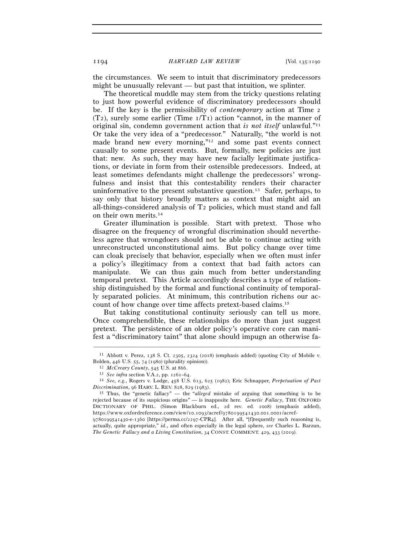the circumstances. We seem to intuit that discriminatory predecessors might be unusually relevant — but past that intuition, we splinter.

The theoretical muddle may stem from the tricky questions relating to just how powerful evidence of discriminatory predecessors should be. If the key is the permissibility of *contemporary* action at Time 2  $(T_2)$ , surely some earlier (Time  $T_1/T_1$ ) action "cannot, in the manner of original sin, condemn government action that *is not itself* unlawful."11 Or take the very idea of a "predecessor." Naturally, "the world is not made brand new every morning,"12 and some past events connect causally to some present events. But, formally, new policies are just that: new. As such, they may have new facially legitimate justifications, or deviate in form from their ostensible predecessors. Indeed, at least sometimes defendants might challenge the predecessors' wrongfulness and insist that this contestability renders their character uninformative to the present substantive question.13 Safer, perhaps, to say only that history broadly matters as context that might aid an all-things-considered analysis of T2 policies, which must stand and fall on their own merits.14

Greater illumination is possible. Start with pretext. Those who disagree on the frequency of wrongful discrimination should nevertheless agree that wrongdoers should not be able to continue acting with unreconstructed unconstitutional aims. But policy change over time can cloak precisely that behavior, especially when we often must infer a policy's illegitimacy from a context that bad faith actors can manipulate. We can thus gain much from better understanding temporal pretext. This Article accordingly describes a type of relationship distinguished by the formal and functional continuity of temporally separated policies. At minimum, this contribution richens our account of how change over time affects pretext-based claims.15

But taking constitutional continuity seriously can tell us more. Once comprehendible, these relationships do more than just suggest pretext. The persistence of an older policy's operative core can manifest a "discriminatory taint" that alone should impugn an otherwise fa-

<sup>–––––––––––––––––––––––––––––––––––––––––––––––––––––––––––––</sup> <sup>11</sup> Abbott v. Perez, 138 S. Ct. 2305, 2324 (2018) (emphasis added) (quoting City of Mobile v. Bolden, 446 U.S. 55, 74 (1980) (plurality opinion)).<br>
<sup>12</sup> *McCreary County*, 545 U.S. at 866.<br>
<sup>13</sup> *See infra* section V.A.2, pp. 1261–64.<br>
<sup>14</sup> *See, e.g.*, Rogers v. Lodge, 458 U.S. 613, 625 (1982); Eric Schnapper, *Pe* 

*Discrimination*, 96 HARV. L. REV. 828, 829 (<sup>1983</sup>). 15 Thus, the "genetic fallacy" — the "*alleged* mistake of arguing that something is to be

rejected because of its suspicious origins" — is inapposite here. *Genetic Fallacy*, THE OXFORD DICTIONARY OF PHIL. (Simon Blackburn ed., 2d rev. ed. 2008) (emphasis added), https://www.oxfordreference.com/view/10.1093/acref/9780199541430.001.0001/acref-

<sup>9780199541430</sup>-e-1360 [https://perma.cc/2297-CPR4]. After all, "[f]requently such reasoning is, actually, quite appropriate," *id.*, and often especially in the legal sphere, *see* Charles L. Barzun, *The Genetic Fallacy and a Living Constitution*, 34 CONST. COMMENT. 429, 433 (2019).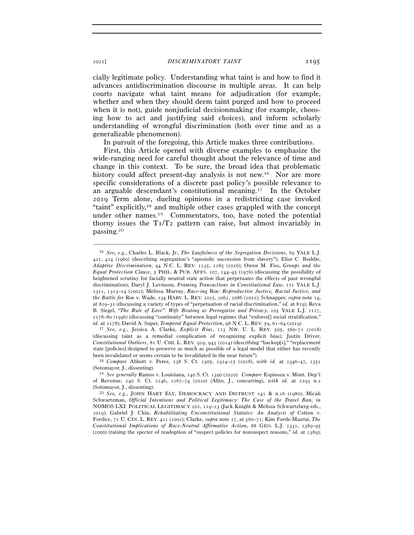<sup>2022</sup>] *DISCRIMINATORY TAINT* 1195

cially legitimate policy. Understanding what taint is and how to find it advances antidiscrimination discourse in multiple areas. It can help courts navigate what taint means for adjudication (for example, whether and when they should deem taint purged and how to proceed when it is not), guide nonjudicial decisionmaking (for example, choosing how to act and justifying said choices), and inform scholarly understanding of wrongful discrimination (both over time and as a generalizable phenomenon).

In pursuit of the foregoing, this Article makes three contributions.

First, this Article opened with diverse examples to emphasize the wide-ranging need for careful thought about the relevance of time and change in this context. To be sure, the broad idea that problematic history could affect present-day analysis is not new.<sup>16</sup> Nor are more specific considerations of a discrete past policy's possible relevance to an arguable descendant's constitutional meaning.17 In the October 2019 Term alone, dueling opinions in a redistricting case invoked "taint" explicitly,18 and multiple other cases grappled with the concept under other names.19 Commentators, too, have noted the potential thorny issues the  $T_I/T_2$  pattern can raise, but almost invariably in passing.20

–––––––––––––––––––––––––––––––––––––––––––––––––––––––––––––

(discussing taint as a remedial complication of recognizing explicit bias); Justin Driver, *Constitutional Outliers*, 81 U. CHI. L. REV. 929, 943 (2014) (describing "backup[s]," "replacement state [policies] designed to preserve as much as possible of a legal model that either has recently been invalidated or seems certain to be invalidated in the near future"). 18 *Compare* Abbott v. Perez, 138 S. Ct. 2305, 2324–25 (2018), *with id.* at 2346–47, <sup>2352</sup>

(Sotomayor, J., dissenting). 19 *See generally* Ramos v. Louisiana, 140 S. Ct. 1390 (2020). *Compare* Espinoza v. Mont. Dep't

<sup>16</sup> *See, e.g.*, Charles L. Black, Jr., *The Lawfulness of the Segregation Decisions*, 69 YALE L.J. 421, 424 (1960) (describing segregation's "apostolic succession from slavery"); Elise C. Boddie, *Adaptive Discrimination*, 94 N.C. L. REV. 1235, 1285 (2016); Owen M. Fiss, *Groups and the Equal Protection Clause*, 5 PHIL. & PUB. AFFS. 107, 144–45 (1976) (discussing the possibility of heightened scrutiny for facially neutral state action that perpetuates the effects of past wrongful discrimination); Daryl J. Levinson, *Framing Transactions in Constitutional Law*, 111 YALE L.J. 1311, 1313–14 (2002); Melissa Murray, *Race-ing* Roe*: Reproductive Justice, Racial Justice, and the Battle for* Roe v. Wade, 134 HARV. L. REV. 2025, 2062, 2086 (2021); Schnapper, *supra* note 14, at 829–31 (discussing a variety of types of "perpetuation of racial discrimination," *id.* at 829); Reva B. Siegel, *"The Rule of Love": Wife Beating as Prerogative and Privacy*, 105 YALE L.J. 2117, 2178–80 (1996) (discussing "continuity" between legal regimes that "enforce[] social stratification," *id.* at 2178); David A. Super, *Temporal Equal Protection*, 98 N.C. L. REV. 59, 61–64 (<sup>2019</sup>). 17 *See, e.g.*, Jessica A. Clarke, *Explicit Bias*, 113 NW. U. L. REV. 505, 560–71 (2018)

of Revenue, 140 S. Ct. 2246, 2267–74 (2020) (Alito, J., concurring), *with id.* at 2293 n.2

<sup>&</sup>lt;sup>20</sup> See, e.g., JOHN HART ELY, DEMOCRACY AND DISTRUST 141 & n.26 (1980); Micah Schwartzman, *Official Intentions and Political Legitimacy: The Case of the Travel Ban*, *in* NOMOS LXI: POLITICAL LEGITIMACY 201, 219–23 (Jack Knight & Melissa Schwartzberg eds., 2019); Gabriel J. Chin, *Rehabilitating Unconstitutional Statutes: An Analysis of* Cotton v. Fordice, 71 U. CIN. L. REV. 421 (2002); Clarke, *supra* note 17, at 560–71; Kim Forde-Mazrui, *The Constitutional Implications of Race-Neutral Affirmative Action*, 88 GEO. L.J. 2331, 2389–95 (2000) (raising the specter of readoption of "suspect policies for nonsuspect reasons," *id.* at 2389);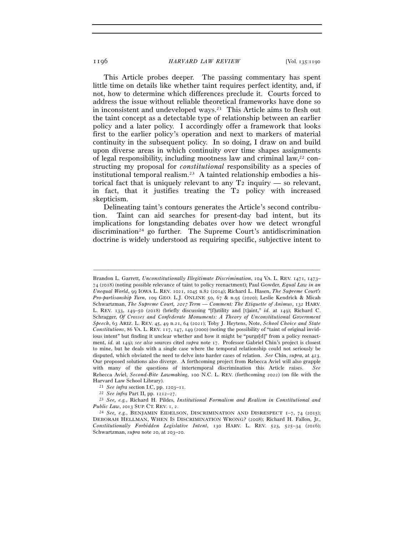This Article probes deeper. The passing commentary has spent little time on details like whether taint requires perfect identity, and, if not, how to determine which differences preclude it. Courts forced to address the issue without reliable theoretical frameworks have done so in inconsistent and undeveloped ways.<sup>21</sup> This Article aims to flesh out the taint concept as a detectable type of relationship between an earlier policy and a later policy. I accordingly offer a framework that looks first to the earlier policy's operation and next to markers of material continuity in the subsequent policy. In so doing, I draw on and build upon diverse areas in which continuity over time shapes assignments of legal responsibility, including mootness law and criminal  $law^{22}$  constructing my proposal for *constitutional* responsibility as a species of institutional temporal realism.23 A tainted relationship embodies a historical fact that is uniquely relevant to any  $T_2$  inquiry — so relevant, in fact, that it justifies treating the T2 policy with increased skepticism.

Delineating taint's contours generates the Article's second contribution. Taint can aid searches for present-day bad intent, but its implications for longstanding debates over how we detect wrongful discrimination24 go further. The Supreme Court's antidiscrimination doctrine is widely understood as requiring specific, subjective intent to

Brandon L. Garrett, *Unconstitutionally Illegitimate Discrimination*, 104 VA. L. REV. 1471, 1473– 74 (2018) (noting possible relevance of taint to policy reenactment); Paul Gowder, *Equal Law in an Unequal World*, 99 IOWA L. REV. 1021, 1045 n.82 (2014); Richard L. Hasen, *The Supreme Court's Pro-partisanship Turn*, 109 GEO. L.J. ONLINE 50, 67 & n.95 (2020); Leslie Kendrick & Micah Schwartzman, *The Supreme Court,* 2017 *Term — Comment: The Etiquette of Animus*, 132 HARV. L. REV. 133, 149–50 (2018) (briefly discussing "[f]utility and [t]aint," *id.* at 149); Richard C. Schragger, *Of Crosses and Confederate Monuments: A Theory of Unconstitutional Government Speech*, 63 ARIZ. L. REV. 45, 49 n.21, 64 (2021); Toby J. Heytens, Note, *School Choice and State Constitutions*, 86 VA. L. REV. 117, 147, 149 (2000) (noting the possibility of "taint of original invidious intent" but finding it unclear whether and how it might be "purge[d]" from a policy reenactment, *id.* at 149); *see also* sources cited *supra* note 17. Professor Gabriel Chin's project is closest to mine, but he deals with a single case where the temporal relationship could not seriously be disputed, which obviated the need to delve into harder cases of relation. *See* Chin, *supra*, at 423. Our proposed solutions also diverge. A forthcoming project from Rebecca Aviel will also grapple with many of the questions of intertemporal discrimination this Article raises. *See* Rebecca Aviel, *Second-Bite Lawmaking*, 100 N.C. L. REV. (forthcoming 2022) (on file with the Harvard Law School Library).<br>
<sup>21</sup> See infra section I.C, pp. 1203–11.<br>
<sup>22</sup> See infra Part II, pp. 1212–27.<br>
<sup>23</sup> See, e.g., Richard H. Pildes, *Institutional Formalism and Realism in Constitutional and* 

*Public Law*, 2013 SUP. CT. REV. 1, 2.<br><sup>24</sup> *See, e.g.*, BENJAMIN EIDELSON, DISCRIMINATION AND DISRESPECT 1–7, 74 (2015); DEBORAH HELLMAN, WHEN IS DISCRIMINATION WRONG? (2008); Richard H. Fallon, Jr., *Constitutionally Forbidden Legislative Intent*, 130 HARV. L. REV. 523, 525–34 (2016); Schwartzman, *supra* note 20, at 203–20.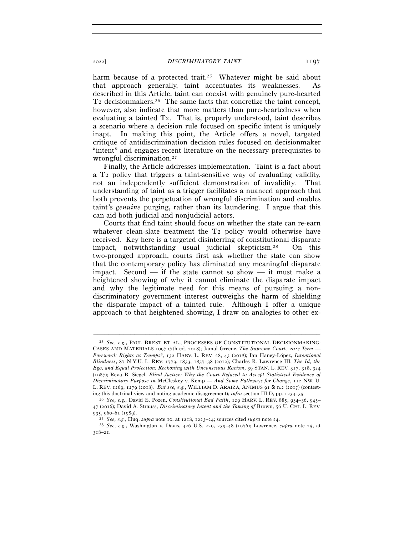harm because of a protected trait.<sup>25</sup> Whatever might be said about that approach generally, taint accentuates its weaknesses. As described in this Article, taint can coexist with genuinely pure-hearted T2 decisionmakers.26 The same facts that concretize the taint concept, however, also indicate that more matters than pure-heartedness when evaluating a tainted T2. That is, properly understood, taint describes a scenario where a decision rule focused on specific intent is uniquely inapt. In making this point, the Article offers a novel, targeted critique of antidiscrimination decision rules focused on decisionmaker "intent" and engages recent literature on the necessary prerequisites to wrongful discrimination.27

Finally, the Article addresses implementation. Taint is a fact about a T2 policy that triggers a taint-sensitive way of evaluating validity, not an independently sufficient demonstration of invalidity. That understanding of taint as a trigger facilitates a nuanced approach that both prevents the perpetuation of wrongful discrimination and enables taint's *genuine* purging, rather than its laundering. I argue that this can aid both judicial and nonjudicial actors.

Courts that find taint should focus on whether the state can re-earn whatever clean-slate treatment the T<sub>2</sub> policy would otherwise have received. Key here is a targeted disinterring of constitutional disparate impact, notwithstanding usual judicial skepticism.28 On this two-pronged approach, courts first ask whether the state can show that the contemporary policy has eliminated any meaningful disparate impact. Second — if the state cannot so show — it must make a heightened showing of why it cannot eliminate the disparate impact and why the legitimate need for this means of pursuing a nondiscriminatory government interest outweighs the harm of shielding the disparate impact of a tainted rule. Although I offer a unique approach to that heightened showing, I draw on analogies to other ex-

<sup>25</sup> *See, e.g.*, PAUL BREST ET AL., PROCESSES OF CONSTITUTIONAL DECISIONMAKING: CASES AND MATERIALS 1097 (7th ed. 2018); Jamal Greene, *The Supreme Court,* 2017 *Term — Foreword: Rights as Trumps?*, 132 HARV. L. REV. 28, 43 (2018); Ian Haney-López, *Intentional Blindness*, 87 N.Y.U. L. REV. 1779, 1833, 1837–38 (2012); Charles R. Lawrence III, *The Id, the Ego, and Equal Protection: Reckoning with Unconscious Racism*, 39 STAN. L. REV. 317, 318, 324 (1987); Reva B. Siegel, *Blind Justice: Why the Court Refused to Accept Statistical Evidence of Discriminatory Purpose in* McCleskey v. Kemp *— And Some Pathways for Change*, 112 NW. U. L. REV. 1269, 1279 (2018). *But see, e.g.*, WILLIAM D. ARAIZA, ANIMUS 91 & n.2 (2017) (contesting this doctrinal view and noting academic disagreement); *infra* section III.D, pp. 1234–35*.* 

<sup>26</sup> *See, e.g.*, David E. Pozen, *Constitutional Bad Faith*, 129 HARV. L. REV. 885, 934–36, 945– 47 (2016); David A. Strauss, *Discriminatory Intent and the Taming of* Brown, 56 U. CHI. L. REV.

<sup>935, 960–61 (1989).&</sup>lt;br><sup>27</sup> *See, e.g.*, Huq, *supra* note 10, at 1218, 1223–24; sources cited *supra* note 24.<br><sup>28</sup> *See, e.g.*, Washington v. Davis, 426 U.S. 229, 239–48 (1976); Lawrence, *supra* note 25, at 318–21.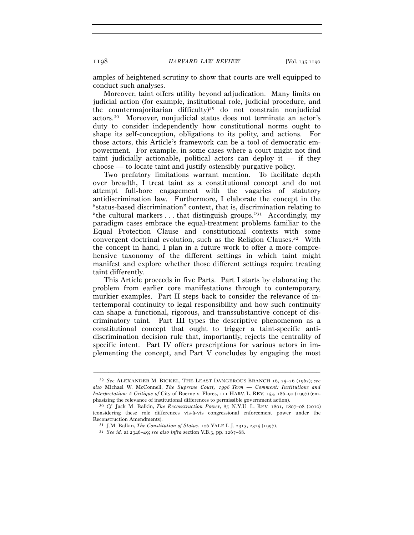amples of heightened scrutiny to show that courts are well equipped to conduct such analyses.

Moreover, taint offers utility beyond adjudication. Many limits on judicial action (for example, institutional role, judicial procedure, and the countermajoritarian difficulty)29 do not constrain nonjudicial actors.30 Moreover, nonjudicial status does not terminate an actor's duty to consider independently how constitutional norms ought to shape its self-conception, obligations to its polity, and actions. For those actors, this Article's framework can be a tool of democratic empowerment. For example, in some cases where a court might not find taint judicially actionable, political actors can deploy it  $-$  if they choose — to locate taint and justify ostensibly purgative policy.

Two prefatory limitations warrant mention. To facilitate depth over breadth, I treat taint as a constitutional concept and do not attempt full-bore engagement with the vagaries of statutory antidiscrimination law. Furthermore, I elaborate the concept in the "status-based discrimination" context, that is, discrimination relating to "the cultural markers  $\dots$  that distinguish groups."<sup>31</sup> Accordingly, my paradigm cases embrace the equal-treatment problems familiar to the Equal Protection Clause and constitutional contexts with some convergent doctrinal evolution, such as the Religion Clauses.32 With the concept in hand, I plan in a future work to offer a more comprehensive taxonomy of the different settings in which taint might manifest and explore whether those different settings require treating taint differently.

This Article proceeds in five Parts. Part I starts by elaborating the problem from earlier core manifestations through to contemporary, murkier examples. Part II steps back to consider the relevance of intertemporal continuity to legal responsibility and how such continuity can shape a functional, rigorous, and transsubstantive concept of discriminatory taint. Part III types the descriptive phenomenon as a constitutional concept that ought to trigger a taint-specific antidiscrimination decision rule that, importantly, rejects the centrality of specific intent. Part IV offers prescriptions for various actors in implementing the concept, and Part V concludes by engaging the most

<sup>29</sup> *See* ALEXANDER M. BICKEL, THE LEAST DANGEROUS BRANCH 16, 25–26 (1962); *see also* Michael W. McConnell, *The Supreme Court,* 1996 *Term* — *Comment: Institutions and Interpretation: A Critique of* City of Boerne v. Flores, 111 HARV. L. REV. 153, 186–90 (1997) (emphasizing the relevance of institutional differences to permissible government action). 30 *Cf.* Jack M. Balkin, *The Reconstruction Power*, 85 N.Y.U. L. REV. 1801, 1807–08 (2010)

<sup>(</sup>considering these role differences vis-à-vis congressional enforcement power under the Reconstruction Amendments). 31 J.M. Balkin, *The Constitution of Status*, 106 YALE L.J. 2313, 2325 (<sup>1997</sup>). 32 *See id.* at 2346–49; *see also infra* section V.B.3, pp. 1267–68.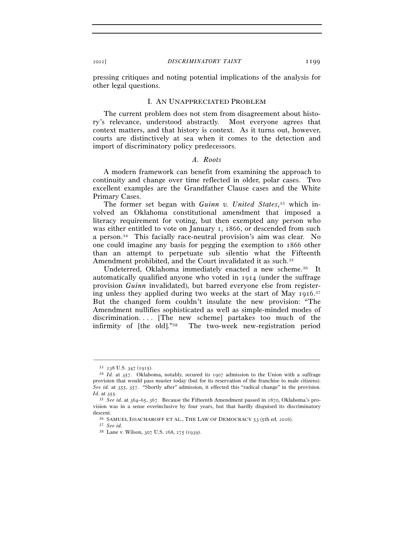pressing critiques and noting potential implications of the analysis for other legal questions.

#### I. AN UNAPPRECIATED PROBLEM

The current problem does not stem from disagreement about history's relevance, understood abstractly. Most everyone agrees that context matters, and that history is context. As it turns out, however, courts are distinctively at sea when it comes to the detection and import of discriminatory policy predecessors.

#### *A. Roots*

A modern framework can benefit from examining the approach to continuity and change over time reflected in older, polar cases. Two excellent examples are the Grandfather Clause cases and the White Primary Cases.

The former set began with *Guinn v. United States*, 33 which involved an Oklahoma constitutional amendment that imposed a literacy requirement for voting, but then exempted any person who was either entitled to vote on January 1, 1866, or descended from such a person.34 This facially race-neutral provision's aim was clear. No one could imagine any basis for pegging the exemption to 1866 other than an attempt to perpetuate sub silentio what the Fifteenth Amendment prohibited, and the Court invalidated it as such.<sup>35</sup>

Undeterred, Oklahoma immediately enacted a new scheme.<sup>36</sup> It automatically qualified anyone who voted in 1914 (under the suffrage provision *Guinn* invalidated), but barred everyone else from registering unless they applied during two weeks at the start of May 1916.<sup>37</sup> But the changed form couldn't insulate the new provision: "The Amendment nullifies sophisticated as well as simple-minded modes of discrimination.... [The new scheme] partakes too much of the infirmity of [the old]."38 The two-week new-registration period

<sup>33</sup> <sup>238</sup> U.S. 347 (<sup>1915</sup>). 34 *Id.* at 357. Oklahoma, notably, secured its 1907 admission to the Union with a suffrage provision that would pass muster today (but for its reservation of the franchise to male citizens). *See id.* at 355, 357. "Shortly after" admission, it effected this "radical change" in the provision. *Id.* at <sup>355</sup>. 35 *See id.* at 364–65, 367. Because the Fifteenth Amendment passed in 1870, Oklahoma's pro-

vision was in a sense overinclusive by four years, but that hardly disguised its discriminatory

descent. 36 SAMUEL ISSACHAROFF ET AL., THE LAW OF DEMOCRACY <sup>53</sup> (5th ed. <sup>2016</sup>). 37 *See id.* 

<sup>38</sup> Lane v. Wilson, 307 U.S. 268, 275 (1939).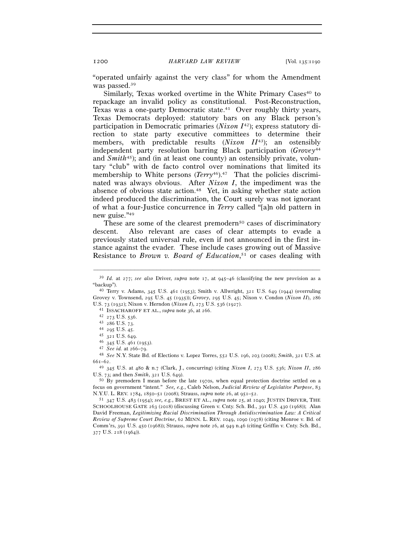"operated unfairly against the very class" for whom the Amendment was passed.39

Similarly, Texas worked overtime in the White Primary Cases<sup>40</sup> to repackage an invalid policy as constitutional. Post-Reconstruction, Texas was a one-party Democratic state.<sup>41</sup> Over roughly thirty years, Texas Democrats deployed: statutory bars on any Black person's participation in Democratic primaries (*Nixon I*42); express statutory direction to state party executive committees to determine their members, with predictable results (*Nixon II*43); an ostensibly independent party resolution barring Black participation (*Grovey*<sup>44</sup> and *Smith*45); and (in at least one county) an ostensibly private, voluntary "club" with de facto control over nominations that limited its membership to White persons (*Terry*<sup>46</sup>).<sup>47</sup> That the policies discriminated was always obvious. After *Nixon I*, the impediment was the absence of obvious state action.<sup>48</sup> Yet, in asking whether state action indeed produced the discrimination, the Court surely was not ignorant of what a four-Justice concurrence in *Terry* called "[a]n old pattern in new guise."49

These are some of the clearest premodern<sup>50</sup> cases of discriminatory descent. Also relevant are cases of clear attempts to evade a previously stated universal rule, even if not announced in the first instance against the evader. These include cases growing out of Massive Resistance to *Brown v. Board of Education*, 51 or cases dealing with

 $\begin{array}{r} 46 \text{ } 345 \text{ U.S. } 461 \text{ (1953)}. \\ 47 \text{ } See \text{ } id. \text{ at } 266-79. \end{array}$ 

U.S. 73; and then *Smith*, 321 U.S. 649).<br><sup>50</sup> By premodern I mean before the late 1970s, when equal protection doctrine settled on a

focus on government "intent." *See, e.g.*, Caleb Nelson, *Judicial Review of Legislative Purpose*, 83 N.Y.U. L. REV. 1784, 1850–51 (2008); Strauss, *supra* note 26, at 951–<sup>52</sup>. 51 <sup>347</sup> U.S. 483 (1954); *see, e.g.*, BREST ET AL., *supra* note 25, at 1040; JUSTIN DRIVER, THE

SCHOOLHOUSE GATE 263 (2018) (discussing Green v. Cnty. Sch. Bd., 391 U.S. 430 (1968)); Alan David Freeman, *Legitimizing Racial Discrimination Through Antidiscrimination Law: A Critical Review of Supreme Court Doctrine*, 62 MINN. L. REV. 1049, 1090 (1978) (citing Monroe v. Bd. of Comm'rs, 391 U.S. 450 (1968)); Strauss, *supra* note 26, at 949 n.46 (citing Griffin v. Cnty. Sch. Bd., 377 U.S. 218 (1964)).

<sup>–––––––––––––––––––––––––––––––––––––––––––––––––––––––––––––</sup> <sup>39</sup> *Id.* at 277; *see also* Driver, *supra* note 17, at 945–46 (classifying the new provision as a "backup").<br> $^{40}$  Terry v. Adams, 345 U.S. 461 (1953); Smith v. Allwright, 321 U.S. 649 (1944) (overruling

Grovey v. Townsend, 295 U.S. 45 (1935)); *Grovey*, 295 U.S. 45; Nixon v. Condon (*Nixon II*), 286 U.S. 73 (1932); Nixon v. Herndon (*Nixon I*), 273 U.S. 536 (<sup>1927</sup>). 41 ISSACHAROFF ET AL., *supra* note 36, at <sup>266</sup>. 42 <sup>273</sup> U.S. 536.

<sup>44 295</sup> U.S. 45.

 $^{45}$   $\,$  321 U.S. 649.

<sup>47</sup> *See id.* at 266–<sup>79</sup>. 48 *See* N.Y. State Bd. of Elections v. Lopez Torres, 552 U.S. 196, 203 (2008); *Smith*, 321 U.S. at <sup>661</sup>–<sup>62</sup>. 49 <sup>345</sup> U.S. at 480 & n.7 (Clark, J., concurring) (citing *Nixon <sup>I</sup>*, 273 U.S. 536; *Nixon II*, <sup>286</sup>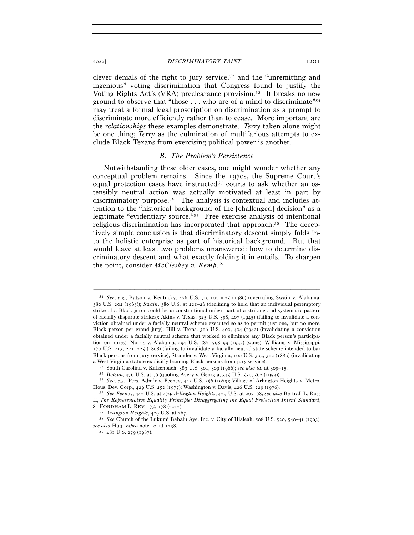#### <sup>2022</sup>] *DISCRIMINATORY TAINT* 1201

clever denials of the right to jury service,<sup>52</sup> and the "unremitting and ingenious" voting discrimination that Congress found to justify the Voting Rights Act's (VRA) preclearance provision.53 It breaks no new ground to observe that "those . . . who are of a mind to discriminate"54 may treat a formal legal proscription on discrimination as a prompt to discriminate more efficiently rather than to cease. More important are the *relationships* these examples demonstrate. *Terry* taken alone might be one thing; *Terry* as the culmination of multifarious attempts to exclude Black Texans from exercising political power is another.

#### *B. The Problem's Persistence*

Notwithstanding these older cases, one might wonder whether any conceptual problem remains. Since the 1970s, the Supreme Court's equal protection cases have instructed<sup>55</sup> courts to ask whether an ostensibly neutral action was actually motivated at least in part by discriminatory purpose.<sup>56</sup> The analysis is contextual and includes attention to the "historical background of the [challenged] decision" as a legitimate "evidentiary source."57 Free exercise analysis of intentional religious discrimination has incorporated that approach.58 The deceptively simple conclusion is that discriminatory descent simply folds into the holistic enterprise as part of historical background. But that would leave at least two problems unanswered: how to determine discriminatory descent and what exactly folding it in entails. To sharpen the point, consider *McCleskey v. Kemp*. 59

<sup>52</sup> *See, e.g.*, Batson v. Kentucky, 476 U.S. 79, 100 n.25 (1986) (overruling Swain v. Alabama, 380 U.S. 202 (1965)); *Swain*, 380 U.S. at 221–26 (declining to hold that an individual peremptory strike of a Black juror could be unconstitutional unless part of a striking and systematic pattern of racially disparate strikes); Akins v. Texas, 325 U.S. 398, 407 (1945) (failing to invalidate a conviction obtained under a facially neutral scheme executed so as to permit just one, but no more, Black person per grand jury); Hill v. Texas, 316 U.S. 400, 404 (1942) (invalidating a conviction obtained under a facially neutral scheme that worked to eliminate any Black person's participation on juries); Norris v. Alabama, 294 U.S. 587, 598–99 (1935) (same); Williams v. Mississippi, 170 U.S. 213, 221, 225 (1898) (failing to invalidate a facially neutral state scheme intended to bar Black persons from jury service); Strauder v. West Virginia, 100 U.S. 303, 312 (1880) (invalidating a West Virginia statute explicitly banning Black persons from jury service).<br>  $53$  South Carolina v. Katzenbach, 383 U.S. 301, 309 (1966); *see also id.* at 309–15.<br>  $54$  *Batson*, 476 U.S. at 96 (quoting Avery v. Georgia

Hous. Dev. Corp., 429 U.S. 252 (1977); Washington v. Davis, 426 U.S. 229 (<sup>1976</sup>). 56 *See Feeney*, 442 U.S. at 279; *Arlington Heights*, 429 U.S. at 265–68; *see also* Bertrall L. Ross

II, *The Representative Equality Principle: Disaggregating the Equal Protection Intent Standard*,

<sup>81</sup> FORDHAM L. REV. 175, 178 (<sup>2012</sup>). 57 *Arlington Heights*, 429 U.S. at <sup>267</sup>. 58 *See* Church of the Lukumi Babalu Aye, Inc. v. City of Hialeah, 508 U.S. 520, 540–41 (1993); *see also* Huq, *supra* note 10, at <sup>1238</sup>. 59 <sup>481</sup> U.S. 279 (1987).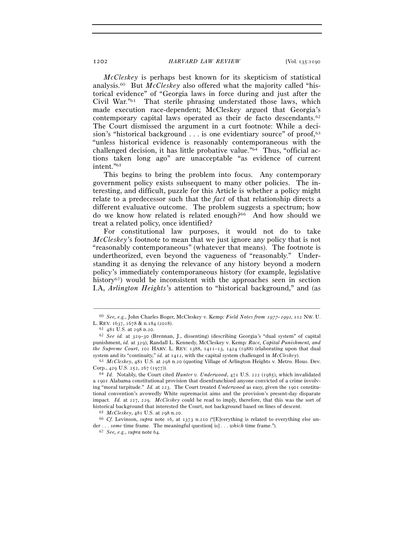*McCleskey* is perhaps best known for its skepticism of statistical analysis.60 But *McCleskey* also offered what the majority called "historical evidence" of "Georgia laws in force during and just after the Civil War."61 That sterile phrasing understated those laws, which made execution race-dependent; McCleskey argued that Georgia's contemporary capital laws operated as their de facto descendants.62 The Court dismissed the argument in a curt footnote: While a decision's "historical background  $\dots$  is one evidentiary source" of proof,<sup>63</sup> "unless historical evidence is reasonably contemporaneous with the challenged decision, it has little probative value."64 Thus, "official actions taken long ago" are unacceptable "as evidence of current intent."65

This begins to bring the problem into focus. Any contemporary government policy exists subsequent to many other policies. The interesting, and difficult, puzzle for this Article is whether a policy might relate to a predecessor such that the *fact* of that relationship directs a different evaluative outcome. The problem suggests a spectrum; how do we know how related is related enough?<sup>66</sup> And how should we treat a related policy, once identified?

For constitutional law purposes, it would not do to take *McCleskey*'s footnote to mean that we just ignore any policy that is not "reasonably contemporaneous" (whatever that means). The footnote is undertheorized, even beyond the vagueness of "reasonably." Understanding it as denying the relevance of any history beyond a modern policy's immediately contemporaneous history (for example, legislative history<sup>67</sup>) would be inconsistent with the approaches seen in section I.A, *Arlington Heights*'s attention to "historical background," and (as

<sup>–––––––––––––––––––––––––––––––––––––––––––––––––––––––––––––</sup> <sup>60</sup> *See, e.g.*, John Charles Boger, McCleskey v. Kemp*: Field Notes from* 1977*–*1991, 112 NW. U. L. REV. 1637, 1678 & n.184 (<sup>2018</sup>). 61 <sup>481</sup> U.S. at 298 n.<sup>20</sup>. 62 *See id.* at 329–30 (Brennan, J., dissenting) (describing Georgia's "dual system" of capital

punishment, *id.* at 329); Randall L. Kennedy, McCleskey v. Kemp*: Race, Capital Punishment, and the Supreme Court*, 101 HARV. L. REV. 1388, 1411–13, 1424 (1988) (elaborating upon that dual system and its "continuity," *id.* at 1412, with the capital system challenged in *McCleskey*). 63 *McCleskey*, 481 U.S. at 298 n.20 (quoting Village of Arlington Heights v. Metro. Hous. Dev.

Corp., 429 U.S. 252, 267 (<sup>1977</sup>)). 64 *Id.* Notably, the Court cited *Hunter v. Underwood*, 471 U.S. 222 (1985), which invalidated

a 1901 Alabama constitutional provision that disenfranchised anyone convicted of a crime involving "moral turpitude." *Id.* at 223. The Court treated *Underwood* as easy, given the 1901 constitutional convention's avowedly White supremacist aims and the provision's present-day disparate impact. *Id.* at 227, 229. *McCleskey* could be read to imply, therefore, that this was the sort of historical background that interested the Court, not background based on lines of descent.<br><sup>65</sup>  $McCleskey$ , 481 U.S. at 298 n.20.<br><sup>66</sup> Cf. Levinson, *supra* note 16, at 1373 n.210 ("[E]verything is related to everything else

der . . . *some* time frame. The meaningful question[ is] . . . *which* time frame."). 67 *See, e.g.*, *supra* note 64.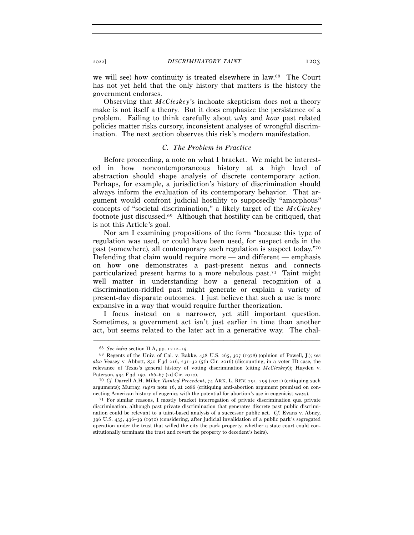we will see) how continuity is treated elsewhere in law.68 The Court has not yet held that the only history that matters is the history the government endorses.

Observing that *McCleskey*'s inchoate skepticism does not a theory make is not itself a theory. But it does emphasize the persistence of a problem. Failing to think carefully about *why* and *how* past related policies matter risks cursory, inconsistent analyses of wrongful discrimination. The next section observes this risk's modern manifestation.

#### *C. The Problem in Practice*

Before proceeding, a note on what I bracket. We might be interested in how noncontemporaneous history at a high level of abstraction should shape analysis of discrete contemporary action. Perhaps, for example, a jurisdiction's history of discrimination should always inform the evaluation of its contemporary behavior. That argument would confront judicial hostility to supposedly "amorphous" concepts of "societal discrimination," a likely target of the *McCleskey*  footnote just discussed.69 Although that hostility can be critiqued, that is not this Article's goal.

Nor am I examining propositions of the form "because this type of regulation was used, or could have been used, for suspect ends in the past (somewhere), all contemporary such regulation is suspect today."70 Defending that claim would require more — and different — emphasis on how one demonstrates a past-present nexus and connects particularized present harms to a more nebulous past.71 Taint might well matter in understanding how a general recognition of a discrimination-riddled past might generate or explain a variety of present-day disparate outcomes. I just believe that such a use is more expansive in a way that would require further theorization.

I focus instead on a narrower, yet still important question. Sometimes, a government act isn't just earlier in time than another act, but seems related to the later act in a generative way. The chal-

<sup>68</sup> *See infra* section II.A, pp. 1212–<sup>15</sup>. 69 Regents of the Univ. of Cal. v. Bakke, 438 U.S. 265, 307 (1978) (opinion of Powell, J.); *see also* Veasey v. Abbott, 830 F.3d 216, 231–32 (5th Cir. 2016) (discounting, in a voter ID case, the relevance of Texas's general history of voting discrimination (citing *McCleskey*)); Hayden v. Paterson, 594 F.3d 150, 166–67 (2d Cir. <sup>2010</sup>). 70 *Cf.* Darrell A.H. Miller, *Tainted Precedent*, 74 ARK. L. REV. 291, 295 (2021) (critiquing such

arguments); Murray, *supra* note 16, at 2086 (critiquing anti-abortion argument premised on con-

necting American history of eugenics with the potential for abortion's use in eugenicist ways).<br><sup>71</sup> For similar reasons, I mostly bracket interrogation of private discrimination qua private discrimination, although past private discrimination that generates discrete past public discrimination could be relevant to a taint-based analysis of a successor public act. *Cf.* Evans v. Abney, 396 U.S. 435, 436–39 (1970) (considering, after judicial invalidation of a public park's segregated operation under the trust that willed the city the park property, whether a state court could constitutionally terminate the trust and revert the property to decedent's heirs).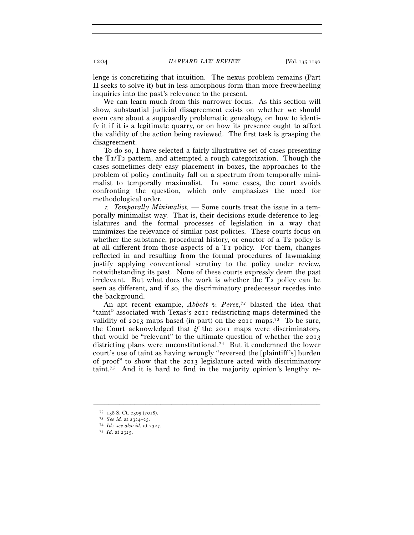lenge is concretizing that intuition. The nexus problem remains (Part II seeks to solve it) but in less amorphous form than more freewheeling inquiries into the past's relevance to the present.

We can learn much from this narrower focus. As this section will show, substantial judicial disagreement exists on whether we should even care about a supposedly problematic genealogy, on how to identify it if it is a legitimate quarry, or on how its presence ought to affect the validity of the action being reviewed. The first task is grasping the disagreement.

To do so, I have selected a fairly illustrative set of cases presenting the  $T_1/T_2$  pattern, and attempted a rough categorization. Though the cases sometimes defy easy placement in boxes, the approaches to the problem of policy continuity fall on a spectrum from temporally minimalist to temporally maximalist. In some cases, the court avoids confronting the question, which only emphasizes the need for methodological order.

1*. Temporally Minimalist. —* Some courts treat the issue in a temporally minimalist way. That is, their decisions exude deference to legislatures and the formal processes of legislation in a way that minimizes the relevance of similar past policies. These courts focus on whether the substance, procedural history, or enactor of a  $T_2$  policy is at all different from those aspects of a T1 policy. For them, changes reflected in and resulting from the formal procedures of lawmaking justify applying conventional scrutiny to the policy under review, notwithstanding its past. None of these courts expressly deem the past irrelevant. But what does the work is whether the T2 policy can be seen as different, and if so, the discriminatory predecessor recedes into the background.

An apt recent example, *Abbott v. Perez*, 72 blasted the idea that "taint" associated with Texas's 2011 redistricting maps determined the validity of 2013 maps based (in part) on the 2011 maps.73 To be sure, the Court acknowledged that *if* the 2011 maps were discriminatory, that would be "relevant" to the ultimate question of whether the 2013 districting plans were unconstitutional.74 But it condemned the lower court's use of taint as having wrongly "reversed the [plaintiff's] burden of proof" to show that the 2013 legislature acted with discriminatory taint.<sup>75</sup> And it is hard to find in the majority opinion's lengthy re-

<sup>72</sup> <sup>138</sup> S. Ct. 2305 (<sup>2018</sup>). 73 *See id.* at 2324–<sup>25</sup>. 74 *Id.*; *see also id.* at <sup>2327</sup>. 75 *Id.* at 2325.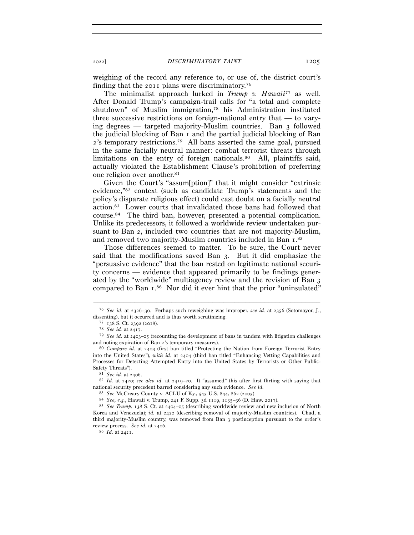weighing of the record any reference to, or use of, the district court's finding that the 2011 plans were discriminatory.76

The minimalist approach lurked in *Trump v. Hawaii*77 as well. After Donald Trump's campaign-trail calls for "a total and complete shutdown" of Muslim immigration,78 his Administration instituted three successive restrictions on foreign-national entry that — to varying degrees — targeted majority-Muslim countries. Ban 3 followed the judicial blocking of Ban 1 and the partial judicial blocking of Ban 2's temporary restrictions.79 All bans asserted the same goal, pursued in the same facially neutral manner: combat terrorist threats through limitations on the entry of foreign nationals.<sup>80</sup> All, plaintiffs said, actually violated the Establishment Clause's prohibition of preferring one religion over another.81

Given the Court's "assum[ption]" that it might consider "extrinsic evidence,"82 context (such as candidate Trump's statements and the policy's disparate religious effect) could cast doubt on a facially neutral action.83 Lower courts that invalidated those bans had followed that course.84 The third ban, however, presented a potential complication. Unlike its predecessors, it followed a worldwide review undertaken pursuant to Ban 2, included two countries that are not majority-Muslim, and removed two majority-Muslim countries included in Ban 1.85

Those differences seemed to matter. To be sure, the Court never said that the modifications saved Ban 3. But it did emphasize the "persuasive evidence" that the ban rested on legitimate national security concerns — evidence that appeared primarily to be findings generated by the "worldwide" multiagency review and the revision of Ban 3 compared to Ban 1.<sup>86</sup> Nor did it ever hint that the prior "uninsulated"

<sup>–––––––––––––––––––––––––––––––––––––––––––––––––––––––––––––</sup> <sup>76</sup> *See id.* at 2326–30. Perhaps such reweighing was improper, *see id.* at 2356 (Sotomayor, J., dissenting), but it occurred and is thus worth scrutinizing.<br>
<sup>77</sup> 138 S. Ct. 2392 (2018).<br>
<sup>78</sup> *See id.* at 2417.<br>
<sup>79</sup> *See id.* at 2403–05 (recounting the development of bans in tandem with litigation challenges

and noting expiration of Ban <sup>2</sup>'s temporary measures). 80 *Compare id.* at 2403 (first ban titled "Protecting the Nation from Foreign Terrorist Entry

into the United States"), *with id.* at 2404 (third ban titled "Enhancing Vetting Capabilities and Processes for Detecting Attempted Entry into the United States by Terrorists or Other Public-Safety Threats"). 81 *See id.* at <sup>2406</sup>. 82 *Id.* at 2420; *see also id.* at 2419–20. It "assumed" this after first flirting with saying that

national security precedent barred considering any such evidence. *See id.*

<sup>% 83</sup> See McCreary County v. ACLU of Ky., 545 U.S. 844, 862 (2005).<br>
84 See, e.g., Hawaii v. Trump, 241 F. Supp. 3d 1119, 1135–36 (D. Haw. 2017).<br>
85 See Trump, 138 S. Ct. at 2404–05 (describing worldwide review and new in Korea and Venezuela); *id.* at 2422 (describing removal of majority-Muslim countries). Chad, a third majority-Muslim country, was removed from Ban 3 postinception pursuant to the order's review process. *See id.* at <sup>2406</sup>. 86 *Id.* at 2421.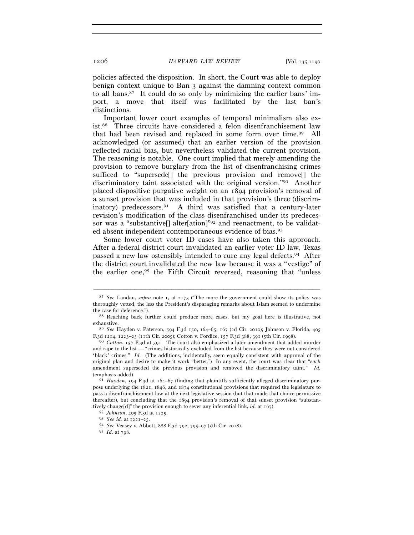policies affected the disposition. In short, the Court was able to deploy benign context unique to Ban 3 against the damning context common to all bans.87 It could do so only by minimizing the earlier bans' import, a move that itself was facilitated by the last ban's distinctions.

Important lower court examples of temporal minimalism also exist.88 Three circuits have considered a felon disenfranchisement law that had been revised and replaced in some form over time.89 All acknowledged (or assumed) that an earlier version of the provision reflected racial bias, but nevertheless validated the current provision. The reasoning is notable. One court implied that merely amending the provision to remove burglary from the list of disenfranchising crimes sufficed to "supersede<sup>[]</sup> the previous provision and remove<sup>[]</sup> the discriminatory taint associated with the original version."90 Another placed dispositive purgative weight on an 1894 provision's removal of a sunset provision that was included in that provision's three (discriminatory) predecessors.91 A third was satisfied that a century-later revision's modification of the class disenfranchised under its predecessor was a "substantive[] alter[ation]"92 and reenactment, to be validated absent independent contemporaneous evidence of bias.93

Some lower court voter ID cases have also taken this approach. After a federal district court invalidated an earlier voter ID law, Texas passed a new law ostensibly intended to cure any legal defects.94 After the district court invalidated the new law because it was a "vestige" of the earlier one,95 the Fifth Circuit reversed, reasoning that "unless

<sup>87</sup> *See* Landau, *supra* note 1, at 2173 ("The more the government could show its policy was thoroughly vetted, the less the President's disparaging remarks about Islam seemed to undermine

the case for deference."). 88 Reaching back further could produce more cases, but my goal here is illustrative, not

<sup>&</sup>lt;sup>89</sup> *See* Hayden v. Paterson, 594 F.3d 150, 164-65, 167 (2d Cir. 2010); Johnson v. Florida, 405 F.3d 1214, 1223–25 (11th Cir. 2005); Cotton v. Fordice, 157 F.3d 388, 391 (5th Cir. <sup>1998</sup>). 90 *Cotton*, 157 F.3d at 391. The court also emphasized a later amendment that added murder

and rape to the list — "crimes historically excluded from the list because they were not considered 'black' crimes." *Id.* (The additions, incidentally, seem equally consistent with approval of the original plan and desire to make it work "better.") In any event, the court was clear that "*each* amendment superseded the previous provision and removed the discriminatory taint." *Id.*  (emphasis added). 91 *Hayden*, 594 F.3d at 164–67 (finding that plaintiffs sufficiently alleged discriminatory pur-

pose underlying the 1821, 1846, and 1874 constitutional provisions that required the legislature to pass a disenfranchisement law at the next legislative session (but that made that choice permissive thereafter), but concluding that the 1894 provision's removal of that sunset provision "substantively change[d]" the provision enough to sever any inferential link, *id.* at 167).<br><sup>92</sup> Johnson, 405 F.3d at 1225.<br><sup>93</sup> See id. at 1221–25.<br><sup>94</sup> See Veasey v. Abbott, 888 F.3d 792, 795–97 (5th Cir. 2018).

<sup>95</sup> *Id.* at 798.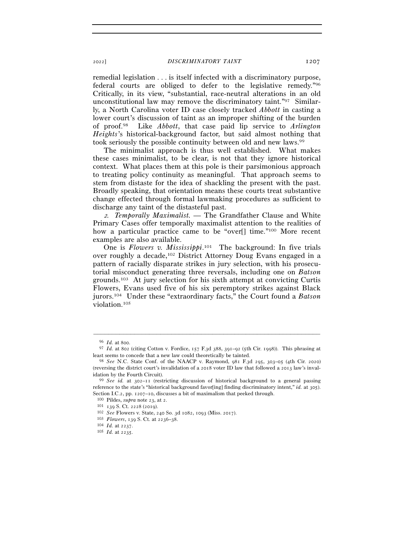#### <sup>2022</sup>] *DISCRIMINATORY TAINT* 1207

remedial legislation . . . is itself infected with a discriminatory purpose, federal courts are obliged to defer to the legislative remedy."96 Critically, in its view, "substantial, race-neutral alterations in an old unconstitutional law may remove the discriminatory taint."97 Similarly, a North Carolina voter ID case closely tracked *Abbott* in casting a lower court's discussion of taint as an improper shifting of the burden of proof.98 Like *Abbott*, that case paid lip service to *Arlington Heights*'s historical-background factor, but said almost nothing that took seriously the possible continuity between old and new laws.<sup>99</sup>

The minimalist approach is thus well established. What makes these cases minimalist, to be clear, is not that they ignore historical context. What places them at this pole is their parsimonious approach to treating policy continuity as meaningful. That approach seems to stem from distaste for the idea of shackling the present with the past. Broadly speaking, that orientation means these courts treat substantive change effected through formal lawmaking procedures as sufficient to discharge any taint of the distasteful past.

<sup>2</sup>*. Temporally Maximalist. —* The Grandfather Clause and White Primary Cases offer temporally maximalist attention to the realities of how a particular practice came to be "over[] time."<sup>100</sup> More recent examples are also available.

One is *Flowers v. Mississippi*.<sup>101</sup> The background: In five trials over roughly a decade,102 District Attorney Doug Evans engaged in a pattern of racially disparate strikes in jury selection, with his prosecutorial misconduct generating three reversals, including one on *Batson*  grounds.103 At jury selection for his sixth attempt at convicting Curtis Flowers, Evans used five of his six peremptory strikes against Black jurors.104 Under these "extraordinary facts," the Court found a *Batson*  violation.105

<sup>96</sup> *Id.* at <sup>800</sup>. 97 *Id.* at 802 (citing Cotton v. Fordice, 157 F.3d 388, 391–92 (5th Cir. 1998)). This phrasing at least seems to concede that a new law could theoretically be tainted. 98 *See* N.C. State Conf. of the NAACP v. Raymond, 981 F.3d 295, 303–05 (4th Cir. 2020)

<sup>(</sup>reversing the district court's invalidation of a 2018 voter ID law that followed a 2013 law's invalidation by the Fourth Circuit). 99 *See id.* at 302–11 (restricting discussion of historical background to a general passing

reference to the state's "historical background favor[ing] finding discriminatory intent," *id.* at 305). Section I.C.2, pp. 1207–10, discusses a bit of maximalism that peeked through.<br><sup>100</sup> Pildes, *supra* note 23, at 2.<br><sup>101</sup> 139 S. Ct. 2228 (2019).<br><sup>102</sup> *See* Flowers v. State, 240 So. 3d 1082, 1093 (Miss. 2017).<br><sup>103</sup> *Fl*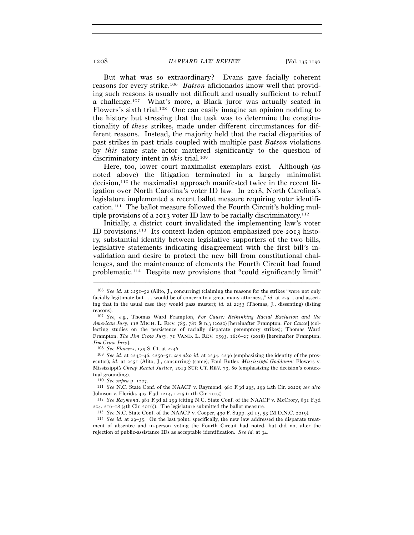But what was so extraordinary? Evans gave facially coherent reasons for every strike.106 *Batson* aficionados know well that providing such reasons is usually not difficult and usually sufficient to rebuff a challenge.107 What's more, a Black juror was actually seated in Flowers's sixth trial.108 One can easily imagine an opinion nodding to the history but stressing that the task was to determine the constitutionality of *these* strikes, made under different circumstances for different reasons. Instead, the majority held that the racial disparities of past strikes in past trials coupled with multiple past *Batson* violations by *this* same state actor mattered significantly to the question of discriminatory intent in *this* trial.<sup>109</sup>

Here, too, lower court maximalist exemplars exist. Although (as noted above) the litigation terminated in a largely minimalist decision,110 the maximalist approach manifested twice in the recent litigation over North Carolina's voter ID law. In 2018, North Carolina's legislature implemented a recent ballot measure requiring voter identification.111 The ballot measure followed the Fourth Circuit's holding multiple provisions of a 2013 voter ID law to be racially discriminatory.112

Initially, a district court invalidated the implementing law's voter ID provisions.113 Its context-laden opinion emphasized pre-2013 history, substantial identity between legislative supporters of the two bills, legislative statements indicating disagreement with the first bill's invalidation and desire to protect the new bill from constitutional challenges, and the maintenance of elements the Fourth Circuit had found problematic.114 Despite new provisions that "could significantly limit"

–––––––––––––––––––––––––––––––––––––––––––––––––––––––––––––

ecutor); *id.* at 2251 (Alito, J., concurring) (same); Paul Butler, *Mississippi Goddamn:* Flowers v. Mississippi*'s Cheap Racial Justice*, 2019 SUP. CT. REV. 73, 80 (emphasizing the decision's contextual grounding).

<sup>110</sup> *See supra* p. <sup>1207</sup>. 111 *See* N.C. State Conf. of the NAACP v. Raymond, 981 F.3d 295, 299 (4th Cir. 2020); *see also*  Johnson v. Florida, 405 F.3d 1214, 1225 (11th Cir. <sup>2005</sup>). 112 *See Raymond*, 981 F.3d at 299 (citing N.C. State Conf. of the NAACP v. McCrory, 831 F.3<sup>d</sup>

204, 216–18 (4th Cir. 2016)). The legislature submitted the ballot measure.<br><sup>113</sup> See N.C. State Conf. of the NAACP v. Cooper, 430 F. Supp. 3d 15, 53 (M.D.N.C. 2019).<br><sup>114</sup> See id. at 29–35. On the last point, specificall

ment of absentee and in-person voting the Fourth Circuit had noted, but did not alter the rejection of public-assistance IDs as acceptable identification. *See id.* at 34.

<sup>106</sup> *See id.* at 2251–52 (Alito, J., concurring) (claiming the reasons for the strikes "were not only facially legitimate but . . . would be of concern to a great many attorneys," *id.* at 2251, and asserting that in the usual case they would pass muster); *id.* at 2253 (Thomas, J., dissenting) (listing reasons).

<sup>107</sup> *See, e.g.*, Thomas Ward Frampton, *For Cause: Rethinking Racial Exclusion and the American Jury*, 118 MICH. L. REV. 785, 787 & n.3 (2020) [hereinafter Frampton, *For Cause*] (collecting studies on the persistence of racially disparate peremptory strikes); Thomas Ward Frampton, *The Jim Crow Jury*, 71 VAND. L. REV. 1593, 1626–27 (2018) [hereinafter Frampton, *Jim Crow Jury*]. 108 *See Flowers*, 139 S. Ct. at <sup>2246</sup>. 109 *See id.* at 2245–46, 2250–51; *see also id.* at 2234, 2236 (emphasizing the identity of the pros-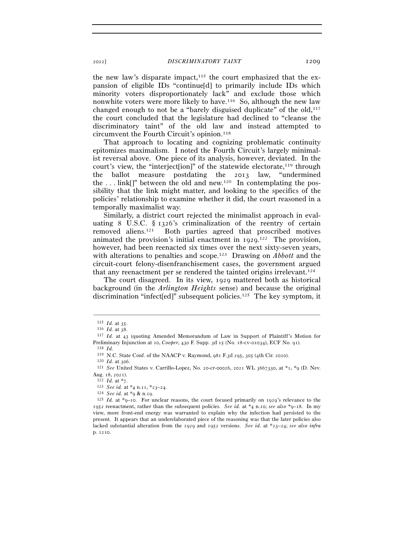the new law's disparate impact, $115$  the court emphasized that the expansion of eligible IDs "continue[d] to primarily include IDs which minority voters disproportionately lack" and exclude those which nonwhite voters were more likely to have.<sup>116</sup> So, although the new law changed enough to not be a "barely disguised duplicate" of the  $old<sub>117</sub>$ the court concluded that the legislature had declined to "cleanse the discriminatory taint" of the old law and instead attempted to circumvent the Fourth Circuit's opinion.118

That approach to locating and cognizing problematic continuity epitomizes maximalism. I noted the Fourth Circuit's largely minimalist reversal above. One piece of its analysis, however, deviated. In the court's view, the "interject[ion]" of the statewide electorate,<sup>119</sup> through the ballot measure postdating the 2013 law, "undermined the ... link[]" between the old and new.<sup>120</sup> In contemplating the possibility that the link might matter, and looking to the specifics of the policies' relationship to examine whether it did, the court reasoned in a temporally maximalist way.

Similarly, a district court rejected the minimalist approach in evaluating 8 U.S.C. § 1326's criminalization of the reentry of certain removed aliens.121 Both parties agreed that proscribed motives animated the provision's initial enactment in  $1929$ .<sup>122</sup> The provision, however, had been reenacted six times over the next sixty-seven years, with alterations to penalties and scope.123 Drawing on *Abbott* and the circuit-court felony-disenfranchisement cases, the government argued that any reenactment per se rendered the tainted origins irrelevant.124

The court disagreed. In its view, 1929 mattered both as historical background (in the *Arlington Heights* sense) and because the original discrimination "infect[ed]" subsequent policies.125 The key symptom, it

 $115$  *Id.* at 35.<br>116 *Id.* at 38.

<sup>&</sup>lt;sup>117</sup> *Id.* at 43 (quoting Amended Memorandum of Law in Support of Plaintiff's Motion for Preliminary Injunction at 10, *Cooper*, 430 F. Supp. 3d 15 (No. 18-cv-01034), ECF No. 91).<br><sup>118</sup> *Id.* 2020. State Conf. of the NAACP v. Raymond, 981 F.3d 295, 305 (4th Cir. 2020).

<sup>&</sup>lt;sup>120</sup> *Id.* at 306.<br><sup>121</sup> *See* United States v. Carrillo-Lopez, No. 20-cr-00026, 2021 WL 3667330, at \*1, \*9 (D. Nev. Aug. 18, 2021).<br><sup>122</sup> *Id.* at \*7.<br><sup>123</sup> *See id.* at \*4 n.11, \*23–24.<br><sup>124</sup> *See id.* at \*9 & n.19.<br><sup>125</sup> *Id.* at \*9–10. For unclear reasons, the court focused primarily on 1929's relevance to the

<sup>1952</sup> reenactment, rather than the subsequent policies. *See id.* at \*4 n.10; *see also* \*9–18. In my view, more front-end energy was warranted to explain why the infection had persisted to the present. It appears that an underelaborated piece of the reasoning was that the later policies also lacked substantial alteration from the 1929 and 1952 versions. *See id.* at \*23–24; *see also infra* p. 1210.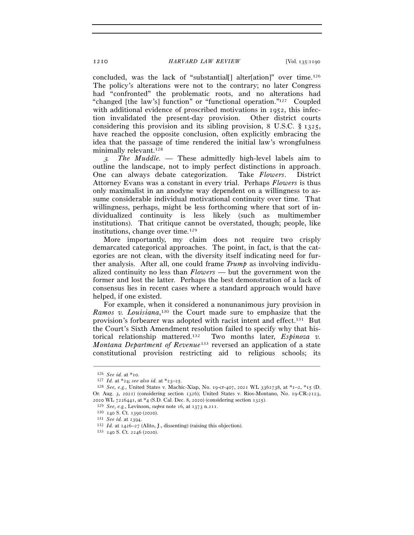concluded, was the lack of "substantial[] alter[ation]" over time.126 The policy's alterations were not to the contrary; no later Congress had "confronted" the problematic roots, and no alterations had "changed [the law's] function" or "functional operation."127 Coupled with additional evidence of proscribed motivations in 1952, this infection invalidated the present-day provision. Other district courts considering this provision and its sibling provision, 8 U.S.C. § 1325, have reached the opposite conclusion, often explicitly embracing the idea that the passage of time rendered the initial law's wrongfulness minimally relevant.<sup>128</sup>

<sup>3</sup>*. The Muddle. —* These admittedly high-level labels aim to outline the landscape, not to imply perfect distinctions in approach. One can always debate categorization. Take *Flowers*. District Attorney Evans was a constant in every trial. Perhaps *Flowers* is thus only maximalist in an anodyne way dependent on a willingness to assume considerable individual motivational continuity over time. That willingness, perhaps, might be less forthcoming where that sort of individualized continuity is less likely (such as multimember institutions). That critique cannot be overstated, though; people, like institutions, change over time.129

More importantly, my claim does not require two crisply demarcated categorical approaches. The point, in fact, is that the categories are not clean, with the diversity itself indicating need for further analysis. After all, one could frame *Trump* as involving individualized continuity no less than *Flowers* — but the government won the former and lost the latter. Perhaps the best demonstration of a lack of consensus lies in recent cases where a standard approach would have helped, if one existed.

For example, when it considered a nonunanimous jury provision in *Ramos v. Louisiana*, 130 the Court made sure to emphasize that the provision's forbearer was adopted with racist intent and effect.131 But the Court's Sixth Amendment resolution failed to specify why that historical relationship mattered.132 Two months later, *Espinoza v. Montana Department of Revenue*133 reversed an application of a state constitutional provision restricting aid to religious schools; its

<sup>126</sup> *See id.* at \*<sup>10</sup>. 127 *Id.* at \*24; *see also id.* at \*23–<sup>25</sup>. 128 *See, e.g.*, United States v. Machic-Xiap, No. 19-cr-407, 2021 WL 3362738, at \*1–2, \*15 (D. Or. Aug. 3, 2021) (considering section 1326); United States v. Rios-Montano, No. 19-CR-2123, 2020 WL 7226441, at \*4 (S.D. Cal. Dec. 8, 2020) (considering section 1325).<br>
<sup>129</sup> See, e.g., Levinson, *supra* note 16, at 1373 n.211.<br>
<sup>130</sup> 140 S. Ct. 1390 (2020).<br>
<sup>131</sup> See id. at 1394.<br>
<sup>132</sup> Id. at 1426–27 (Alito,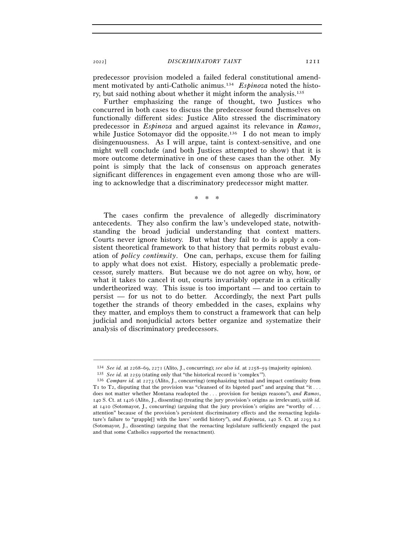<sup>2022</sup>] *DISCRIMINATORY TAINT* 1211

predecessor provision modeled a failed federal constitutional amendment motivated by anti-Catholic animus.134 *Espinoza* noted the history, but said nothing about whether it might inform the analysis.135

Further emphasizing the range of thought, two Justices who concurred in both cases to discuss the predecessor found themselves on functionally different sides: Justice Alito stressed the discriminatory predecessor in *Espinoza* and argued against its relevance in *Ramos*, while Justice Sotomayor did the opposite.<sup>136</sup> I do not mean to imply disingenuousness. As I will argue, taint is context-sensitive, and one might well conclude (and both Justices attempted to show) that it is more outcome determinative in one of these cases than the other. My point is simply that the lack of consensus on approach generates significant differences in engagement even among those who are willing to acknowledge that a discriminatory predecessor might matter.

\* \* \*

The cases confirm the prevalence of allegedly discriminatory antecedents. They also confirm the law's undeveloped state, notwithstanding the broad judicial understanding that context matters. Courts never ignore history. But what they fail to do is apply a consistent theoretical framework to that history that permits robust evaluation of *policy continuity*. One can, perhaps, excuse them for failing to apply what does not exist. History, especially a problematic predecessor, surely matters. But because we do not agree on why, how, or what it takes to cancel it out, courts invariably operate in a critically undertheorized way. This issue is too important — and too certain to persist — for us not to do better. Accordingly, the next Part pulls together the strands of theory embedded in the cases, explains why they matter, and employs them to construct a framework that can help judicial and nonjudicial actors better organize and systematize their analysis of discriminatory predecessors.

<sup>–––––––––––––––––––––––––––––––––––––––––––––––––––––––––––––</sup>

<sup>&</sup>lt;sup>134</sup> See id. at 2268–69, 2271 (Alito, J., concurring); see also id. at 2258–59 (majority opinion).<br><sup>135</sup> See id. at 2259 (stating only that "the historical record is 'complex'").<br><sup>136</sup> Compare id. at 2273 (Alito, J., con T1 to T2, disputing that the provision was "cleansed of its bigoted past" and arguing that "it . . . does not matter whether Montana readopted the . . . provision for benign reasons"), *and Ramos*, 140 S. Ct. at 1426 (Alito, J., dissenting) (treating the jury provision's origins as irrelevant), *with id.* at 1410 (Sotomayor, J., concurring) (arguing that the jury provision's origins are "worthy of . . . attention" because of the provision's persistent discriminatory effects and the reenacting legislature's failure to "grapple[] with the laws' sordid history"), *and Espinoza*, 140 S. Ct. at 2293 n.2 (Sotomayor, J., dissenting) (arguing that the reenacting legislature sufficiently engaged the past and that some Catholics supported the reenactment).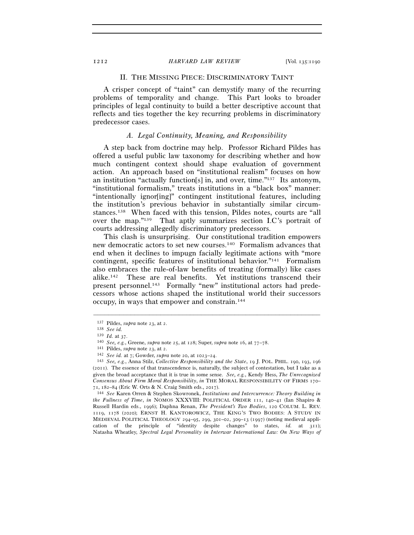#### II. THE MISSING PIECE: DISCRIMINATORY TAINT

A crisper concept of "taint" can demystify many of the recurring problems of temporality and change. This Part looks to broader principles of legal continuity to build a better descriptive account that reflects and ties together the key recurring problems in discriminatory predecessor cases.

#### *A. Legal Continuity, Meaning, and Responsibility*

A step back from doctrine may help. Professor Richard Pildes has offered a useful public law taxonomy for describing whether and how much contingent context should shape evaluation of government action. An approach based on "institutional realism" focuses on how an institution "actually function[s] in, and over, time."137 Its antonym, "institutional formalism," treats institutions in a "black box" manner: "intentionally ignor[ing]" contingent institutional features, including the institution's previous behavior in substantially similar circumstances.138 When faced with this tension, Pildes notes, courts are "all over the map."139 That aptly summarizes section I.C's portrait of courts addressing allegedly discriminatory predecessors.

This clash is unsurprising. Our constitutional tradition empowers new democratic actors to set new courses.140 Formalism advances that end when it declines to impugn facially legitimate actions with "more contingent, specific features of institutional behavior."<sup>141</sup> Formalism also embraces the rule-of-law benefits of treating (formally) like cases alike.142 These are real benefits. Yet institutions transcend their present personnel.143 Formally "new" institutional actors had predecessors whose actions shaped the institutional world their successors occupy, in ways that empower and constrain.144

<sup>&</sup>lt;sup>137</sup> Pildes, *supra* note 23, at 2.<br>
<sup>138</sup> *See id.*<br>
<sup>139</sup> *Id.* at 37.<br>
<sup>140</sup> *See, e.g.*, Greene, *supra* note 25, at 128; Super, *supra* note 16, at 77–78.<br>
<sup>141</sup> Pildes, *supra* note 23, at 2.<br>
<sup>142</sup> *See id.* at 7; (2011). The essence of that transcendence is, naturally, the subject of contestation, but I take as a given the broad acceptance that it is true in some sense. *See, e.g.*, Kendy Hess, *The Unrecognized Consensus About Firm Moral Responsibility*, *in* THE MORAL RESPONSIBILITY OF FIRMS 170– 71, 182–84 (Eric W. Orts & N. Craig Smith eds., 2017).

<sup>144</sup> *See* Karen Orren & Stephen Skowronek, *Institutions and Intercurrence: Theory Building in the Fullness of Time*, *in* NOMOS XXXVIII: POLITICAL ORDER 111, 140–41 (Ian Shapiro & Russell Hardin eds., 1996); Daphna Renan, *The President's Two Bodies*, 120 COLUM. L. REV. 1119, 1178 (2020); ERNST H. KANTOROWICZ, THE KING'S TWO BODIES: A STUDY IN MEDIEVAL POLITICAL THEOLOGY 294–95, 299, 301–02, 309–13 (1997) (noting medieval application of the principle of "identity despite changes" to states, *id.* at 311); Natasha Wheatley, *Spectral Legal Personality in Interwar International Law: On New Ways of*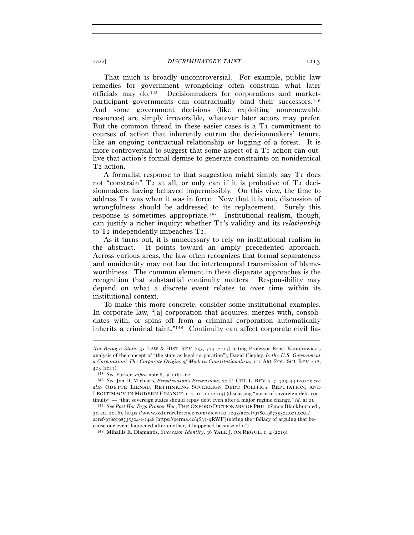That much is broadly uncontroversial. For example, public law remedies for government wrongdoing often constrain what later officials may do.145 Decisionmakers for corporations and marketparticipant governments can contractually bind their successors.146 And some government decisions (like exploiting nonrenewable resources) are simply irreversible, whatever later actors may prefer. But the common thread in these easier cases is a T<sub>1</sub> commitment to courses of action that inherently outrun the decisionmakers' tenure, like an ongoing contractual relationship or logging of a forest. It is more controversial to suggest that some aspect of a  $T_1$  action can outlive that action's formal demise to generate constraints on nonidentical T2 action.

A formalist response to that suggestion might simply say T1 does not "constrain" T2 at all, or only can if it is probative of T2 decisionmakers having behaved impermissibly. On this view, the time to address T1 was when it was in force. Now that it is not, discussion of wrongfulness should be addressed to its replacement. Surely this response is sometimes appropriate.147 Institutional realism, though, can justify a richer inquiry: whether T1's validity and its *relationship* to T2 independently impeaches T2.

As it turns out, it is unnecessary to rely on institutional realism in the abstract. It points toward an amply precedented approach. Across various areas, the law often recognizes that formal separateness and nonidentity may not bar the intertemporal transmission of blameworthiness. The common element in these disparate approaches is the recognition that substantial continuity matters. Responsibility may depend on what a discrete event relates to over time within its institutional context.

To make this more concrete, consider some institutional examples. In corporate law, "[a] corporation that acquires, merges with, consolidates with, or spins off from a criminal corporation automatically inherits a criminal taint."148 Continuity can affect corporate civil lia-

*Not Being a State*, 35 LAW & HIST. REV. 753, 774 (2017) (citing Professor Ernst Kantorowicz's analysis of the concept of "the state as legal corporation"); David Ciepley, *Is the U.S. Government a Corporation? The Corporate Origins of Modern Constitutionalism*, 111 AM. POL. SCI. REV. 418, <sup>423</sup> (<sup>2017</sup>). 145 *See* Parker, *supra* note 8, at 1161–<sup>62</sup>. 146 *See* Jon D. Michaels, *Privatization's Pretensions*, 77 U. CHI. L. REV. 717, 739–44 (2010); *see* 

*also* ODETTE LIENAU, RETHINKING SOVEREIGN DEBT: POLITICS, REPUTATION, AND LEGITIMACY IN MODERN FINANCE  $I-4$ ,  $I0-II$  (2014) (discussing "norm of sovereign debt continuity" — "that sovereign states should repay debt even after a major regime change," *id.* at <sup>2</sup>). 147 *See Post Hoc Ergo Propter Hoc*, THE OXFORD DICTIONARY OF PHIL. (Simon Blackburn ed.,

<sup>3</sup>d ed. 2016), https://www.oxfordreference.com/view/10.1093/acref/9780198735304.001.0001/ acref-9780198735304-e-2448 [https://perma.cc/4S37-9RWF] (noting the "fallacy of arguing that because one event happened after another, it happened because of it").

<sup>148</sup> Mihailis E. Diamantis, *Successor Identity*, 36 YALE J. ON REGUL. 1, 4 (2019).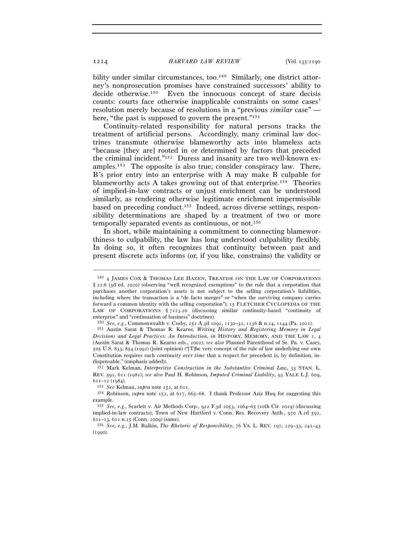bility under similar circumstances, too.<sup>149</sup> Similarly, one district attorney's nonprosecution promises have constrained successors' ability to decide otherwise.150 Even the innocuous concept of stare decisis counts: courts face otherwise inapplicable constraints on some cases' resolution merely because of resolutions in a "previous *similar* case" here, "the past is supposed to govern the present."<sup>151</sup>

Continuity-related responsibility for natural persons tracks the treatment of artificial persons. Accordingly, many criminal law doctrines transmute otherwise blameworthy acts into blameless acts "because [they are] rooted in or determined by factors that preceded the criminal incident."152 Duress and insanity are two well-known examples.153 The opposite is also true; consider conspiracy law. There, B's prior entry into an enterprise with A may make B culpable for blameworthy acts A takes growing out of that enterprise.154 Theories of implied-in-law contracts or unjust enrichment can be understood similarly, as rendering otherwise legitimate enrichment impermissible based on preceding conduct.155 Indeed, across diverse settings, responsibility determinations are shaped by a treatment of two or more temporally separated events as continuous, or not.156

In short, while maintaining a commitment to connecting blameworthiness to culpability, the law has long understood culpability flexibly. In doing so, it often recognizes that continuity between past and present discrete acts informs (or, if you like, constrains) the validity or

<sup>149</sup> 4 JAMES COX & THOMAS LEE HAZEN, TREATISE ON THE LAW OF CORPORATIONS § 22:8 (3d ed. 2020) (observing "well recognized exemptions" to the rule that a corporation that purchases another corporation's assets is not subject to the selling corporation's liabilities, including where the transaction is a "de facto merger" or "when the surviving company carries forward a common identity with the selling corporation"); 15 FLETCHER CYCLOPEDIA OF THE LAW OF CORPORATIONS § 7123.20 (discussing similar continuity-based "continuity of enterprise" and "continuation of business" doctrines).

<sup>150</sup> *See, e.g.*, Commonwealth v. Cosby, 252 A.3d 1092, 1130–31, 1136 & n.24, 1144 (Pa. <sup>2021</sup>). 151 Austin Sarat & Thomas R. Kearns, *Writing History and Registering Memory in Legal* 

*Decisions and Legal Practices: An Introduction*, *in* HISTORY, MEMORY, AND THE LAW 1, 4 (Austin Sarat & Thomas R. Kearns eds., 2002); *see also* Planned Parenthood of Se. Pa. v. Casey, 505 U.S. 833, 854 (1992) (joint opinion) ("[T]he very concept of the rule of law underlying our own Constitution requires such *continuity over time* that a respect for precedent is, by definition, indispensable." (emphasis added)).

<sup>152</sup> Mark Kelman, *Interpretive Construction in the Substantive Criminal Law*, 33 STAN. L. REV. 591, 611 (1981); *see also* Paul H. Robinson, *Imputed Criminal Liability*, 93 YALE L.J. 609, <sup>611</sup>–12 (<sup>1984</sup>). 153 *See* Kelman, *supra* note 152, at <sup>611</sup>. 154 Robinson, *supra* note 152, at 617, 665–68. I thank Professor Aziz Huq for suggesting this

example.

<sup>155</sup> *See, e.g.*, Scarlett v. Air Methods Corp., 922 F.3d 1053, 1064–65 (10th Cir. 2019) (discussing implied-in-law contracts); Town of New Hartford v. Conn. Res. Recovery Auth., 970 A.2d 592, <sup>611</sup>–13, <sup>611</sup> n.25 (Conn. <sup>2009</sup>) (same). 156 *See, e.g.*, J.M. Balkin, *The Rhetoric of Responsibility*, 76 VA. L. REV. 197, 229–33, 241–<sup>43</sup>

<sup>(</sup>1990).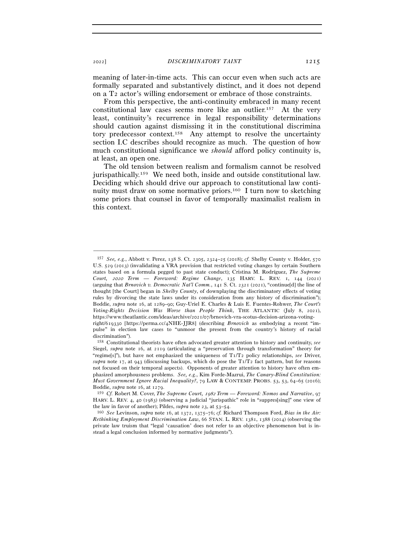<sup>2022</sup>] *DISCRIMINATORY TAINT* 1215

meaning of later-in-time acts. This can occur even when such acts are formally separated and substantively distinct, and it does not depend on a T2 actor's willing endorsement or embrace of those constraints.

From this perspective, the anti-continuity embraced in many recent constitutional law cases seems more like an outlier.157At the very least, continuity's recurrence in legal responsibility determinations should caution against dismissing it in the constitutional discrimina tory predecessor context.158 Any attempt to resolve the uncertainty section I.C describes should recognize as much. The question of how much constitutional significance we *should* afford policy continuity is, at least, an open one.

The old tension between realism and formalism cannot be resolved jurispathically.159 We need both, inside and outside constitutional law. Deciding which should drive our approach to constitutional law continuity must draw on some normative priors.160 I turn now to sketching some priors that counsel in favor of temporally maximalist realism in this context.

<sup>157</sup> *See, e.g.*, Abbott v. Perez, 138 S. Ct. 2305, 2324–25 (2018); *cf.* Shelby County v. Holder, 570 U.S. 529 (2013) (invalidating a VRA provision that restricted voting changes by certain Southern states based on a formula pegged to past state conduct); Cristina M. Rodríguez, *The Supreme Court,* 2020 *Term — Foreword: Regime Change*, 135 HARV. L. REV. 1, 144 (2021) (arguing that *Brnovich v. Democratic Nat'l Comm.*, 141 S. Ct. 2321 (2021), "continue[d] the line of thought [the Court] began in *Shelby County*, of downplaying the discriminatory effects of voting rules by divorcing the state laws under its consideration from any history of discrimination"); Boddie, *supra* note 16, at 1289–90; Guy-Uriel E. Charles & Luis E. Fuentes-Rohwer, *The Court's Voting-Rights Decision Was Worse than People Think*, THE ATLANTIC (July 8, 2021), https://www.theatlantic.com/ideas/archive/2021/07/brnovich-vra-scotus-decision-arizona-votingright/619330 [https://perma.cc/4NHE-JJR8] (describing *Brnovich* as embodying a recent "impulse" in election law cases to "unmoor the present from the country's history of racial discrimination").

<sup>158</sup> Constitutional theorists have often advocated greater attention to history and continuity, *see* Siegel, *supra* note 16, at 2119 (articulating a "preservation through transformation" theory for "regime[s]"), but have not emphasized the uniqueness of T1/T2 policy relationships, *see* Driver, *supra* note 17, at 943 (discussing backups, which do pose the  $T_1/T_2$  fact pattern, but for reasons not focused on their temporal aspects). Opponents of greater attention to history have often emphasized amorphousness problems. *See, e.g.*, Kim Forde-Mazrui, *The Canary-Blind Constitution: Must Government Ignore Racial Inequality?*, 79 LAW & CONTEMP. PROBS. 53, 53, 64–65 (2016); Boddie, *supra* note 16, at <sup>1279</sup>. 159 *Cf.* Robert M. Cover, *The Supreme Court,* 1982 *Term — Foreword: Nomos and Narrative*, <sup>97</sup>

HARV. L. REV. 4, 40 (1983) (observing a judicial "jurispathic" role in "suppres[sing]" one view of

the law in favor of another); Pildes, *supra* note 23, at 53–<sup>54</sup>. 160 *See* Levinson, *supra* note 16, at 1372, 1375–76; *cf.* Richard Thompson Ford, *Bias in the Air: Rethinking Employment Discrimination Law*, 66 STAN. L. REV. 1381, 1388 (2014) (observing the private law truism that "legal 'causation' does not refer to an objective phenomenon but is instead a legal conclusion informed by normative judgments").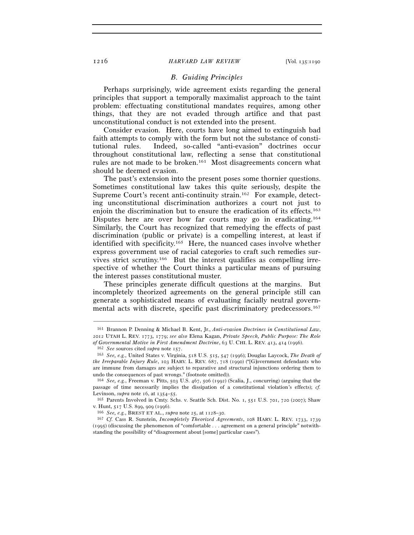#### *B. Guiding Principles*

Perhaps surprisingly, wide agreement exists regarding the general principles that support a temporally maximalist approach to the taint problem: effectuating constitutional mandates requires, among other things, that they are not evaded through artifice and that past unconstitutional conduct is not extended into the present.

Consider evasion. Here, courts have long aimed to extinguish bad faith attempts to comply with the form but not the substance of constitutional rules. Indeed, so-called "anti-evasion" doctrines occur throughout constitutional law, reflecting a sense that constitutional rules are not made to be broken.161 Most disagreements concern what should be deemed evasion.

The past's extension into the present poses some thornier questions. Sometimes constitutional law takes this quite seriously, despite the Supreme Court's recent anti-continuity strain.162 For example, detecting unconstitutional discrimination authorizes a court not just to enjoin the discrimination but to ensure the eradication of its effects.163 Disputes here are over how far courts may go in eradicating.164 Similarly, the Court has recognized that remedying the effects of past discrimination (public or private) is a compelling interest, at least if identified with specificity.165 Here, the nuanced cases involve whether express government use of racial categories to craft such remedies survives strict scrutiny.166 But the interest qualifies as compelling irrespective of whether the Court thinks a particular means of pursuing the interest passes constitutional muster.

These principles generate difficult questions at the margins. But incompletely theorized agreements on the general principle still can generate a sophisticated means of evaluating facially neutral governmental acts with discrete, specific past discriminatory predecessors.167

<sup>161</sup> Brannon P. Denning & Michael B. Kent, Jr., *Anti-evasion Doctrines in Constitutional Law*, 2012 UTAH L. REV. 1773, 1779; *see also* Elena Kagan, *Private Speech, Public Purpose: The Role* 

<sup>%</sup> of Governmental Motive in First Amendment Doctrine, 63 U. CHI. L. REV. 413, 414 (1996).<br><sup>162</sup> See sources cited supra note 157.<br><sup>163</sup> See, e.g., United States v. Virginia, 518 U.S. 515, 547 (1996); Douglas Laycock, The D *the Irreparable Injury Rule*, 103 HARV. L. REV. 687, 718 (1990) ("[G]overnment defendants who are immune from damages are subject to reparative and structural injunctions ordering them to undo the consequences of past wrongs." (footnote omitted)). 164 *See, e.g.*, Freeman v. Pitts, 503 U.S. 467, 506 (1992) (Scalia, J., concurring) (arguing that the

passage of time necessarily implies the dissipation of a constitutional violation's effects); *cf.* Levinson, *supra* note 16, at 1354–55.<br><sup>165</sup> Parents Involved in Cmty. Schs. v. Seattle Sch. Dist. No. 1, 551 U.S. 701, 720 (2007); Shaw

v. Hunt, 517 U.S. 899, 909 (<sup>1996</sup>). 166 *See, e.g.*, BREST ET AL., *supra* note 25, at 1128–<sup>30</sup>. 167 *Cf.* Cass R. Sunstein, *Incompletely Theorized Agreements*, 108 HARV. L. REV. 1733, <sup>1739</sup>

<sup>(</sup>1995) (discussing the phenomenon of "comfortable . . . agreement on a general principle" notwithstanding the possibility of "disagreement about [some] particular cases").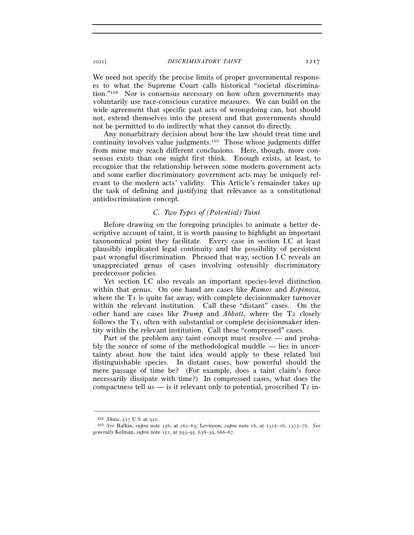#### <sup>2022</sup>] *DISCRIMINATORY TAINT* 1217

We need not specify the precise limits of proper governmental responses to what the Supreme Court calls historical "societal discrimination."168 Nor is consensus necessary on how often governments may voluntarily use race-conscious curative measures. We can build on the wide agreement that specific past acts of wrongdoing can, but should not, extend themselves into the present and that governments should not be permitted to do indirectly what they cannot do directly.

Any nonarbitrary decision about how the law should treat time and continuity involves value judgments.169 Those whose judgments differ from mine may reach different conclusions. Here, though, more consensus exists than one might first think. Enough exists, at least, to recognize that the relationship between some modern government acts and some earlier discriminatory government acts may be uniquely relevant to the modern acts' validity. This Article's remainder takes up the task of defining and justifying that relevance as a constitutional antidiscrimination concept.

#### *C. Two Types of (Potential) Taint*

Before drawing on the foregoing principles to animate a better descriptive account of taint, it is worth pausing to highlight an important taxonomical point they facilitate. Every case in section I.C at least plausibly implicated legal continuity and the possibility of persistent past wrongful discrimination. Phrased that way, section I.C reveals an unappreciated genus of cases involving ostensibly discriminatory predecessor policies.

Yet section I.C also reveals an important species-level distinction within that genus. On one hand are cases like *Ramos* and *Espinoza*, where the T<sub>I</sub> is quite far away, with complete decisionmaker turnover within the relevant institution. Call these "distant" cases. On the other hand are cases like *Trump* and *Abbott*, where the T2 closely follows the T1, often with substantial or complete decisionmaker identity within the relevant institution. Call these "compressed" cases.

Part of the problem any taint concept must resolve — and probably the source of some of the methodological muddle — lies in uncertainty about how the taint idea would apply to these related but distinguishable species. In distant cases, how powerful should the mere passage of time be? (For example, does a taint claim's force necessarily dissipate with time?) In compressed cases, what does the compactness tell us  $\frac{1}{2}$  is it relevant only to potential, proscribed T<sub>2</sub> in-

<sup>168</sup> *Shaw*, 517 U.S. at <sup>910</sup>. 169 *See* Balkin, *supra* note 156, at 262–63; Levinson, *supra* note 16, at 1315–16, 1375–76. *See generally* Kelman, *supra* note 152, at 593–95, 638–39, 666–67.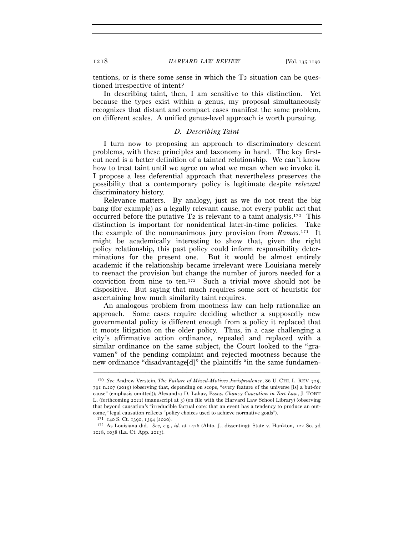tentions, or is there some sense in which the  $T_2$  situation can be questioned irrespective of intent?

In describing taint, then, I am sensitive to this distinction. Yet because the types exist within a genus, my proposal simultaneously recognizes that distant and compact cases manifest the same problem, on different scales. A unified genus-level approach is worth pursuing.

#### *D. Describing Taint*

I turn now to proposing an approach to discriminatory descent problems, with these principles and taxonomy in hand. The key firstcut need is a better definition of a tainted relationship. We can't know how to treat taint until we agree on what we mean when we invoke it. I propose a less deferential approach that nevertheless preserves the possibility that a contemporary policy is legitimate despite *relevant* discriminatory history.

Relevance matters. By analogy, just as we do not treat the big bang (for example) as a legally relevant cause, not every public act that occurred before the putative  $T_2$  is relevant to a taint analysis.<sup>170</sup> This distinction is important for nonidentical later-in-time policies. Take the example of the nonunanimous jury provision from *Ramos*. 171 It might be academically interesting to show that, given the right policy relationship, this past policy could inform responsibility determinations for the present one. But it would be almost entirely academic if the relationship became irrelevant were Louisiana merely to reenact the provision but change the number of jurors needed for a conviction from nine to ten.172 Such a trivial move should not be dispositive. But saying that much requires some sort of heuristic for ascertaining how much similarity taint requires.

An analogous problem from mootness law can help rationalize an approach. Some cases require deciding whether a supposedly new governmental policy is different enough from a policy it replaced that it moots litigation on the older policy. Thus, in a case challenging a city's affirmative action ordinance, repealed and replaced with a similar ordinance on the same subject, the Court looked to the "gravamen" of the pending complaint and rejected mootness because the new ordinance "disadvantage[d]" the plaintiffs "in the same fundamen-

<sup>170</sup> *See* Andrew Verstein, *The Failure of Mixed-Motives Jurisprudence*, 86 U. CHI. L. REV. 725, 791 n.207 (2019) (observing that, depending on scope, "every feature of the universe [is] a but-for cause" (emphasis omitted)); Alexandra D. Lahav, Essay, *Chancy Causation in Tort Law*, J. TORT L. (forthcoming 2022) (manuscript at 3) (on file with the Harvard Law School Library) (observing that beyond causation's "irreducible factual core: that an event has a tendency to produce an outcome," legal causation reflects "policy choices used to achieve normative goals").

<sup>171</sup> <sup>140</sup> S. Ct. 1390, 1394 (<sup>2020</sup>). 172 As Louisiana did. *See, e.g.*, *id.* at 1426 (Alito, J., dissenting); State v. Hankton, 122 So. 3<sup>d</sup> 1028, 1038 (La. Ct. App. 2013).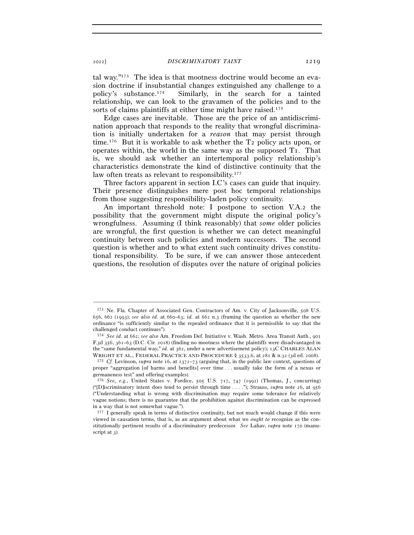tal way."173 The idea is that mootness doctrine would become an evasion doctrine if insubstantial changes extinguished any challenge to a policy's substance.174 Similarly, in the search for a tainted relationship, we can look to the gravamen of the policies and to the sorts of claims plaintiffs at either time might have raised.<sup>175</sup>

Edge cases are inevitable. Those are the price of an antidiscrimination approach that responds to the reality that wrongful discrimination is initially undertaken for a *reason* that may persist through time.176 But it is workable to ask whether the T2 policy acts upon, or operates within, the world in the same way as the supposed  $T<sub>I</sub>$ . That is, we should ask whether an intertemporal policy relationship's characteristics demonstrate the kind of distinctive continuity that the law often treats as relevant to responsibility.<sup>177</sup>

Three factors apparent in section I.C's cases can guide that inquiry. Their presence distinguishes mere post hoc temporal relationships from those suggesting responsibility-laden policy continuity.

An important threshold note: I postpone to section V.A.2 the possibility that the government might dispute the original policy's wrongfulness. Assuming (I think reasonably) that *some* older policies are wrongful, the first question is whether we can detect meaningful continuity between such policies and modern successors. The second question is whether and to what extent such continuity drives constitutional responsibility. To be sure, if we can answer those antecedent questions, the resolution of disputes over the nature of original policies

<sup>173</sup> Ne. Fla. Chapter of Associated Gen. Contractors of Am. v. City of Jacksonville, 508 U.S. 656, 662 (1993); *see also id.* at 660–63; *id.* at 662 n.3 (framing the question as whether the new ordinance "is sufficiently similar to the repealed ordinance that it is permissible to say that the challenged conduct continues").

<sup>174</sup> *See id*. at 662; *see also* Am. Freedom Def. Initiative v. Wash. Metro. Area Transit Auth., 901 F.3d 356, 361–63 (D.C. Cir. 2018) (finding no mootness where the plaintiffs were disadvantaged in the "same fundamental way," *id.* at 362, under a new advertisement policy); 13C CHARLES ALAN WRIGHT ET AL., FEDERAL PRACTICE AND PROCEDURE § 3533.6, at 281 & n.32 (3d ed. 2008). <sup>175</sup> *Cf.* Levinson, *supra* note 16, at 1372–73 (arguing that, in the public law context, questions of

proper "aggregation [of harms and benefits] over time . . . usually take the form of a nexus or germaneness test" and offering examples).

<sup>176</sup> *See, e.g.*, United States v. Fordice, 505 U.S. 717, 747 (1992) (Thomas, J., concurring) ("[D]iscriminatory intent does tend to persist through time . . . ."); Strauss, *supra* note 26, at 956 ("Understanding what is wrong with discrimination may require some tolerance for relatively vague notions; there is no guarantee that the prohibition against discrimination can be expressed in a way that is not somewhat vague.").

<sup>177</sup> I generally speak in terms of distinctive continuity, but not much would change if this were viewed in causation terms, that is, as an argument about what we *ought to* recognize as the constitutionally pertinent results of a discriminatory predecessor. *See* Lahav, *supra* note 170 (manuscript at 3).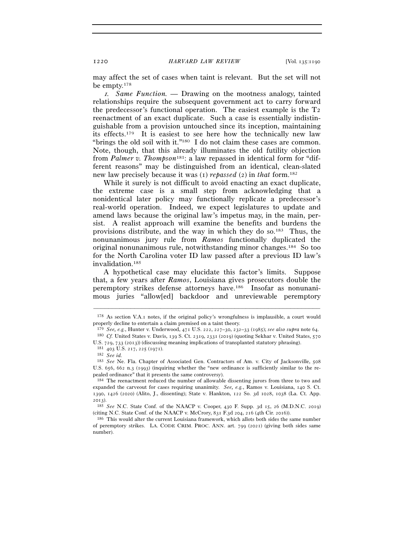may affect the set of cases when taint is relevant. But the set will not be empty.178

<sup>1</sup>*. Same Function. —* Drawing on the mootness analogy, tainted relationships require the subsequent government act to carry forward the predecessor's functional operation. The easiest example is the T2 reenactment of an exact duplicate. Such a case is essentially indistinguishable from a provision untouched since its inception, maintaining its effects.179 It is easiest to see here how the technically new law "brings the old soil with it."180 I do not claim these cases are common. Note, though, that this already illuminates the old futility objection from *Palmer v. Thompson*181: a law repassed in identical form for "different reasons" may be distinguished from an identical, clean-slated new law precisely because it was (1) *repassed* (2) in *that* form.182

While it surely is not difficult to avoid enacting an exact duplicate, the extreme case is a small step from acknowledging that a nonidentical later policy may functionally replicate a predecessor's real-world operation. Indeed, we expect legislatures to update and amend laws because the original law's impetus may, in the main, persist. A realist approach will examine the benefits and burdens the provisions distribute, and the way in which they do so.183 Thus, the nonunanimous jury rule from *Ramos* functionally duplicated the original nonunanimous rule, notwithstanding minor changes.184 So too for the North Carolina voter ID law passed after a previous ID law's invalidation.185

A hypothetical case may elucidate this factor's limits. Suppose that, a few years after *Ramos*, Louisiana gives prosecutors double the peremptory strikes defense attorneys have.186 Insofar as nonunanimous juries "allow[ed] backdoor and unreviewable peremptory

<sup>–––––––––––––––––––––––––––––––––––––––––––––––––––––––––––––</sup> <sup>178</sup> As section V.A.1 notes, if the original policy's wrongfulness is implausible, a court would properly decline to entertain a claim premised on a taint theory.

<sup>179</sup> *See, e.g.*, Hunter v. Underwood, 471 U.S. 222, 227–30, 232–33 (1985); *see also supra* note <sup>64</sup>. 180 *Cf.* United States v. Davis, 139 S. Ct. 2319, 2331 (2019) (quoting Sekhar v. United States, <sup>570</sup>

U.S. 729, 733 (<sup>2013</sup>)) (discussing meaning implications of transplanted statutory phrasing). 181 <sup>403</sup> U.S. 217, 225 (<sup>1971</sup>). 182 *See id.* 

<sup>183</sup> *See* Ne. Fla. Chapter of Associated Gen. Contractors of Am. v. City of Jacksonville, 508 U.S. 656, 662 n.3 (1993) (inquiring whether the "new ordinance is sufficiently similar to the repealed ordinance" that it presents the same controversy).<br><sup>184</sup> The reenactment reduced the number of allowable dissenting jurors from three to two and

expanded the carveout for cases requiring unanimity. *See, e.g.*, Ramos v. Louisiana, 140 S. Ct. 1390, 1426 (2020) (Alito, J., dissenting); State v. Hankton, 122 So. 3d 1028, 1038 (La. Ct. App. <sup>2013</sup>). 185 *See* N.C. State Conf. of the NAACP v. Cooper, 430 F. Supp. 3d 15, 26 (M.D.N.C. 2019)

<sup>(</sup>citing N.C. State Conf. of the NAACP v. McCrory, 831 F.3d 204, 216 (4th Cir. 2016)). <sup>186</sup> This would alter the current Louisiana framework, which allots both sides the same number

of peremptory strikes. LA. CODE CRIM. PROC. ANN. art. 799 (2021) (giving both sides same number).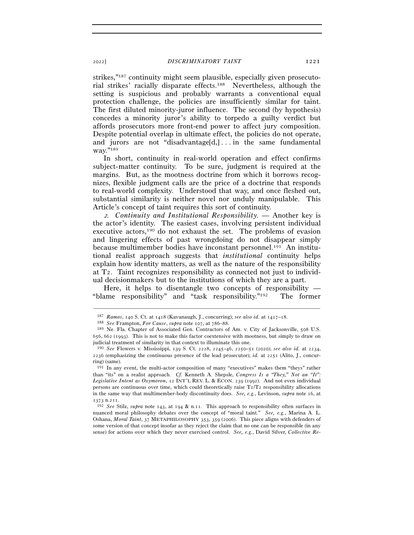strikes,"187 continuity might seem plausible, especially given prosecutorial strikes' racially disparate effects.188 Nevertheless, although the setting is suspicious and probably warrants a conventional equal protection challenge, the policies are insufficiently similar for taint. The first diluted minority-juror influence. The second (by hypothesis) concedes a minority juror's ability to torpedo a guilty verdict but affords prosecutors more front-end power to affect jury composition. Despite potential overlap in ultimate effect, the policies do not operate, and jurors are not "disadvantage[d,]... in the same fundamental way."<sup>189</sup>

In short, continuity in real-world operation and effect confirms subject-matter continuity. To be sure, judgment is required at the margins. But, as the mootness doctrine from which it borrows recognizes, flexible judgment calls are the price of a doctrine that responds to real-world complexity. Understood that way, and once fleshed out, substantial similarity is neither novel nor unduly manipulable. This Article's concept of taint requires this sort of continuity.

<sup>2</sup>*. Continuity and Institutional Responsibility. —* Another key is the actor's identity. The easiest cases, involving persistent individual executive actors,190 do not exhaust the set. The problems of evasion and lingering effects of past wrongdoing do not disappear simply because multimember bodies have inconstant personnel.191 An institutional realist approach suggests that *institutional* continuity helps explain how identity matters, as well as the nature of the responsibility at T2. Taint recognizes responsibility as connected not just to individual decisionmakers but to the institutions of which they are a part.

Here, it helps to disentangle two concepts of responsibility  $-$ "blame responsibility" and "task responsibility."192 The former

<sup>187</sup> *Ramos*, 140 S. Ct. at 1418 (Kavanaugh, J., concurring); *see also id.* at 1417–18.

<sup>188</sup> *See* Frampton, *For Cause*, *supra* note 107, at 786–<sup>88</sup>. 189 Ne. Fla. Chapter of Associated Gen. Contractors of Am. v. City of Jacksonville, 508 U.S. 656, 662 (1993). This is not to make this factor coextensive with mootness, but simply to draw on judicial treatment of similarity in that context to illuminate this one.

<sup>190</sup> *See* Flowers v. Mississippi, 139 S. Ct. 2228, 2245–46, 2250–51 (2020); *see also id.* at 2234, 2236 (emphasizing the continuous presence of the lead prosecutor); *id.* at 2251 (Alito, J., concurring) (same).

<sup>191</sup> In any event, the multi-actor composition of many "executives" makes them "theys" rather than "its" on a realist approach. *Cf.* Kenneth A. Shepsle, *Congress Is a "They," Not an "It": Legislative Intent as Oxymoron*, 12 INT'L REV. L. & ECON. 239 (1992). And not even individual persons are continuous over time, which could theoretically raise  $T_1/T_2$  responsibility allocations in the same way that multimember-body discontinuity does. *See, e.g.*, Levinson, *supra* note 16, at <sup>1373</sup> n.<sup>211</sup>. 192 *See* Stilz, *supra* note 143, at 194 & n.11. This approach to responsibility often surfaces in

nuanced moral philosophy debates over the concept of "moral taint." *See, e.g.*, Marina A. L. Oshana, *Moral Taint*, 37 METAPHILOSOPHY 353, 359 (2006). This piece aligns with defenders of some version of that concept insofar as they reject the claim that no one can be responsible (in any sense) for actions over which they never exercised control. *See, e.g.*, David Silver, *Collective Re-*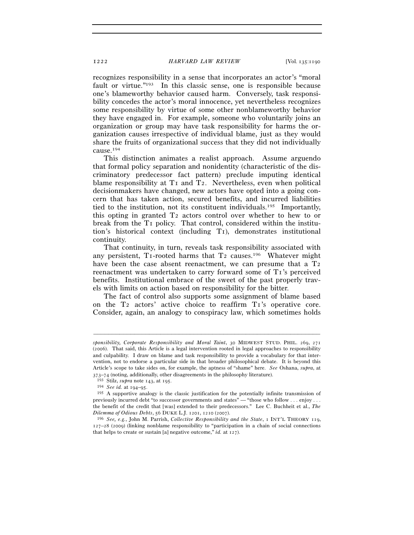recognizes responsibility in a sense that incorporates an actor's "moral fault or virtue."193 In this classic sense, one is responsible because one's blameworthy behavior caused harm. Conversely, task responsibility concedes the actor's moral innocence, yet nevertheless recognizes some responsibility by virtue of some other nonblameworthy behavior they have engaged in. For example, someone who voluntarily joins an organization or group may have task responsibility for harms the organization causes irrespective of individual blame, just as they would share the fruits of organizational success that they did not individually cause.194

This distinction animates a realist approach. Assume arguendo that formal policy separation and nonidentity (characteristic of the discriminatory predecessor fact pattern) preclude imputing identical blame responsibility at T<sub>1</sub> and T<sub>2</sub>. Nevertheless, even when political decisionmakers have changed, new actors have opted into a going concern that has taken action, secured benefits, and incurred liabilities tied to the institution, not its constituent individuals.195 Importantly, this opting in granted T2 actors control over whether to hew to or break from the T1 policy. That control, considered within the institution's historical context (including T1), demonstrates institutional continuity.

That continuity, in turn, reveals task responsibility associated with any persistent, T<sub>1</sub>-rooted harms that T<sub>2</sub> causes.<sup>196</sup> Whatever might have been the case absent reenactment, we can presume that a T<sub>2</sub> reenactment was undertaken to carry forward some of T1's perceived benefits. Institutional embrace of the sweet of the past properly travels with limits on action based on responsibility for the bitter.

The fact of control also supports some assignment of blame based on the T2 actors' active choice to reaffirm T1's operative core. Consider, again, an analogy to conspiracy law, which sometimes holds

*sponsibility, Corporate Responsibility and Moral Taint*, 30 MIDWEST STUD. PHIL. 269, 271 (2006). That said, this Article is a legal intervention rooted in legal approaches to responsibility and culpability. I draw on blame and task responsibility to provide a vocabulary for that intervention, not to endorse a particular side in that broader philosophical debate. It is beyond this Article's scope to take sides on, for example, the aptness of "shame" here. *See* Oshana, *supra*, at

<sup>&</sup>lt;sup>193</sup> Stilz, *supra* note 143, at 195.<br><sup>194</sup> See id. at 194–95.<br><sup>194</sup> A supportive analogy is the classic justification for the potentially infinite transmission of previously incurred debt "to successor governments and states" — "those who follow . . . enjoy . . . the benefit of the credit that [was] extended to their predecessors." Lee C. Buchheit et al., *The Dilemma of Odious Debts*, 56 DUKE L.J. 1201, 1210 (<sup>2007</sup>). 196 *See, e.g.*, John M. Parrish, *Collective Responsibility and the State*, 1 INT'L THEORY <sup>119</sup>,

<sup>127</sup>–28 (2009) (linking nonblame responsibility to "participation in a chain of social connections that helps to create or sustain [a] negative outcome," *id.* at 127).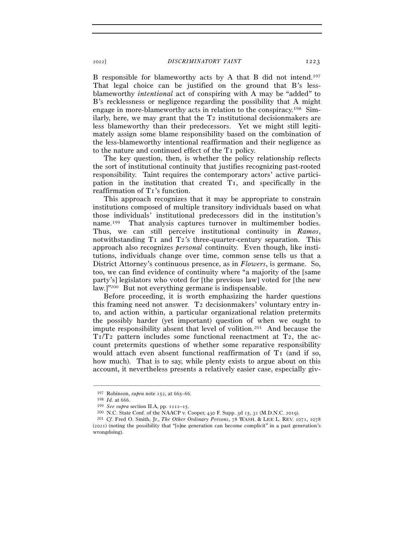B responsible for blameworthy acts by A that B did not intend.197 That legal choice can be justified on the ground that B's lessblameworthy *intentional* act of conspiring with A may be "added" to B's recklessness or negligence regarding the possibility that A might engage in more-blameworthy acts in relation to the conspiracy.198 Similarly, here, we may grant that the T2 institutional decisionmakers are less blameworthy than their predecessors. Yet we might still legitimately assign some blame responsibility based on the combination of the less-blameworthy intentional reaffirmation and their negligence as to the nature and continued effect of the T1 policy.

The key question, then, is whether the policy relationship reflects the sort of institutional continuity that justifies recognizing past-rooted responsibility. Taint requires the contemporary actors' active participation in the institution that created T1, and specifically in the reaffirmation of T1's function.

This approach recognizes that it may be appropriate to constrain institutions composed of multiple transitory individuals based on what those individuals' institutional predecessors did in the institution's name.199 That analysis captures turnover in multimember bodies. Thus, we can still perceive institutional continuity in *Ramos*, notwithstanding T1 and T2's three-quarter-century separation. This approach also recognizes *personal* continuity. Even though, like institutions, individuals change over time, common sense tells us that a District Attorney's continuous presence, as in *Flowers*, is germane. So, too, we can find evidence of continuity where "a majority of the [same party's] legislators who voted for [the previous law] voted for [the new law.]"200 But not everything germane is indispensable.

Before proceeding, it is worth emphasizing the harder questions this framing need not answer. T2 decisionmakers' voluntary entry into, and action within, a particular organizational relation pretermits the possibly harder (yet important) question of when we ought to impute responsibility absent that level of volition.201 And because the  $T_1/T_2$  pattern includes some functional reenactment at  $T_2$ , the account pretermits questions of whether some reparative responsibility would attach even absent functional reaffirmation of T1 (and if so, how much). That is to say, while plenty exists to argue about on this account, it nevertheless presents a relatively easier case, especially giv-

<sup>&</sup>lt;sup>197</sup> Robinson, *supra* note 152, at 665–66.<br>
<sup>198</sup> *Id.* at 666.<br>
<sup>199</sup> *See supra* section II.A, pp. 1212–15.<br>
<sup>200</sup> N.C. State Conf. of the NAACP v. Cooper, 430 F. Supp. 3d 15, 31 (M.D.N.C. 2019).<br>
<sup>201</sup> *Cf.* Fred O.

<sup>(</sup>2021) (noting the possibility that "[o]ne generation can become complicit" in a past generation's wrongdoing).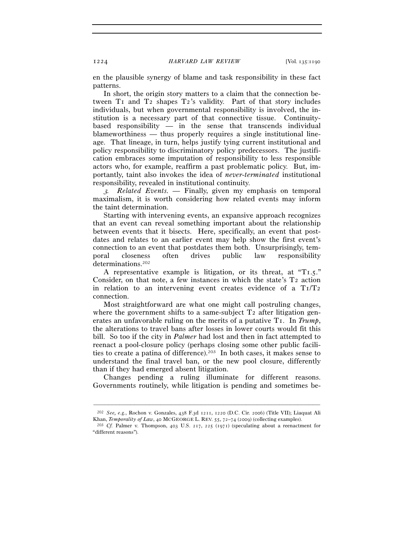en the plausible synergy of blame and task responsibility in these fact patterns.

In short, the origin story matters to a claim that the connection between T1 and T2 shapes T2's validity. Part of that story includes individuals, but when governmental responsibility is involved, the institution is a necessary part of that connective tissue. Continuitybased responsibility — in the sense that transcends individual blameworthiness — thus properly requires a single institutional lineage. That lineage, in turn, helps justify tying current institutional and policy responsibility to discriminatory policy predecessors. The justification embraces some imputation of responsibility to less responsible actors who, for example, reaffirm a past problematic policy. But, importantly, taint also invokes the idea of *never-terminated* institutional responsibility, revealed in institutional continuity.

<sup>3</sup>*. Related Events. —* Finally, given my emphasis on temporal maximalism, it is worth considering how related events may inform the taint determination.

Starting with intervening events, an expansive approach recognizes that an event can reveal something important about the relationship between events that it bisects. Here, specifically, an event that postdates and relates to an earlier event may help show the first event's connection to an event that postdates them both. Unsurprisingly, temporal closeness often drives public law responsibility determinations.202

A representative example is litigation, or its threat, at "T1.5." Consider, on that note, a few instances in which the state's  $T_2$  action in relation to an intervening event creates evidence of a  $T_1/T_2$ connection.

Most straightforward are what one might call postruling changes, where the government shifts to a same-subject  $T_2$  after litigation generates an unfavorable ruling on the merits of a putative T1. In *Trump*, the alterations to travel bans after losses in lower courts would fit this bill. So too if the city in *Palmer* had lost and then in fact attempted to reenact a pool-closure policy (perhaps closing some other public facilities to create a patina of difference).<sup>203</sup> In both cases, it makes sense to understand the final travel ban, or the new pool closure, differently than if they had emerged absent litigation.

Changes pending a ruling illuminate for different reasons. Governments routinely, while litigation is pending and sometimes be-

<sup>–––––––––––––––––––––––––––––––––––––––––––––––––––––––––––––</sup> <sup>202</sup> *See, e.g.*, Rochon v. Gonzales, 438 F.3d 1211, 1220 (D.C. Cir. 2006) (Title VII); Liaquat Ali Khan, *Temporality of Law*, 40 MCGEORGE L. REV. 55, 72–74 (2009) (collecting examples).<br><sup>203</sup> *Cf.* Palmer v. Thompson, 403 U.S. 217, 225 (1971) (speculating about a reenactment for

<sup>&</sup>quot;different reasons").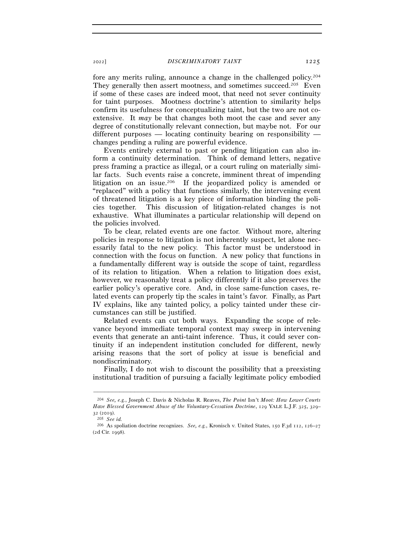fore any merits ruling, announce a change in the challenged policy.204 They generally then assert mootness, and sometimes succeed.<sup>205</sup> Even if some of these cases are indeed moot, that need not sever continuity for taint purposes. Mootness doctrine's attention to similarity helps confirm its usefulness for conceptualizing taint, but the two are not coextensive. It *may* be that changes both moot the case and sever any degree of constitutionally relevant connection, but maybe not. For our different purposes — locating continuity bearing on responsibility changes pending a ruling are powerful evidence.

Events entirely external to past or pending litigation can also inform a continuity determination. Think of demand letters, negative press framing a practice as illegal, or a court ruling on materially similar facts. Such events raise a concrete, imminent threat of impending litigation on an issue.206 If the jeopardized policy is amended or "replaced" with a policy that functions similarly, the intervening event of threatened litigation is a key piece of information binding the policies together. This discussion of litigation-related changes is not exhaustive. What illuminates a particular relationship will depend on the policies involved.

To be clear, related events are one factor. Without more, altering policies in response to litigation is not inherently suspect, let alone necessarily fatal to the new policy. This factor must be understood in connection with the focus on function. A new policy that functions in a fundamentally different way is outside the scope of taint, regardless of its relation to litigation. When a relation to litigation does exist, however, we reasonably treat a policy differently if it also preserves the earlier policy's operative core. And, in close same-function cases, related events can properly tip the scales in taint's favor. Finally, as Part IV explains, like any tainted policy, a policy tainted under these circumstances can still be justified.

Related events can cut both ways. Expanding the scope of relevance beyond immediate temporal context may sweep in intervening events that generate an anti-taint inference. Thus, it could sever continuity if an independent institution concluded for different, newly arising reasons that the sort of policy at issue is beneficial and nondiscriminatory.

Finally, I do not wish to discount the possibility that a preexisting institutional tradition of pursuing a facially legitimate policy embodied

<sup>204</sup> *See, e.g.*, Joseph C. Davis & Nicholas R. Reaves, *The Point* Isn't *Moot: How Lower Courts Have Blessed Government Abuse of the Voluntary-Cessation Doctrine*, 129 YALE L.J.F. 325, 329– <sup>32</sup> (<sup>2019</sup>). 205 *See id.* 

<sup>206</sup> As spoliation doctrine recognizes. *See, e.g.*, Kronisch v. United States, 150 F.3d 112, 126–27 (2d Cir. 1998).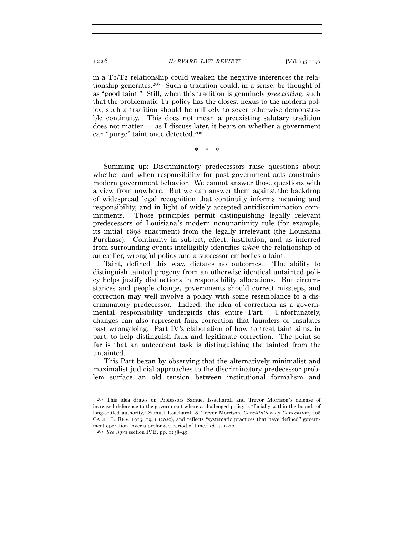in a  $T_1/T_2$  relationship could weaken the negative inferences the relationship generates.207 Such a tradition could, in a sense, be thought of as "good taint." Still, when this tradition is genuinely *preexisting*, such that the problematic T1 policy has the closest nexus to the modern policy, such a tradition should be unlikely to sever otherwise demonstrable continuity. This does not mean a preexisting salutary tradition does not matter — as I discuss later, it bears on whether a government can "purge" taint once detected.208

\* \* \*

Summing up: Discriminatory predecessors raise questions about whether and when responsibility for past government acts constrains modern government behavior. We cannot answer those questions with a view from nowhere. But we can answer them against the backdrop of widespread legal recognition that continuity informs meaning and responsibility, and in light of widely accepted antidiscrimination commitments. Those principles permit distinguishing legally relevant predecessors of Louisiana's modern nonunanimity rule (for example, its initial 1898 enactment) from the legally irrelevant (the Louisiana Purchase). Continuity in subject, effect, institution, and as inferred from surrounding events intelligibly identifies *when* the relationship of an earlier, wrongful policy and a successor embodies a taint.

Taint, defined this way, dictates no outcomes. The ability to distinguish tainted progeny from an otherwise identical untainted policy helps justify distinctions in responsibility allocations. But circumstances and people change, governments should correct missteps, and correction may well involve a policy with some resemblance to a discriminatory predecessor. Indeed, the idea of correction as a governmental responsibility undergirds this entire Part. Unfortunately, changes can also represent faux correction that launders or insulates past wrongdoing. Part IV's elaboration of how to treat taint aims, in part, to help distinguish faux and legitimate correction. The point so far is that an antecedent task is distinguishing the tainted from the untainted.

This Part began by observing that the alternatively minimalist and maximalist judicial approaches to the discriminatory predecessor problem surface an old tension between institutional formalism and

<sup>207</sup> This idea draws on Professors Samuel Issacharoff and Trevor Morrison's defense of increased deference to the government where a challenged policy is "facially within the bounds of long-settled authority," Samuel Issacharoff & Trevor Morrison, *Constitution by Convention*, 108 CALIF. L. REV. 1913, 1941 (2020), and reflects "systematic practices that have defined" government operation "over a prolonged period of time," *id.* at <sup>1920</sup>. 208 *See infra* section IV.B, pp. 1238–45.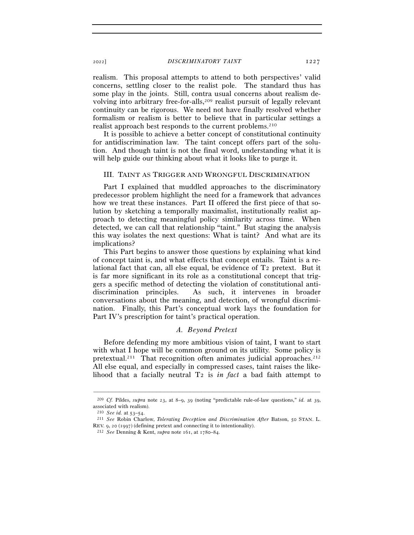realism. This proposal attempts to attend to both perspectives' valid concerns, settling closer to the realist pole. The standard thus has some play in the joints. Still, contra usual concerns about realism devolving into arbitrary free-for-alls,<sup>209</sup> realist pursuit of legally relevant continuity can be rigorous. We need not have finally resolved whether formalism or realism is better to believe that in particular settings a realist approach best responds to the current problems.210

It is possible to achieve a better concept of constitutional continuity for antidiscrimination law. The taint concept offers part of the solution. And though taint is not the final word, understanding what it is will help guide our thinking about what it looks like to purge it.

### III. TAINT AS TRIGGER AND WRONGFUL DISCRIMINATION

Part I explained that muddled approaches to the discriminatory predecessor problem highlight the need for a framework that advances how we treat these instances. Part II offered the first piece of that solution by sketching a temporally maximalist, institutionally realist approach to detecting meaningful policy similarity across time. When detected, we can call that relationship "taint." But staging the analysis this way isolates the next questions: What is taint? And what are its implications?

This Part begins to answer those questions by explaining what kind of concept taint is, and what effects that concept entails. Taint is a relational fact that can, all else equal, be evidence of T2 pretext. But it is far more significant in its role as a constitutional concept that triggers a specific method of detecting the violation of constitutional antidiscrimination principles. As such, it intervenes in broader conversations about the meaning, and detection, of wrongful discrimination. Finally, this Part's conceptual work lays the foundation for Part IV's prescription for taint's practical operation.

# *A. Beyond Pretext*

Before defending my more ambitious vision of taint, I want to start with what I hope will be common ground on its utility. Some policy is pretextual.<sup>211</sup> That recognition often animates judicial approaches.<sup>212</sup> All else equal, and especially in compressed cases, taint raises the likelihood that a facially neutral T2 is *in fact* a bad faith attempt to

<sup>–––––––––––––––––––––––––––––––––––––––––––––––––––––––––––––</sup> <sup>209</sup> *Cf.* Pildes, *supra* note 23, at 8–9, 39 (noting "predictable rule-of-law questions," *id.* at 39, associated with realism).<br> $^{210}$  *See id.* at  $53-54$ .

<sup>&</sup>lt;sup>211</sup> *See* Robin Charlow, *Tolerating Deception and Discrimination After* Batson, 50 STAN. L. REV. 9, 20 (<sup>1997</sup>) (defining pretext and connecting it to intentionality). 212 *See* Denning & Kent, *supra* note 161, at 1780–84.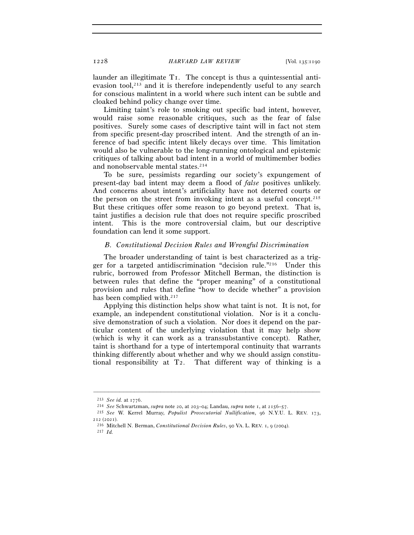launder an illegitimate T1. The concept is thus a quintessential antievasion tool,<sup>213</sup> and it is therefore independently useful to any search for conscious malintent in a world where such intent can be subtle and cloaked behind policy change over time.

Limiting taint's role to smoking out specific bad intent, however, would raise some reasonable critiques, such as the fear of false positives. Surely some cases of descriptive taint will in fact not stem from specific present-day proscribed intent. And the strength of an inference of bad specific intent likely decays over time. This limitation would also be vulnerable to the long-running ontological and epistemic critiques of talking about bad intent in a world of multimember bodies and nonobservable mental states.214

To be sure, pessimists regarding our society's expungement of present-day bad intent may deem a flood of *false* positives unlikely. And concerns about intent's artificiality have not deterred courts or the person on the street from invoking intent as a useful concept.215 But these critiques offer some reason to go beyond pretext. That is, taint justifies a decision rule that does not require specific proscribed intent. This is the more controversial claim, but our descriptive foundation can lend it some support.

# *B. Constitutional Decision Rules and Wrongful Discrimination*

The broader understanding of taint is best characterized as a trigger for a targeted antidiscrimination "decision rule."216 Under this rubric, borrowed from Professor Mitchell Berman, the distinction is between rules that define the "proper meaning" of a constitutional provision and rules that define "how to decide whether" a provision has been complied with.<sup>217</sup>

Applying this distinction helps show what taint is not. It is not, for example, an independent constitutional violation. Nor is it a conclusive demonstration of such a violation. Nor does it depend on the particular content of the underlying violation that it may help show (which is why it can work as a transsubstantive concept). Rather, taint is shorthand for a type of intertemporal continuity that warrants thinking differently about whether and why we should assign constitutional responsibility at T2. That different way of thinking is a

<sup>&</sup>lt;sup>213</sup> See id. at 1776.<br><sup>214</sup> See Schwartzman, *supra* note 20, at 203–04; Landau, *supra* note 1, at 2156–57.<br><sup>215</sup> See W. Kerrel Murray, *Populist Prosecutorial Nullification*, 96 N.Y.U. L. REV. 173,

<sup>212</sup> (<sup>2021</sup>). 216 Mitchell N. Berman, *Constitutional Decision Rules*, 90 VA. L. REV. 1, 9 (<sup>2004</sup>). 217 *Id.*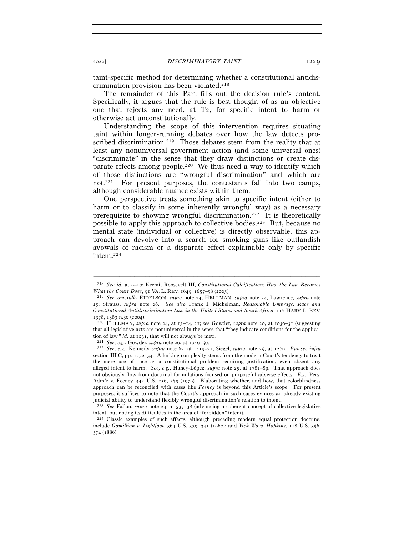taint-specific method for determining whether a constitutional antidiscrimination provision has been violated.218

The remainder of this Part fills out the decision rule's content. Specifically, it argues that the rule is best thought of as an objective one that rejects any need, at T2, for specific intent to harm or otherwise act unconstitutionally.

Understanding the scope of this intervention requires situating taint within longer-running debates over how the law detects proscribed discrimination.<sup>219</sup> Those debates stem from the reality that at least any nonuniversal government action (and some universal ones) "discriminate" in the sense that they draw distinctions or create disparate effects among people.220 We thus need a way to identify which of those distinctions are "wrongful discrimination" and which are not.221 For present purposes, the contestants fall into two camps, although considerable nuance exists within them.

One perspective treats something akin to specific intent (either to harm or to classify in some inherently wrongful way) as a necessary prerequisite to showing wrongful discrimination.222 It is theoretically possible to apply this approach to collective bodies.223 But, because no mental state (individual or collective) is directly observable, this approach can devolve into a search for smoking guns like outlandish avowals of racism or a disparate effect explainable only by specific intent.224

intent, but noting its difficulties in the area of "forbidden" intent).<br><sup>224</sup> Classic examples of such effects, although preceding modern equal protection doctrine,

<sup>–––––––––––––––––––––––––––––––––––––––––––––––––––––––––––––</sup> <sup>218</sup> *See id.* at 9–10; Kermit Roosevelt III, *Constitutional Calcification: How the Law Becomes* 

*What the Court Does*, 91 VA. L. REV. 1649, 1657–58 (<sup>2005</sup>). 219 *See generally* EIDELSON, *supra* note 24; HELLMAN, *supra* note 24; Lawrence, *supra* note 25; Strauss, *supra* note 26. *See also* Frank I. Michelman, *Reasonable Umbrage: Race and Constitutional Antidiscrimination Law in the United States and South Africa*, 117 HARV. L. REV.

<sup>1378</sup>, 1383 n.30 (<sup>2004</sup>). 220 HELLMAN, *supra* note 24, at 13–14, 27; *see* Gowder, *supra* note 20, at 1030–31 (suggesting that all legislative acts are nonuniversal in the sense that "they indicate conditions for the application of law," *id.* at 1031, that will not always be met).<br><sup>221</sup> See, e.g., Gowder, supra note 20, at 1049–50.<br><sup>222</sup> See, e.g., Kennedy, supra note 62, at 1419–21; Siegel, supra note 25, at 1279. But see infra

section III.C, pp. 1232–34. A lurking complexity stems from the modern Court's tendency to treat the mere use of race as a constitutional problem requiring justification, even absent any alleged intent to harm. *See, e.g.*, Haney-López, *supra* note 25, at 1781–89. That approach does not obviously flow from doctrinal formulations focused on purposeful adverse effects. *E.g.*, Pers. Adm'r v. Feeney, 442 U.S. 256, 279 (1979). Elaborating whether, and how, that colorblindness approach can be reconciled with cases like *Feeney* is beyond this Article's scope. For present purposes, it suffices to note that the Court's approach in such cases evinces an already existing judicial ability to understand flexibly wrongful discrimination's relation to intent. 223 *See* Fallon, *supra* note 24, at 537–38 (advancing a coherent concept of collective legislative

include *Gomillion v. Lightfoot*, 364 U.S. 339, 341 (1960); and *Yick Wo v. Hopkins*, 118 U.S. 356, 374 (1886).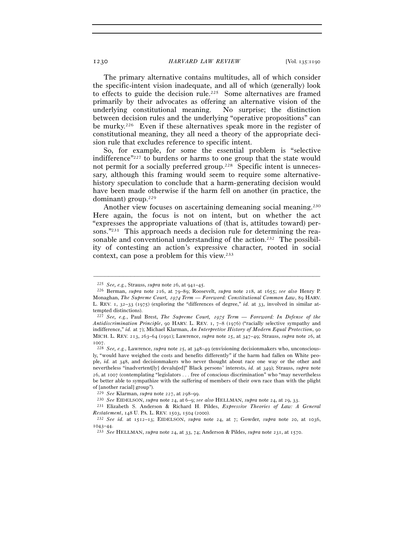The primary alternative contains multitudes, all of which consider the specific-intent vision inadequate, and all of which (generally) look to effects to guide the decision rule.<sup>225</sup> Some alternatives are framed primarily by their advocates as offering an alternative vision of the underlying constitutional meaning. No surprise; the distinction between decision rules and the underlying "operative propositions" can be murky.226 Even if these alternatives speak more in the register of constitutional meaning, they all need a theory of the appropriate decision rule that excludes reference to specific intent.

So, for example, for some the essential problem is "selective indifference"227 to burdens or harms to one group that the state would not permit for a socially preferred group.228 Specific intent is unnecessary, although this framing would seem to require some alternativehistory speculation to conclude that a harm-generating decision would have been made otherwise if the harm fell on another (in practice, the dominant) group.229

Another view focuses on ascertaining demeaning social meaning.<sup>230</sup> Here again, the focus is not on intent, but on whether the act "expresses the appropriate valuations of (that is, attitudes toward) persons."231 This approach needs a decision rule for determining the reasonable and conventional understanding of the action.<sup>232</sup> The possibility of contesting an action's expressive character, rooted in social context, can pose a problem for this view.233

<sup>225</sup> *See, e.g.*, Strauss, *supra* note 26, at 941–<sup>45</sup>. 226 Berman, *supra* note 216, at 79–89; Roosevelt, *supra* note 218, at 1655; *see also* Henry P. Monaghan, *The Supreme Court,* 1974 *Term — Foreword: Constitutional Common Law*, 89 HARV. L. REV. 1, 32–33 (1975) (exploring the "differences of degree," *id.* at 33, involved in similar attempted distinctions).

<sup>227</sup> *See, e.g.*, Paul Brest, *The Supreme Court,* 1975 *Term — Foreword: In Defense of the Antidiscrimination Principle*, 90 HARV. L. REV. 1, 7–8 (1976) ("racially selective sympathy and indifference," *id.* at 7); Michael Klarman, *An Interpretive History of Modern Equal Protection*, 90 MICH. L. REV. 213, 263–64 (1991); Lawrence, *supra* note 25, at 347–49; Strauss, *supra* note 26, at <sup>1007</sup>. 228 *See, e.g.*, Lawrence, *supra* note 25, at 348–49 (envisioning decisionmakers who, unconscious-

ly, "would have weighed the costs and benefits differently" if the harm had fallen on White people, *id.* at 348, and decisionmakers who never thought about race one way or the other and nevertheless "inadvertent[ly] devalu[ed]" Black persons' interests, *id.* at 349); Strauss, *supra* note 26, at 1007 (contemplating "legislators . . . free of conscious discrimination" who "may nevertheless be better able to sympathize with the suffering of members of their own race than with the plight of [another racial] group").

<sup>&</sup>lt;sup>229</sup> See Klarman, supra note 227, at 298–99.<br><sup>230</sup> See EIDELSON, supra note 24, at 6–9; see also HELLMAN, supra note 24, at 29, 33.<br><sup>231</sup> Elizabeth S. Anderson & Richard H. Pildes, *Expressive Theories of Law: A General* 

*Restatement*, <sup>148</sup> U. PA. L. REV. 1503, 1504 (<sup>2000</sup>). 232 *See id.* at 1512–13; EIDELSON, *supra* note 24, at 7; Gowder, *supra* note 20, at 1036,

<sup>1043</sup>–<sup>44</sup>. 233 *See* HELLMAN, *supra* note 24, at 33, 74; Anderson & Pildes, *supra* note 231, at 1570.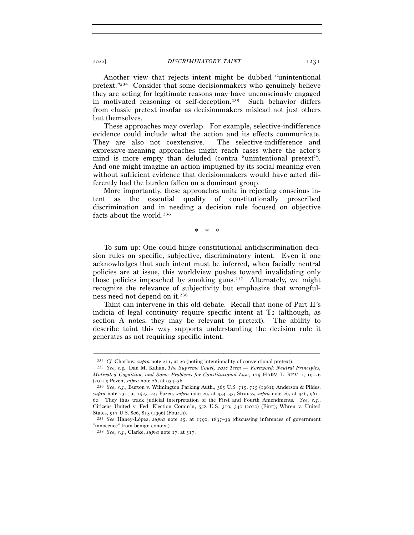Another view that rejects intent might be dubbed "unintentional pretext."234 Consider that some decisionmakers who genuinely believe they are acting for legitimate reasons may have unconsciously engaged in motivated reasoning or self-deception.235 Such behavior differs from classic pretext insofar as decisionmakers mislead not just others but themselves.

These approaches may overlap. For example, selective-indifference evidence could include what the action and its effects communicate. They are also not coextensive. The selective-indifference and expressive-meaning approaches might reach cases where the actor's mind is more empty than deluded (contra "unintentional pretext"). And one might imagine an action impugned by its social meaning even without sufficient evidence that decisionmakers would have acted differently had the burden fallen on a dominant group.

More importantly, these approaches unite in rejecting conscious intent as the essential quality of constitutionally proscribed discrimination and in needing a decision rule focused on objective facts about the world.236

\* \* \*

To sum up: One could hinge constitutional antidiscrimination decision rules on specific, subjective, discriminatory intent. Even if one acknowledges that such intent must be inferred, when facially neutral policies are at issue, this worldview pushes toward invalidating only those policies impeached by smoking guns.<sup>237</sup> Alternately, we might recognize the relevance of subjectivity but emphasize that wrongfulness need not depend on it.238

Taint can intervene in this old debate. Recall that none of Part II's indicia of legal continuity require specific intent at  $T_2$  (although, as section A notes, they may be relevant to pretext). The ability to describe taint this way supports understanding the decision rule it generates as not requiring specific intent.

<sup>234</sup> *Cf.* Charlow, *supra* note 211, at <sup>20</sup> (noting intentionality of conventional pretext). 235 *See, e.g.*, Dan M. Kahan, *The Supreme Court,* 2010 *Term — Foreword: Neutral Principles, Motivated Cognition, and Some Problems for Constitutional Law*, 125 HARV. L. REV. 1, 19–26 (2011); Pozen, *supra* note 26, at 934–<sup>36</sup>. 236 *See, e.g.*, Burton v. Wilmington Parking Auth., 365 U.S. 715, 725 (1961); Anderson & Pildes,

*supra* note 231, at 1523–24; Pozen, *supra* note 26, at 934–35; Strauss, *supra* note 26, at 946, 961– 62. They thus track judicial interpretation of the First and Fourth Amendments. *See, e.g.*, Citizens United v. Fed. Election Comm'n, 558 U.S. 310, 340 (2010) (First); Whren v. United States, 517 U.S. 806, 813 (<sup>1996</sup>) (Fourth). 237 *See* Haney-López, *supra* note 25, at 1790, 1837–39 (discussing inferences of government

<sup>&</sup>quot;innocence" from benign context).

<sup>238</sup> *See, e.g.*, Clarke, *supra* note 17, at 517.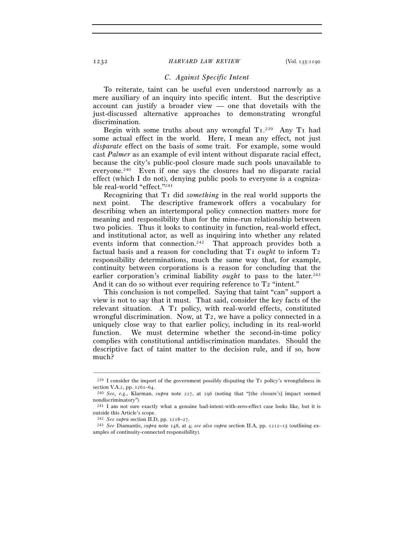## *C. Against Specific Intent*

To reiterate, taint can be useful even understood narrowly as a mere auxiliary of an inquiry into specific intent. But the descriptive account can justify a broader view — one that dovetails with the just-discussed alternative approaches to demonstrating wrongful discrimination.

Begin with some truths about any wrongful T1.<sup>239</sup> Any T1 had some actual effect in the world. Here, I mean any effect, not just *disparate* effect on the basis of some trait. For example, some would cast *Palmer* as an example of evil intent without disparate racial effect, because the city's public-pool closure made such pools unavailable to everyone.240 Even if one says the closures had no disparate racial effect (which I do not), denying public pools to everyone is a cognizable real-world "effect."241

Recognizing that T1 did *something* in the real world supports the next point. The descriptive framework offers a vocabulary for describing when an intertemporal policy connection matters more for meaning and responsibility than for the mine-run relationship between two policies. Thus it looks to continuity in function, real-world effect, and institutional actor, as well as inquiring into whether any related events inform that connection.<sup>242</sup> That approach provides both a factual basis and a reason for concluding that T<sub>1</sub> *ought* to inform T<sub>2</sub> responsibility determinations, much the same way that, for example, continuity between corporations is a reason for concluding that the earlier corporation's criminal liability *ought* to pass to the later.<sup>243</sup> And it can do so without ever requiring reference to T<sub>2</sub> "intent."

This conclusion is not compelled. Saying that taint "can" support a view is not to say that it must. That said, consider the key facts of the relevant situation. A T1 policy, with real-world effects, constituted wrongful discrimination. Now, at T2, we have a policy connected in a uniquely close way to that earlier policy, including in its real-world function. We must determine whether the second-in-time policy complies with constitutional antidiscrimination mandates. Should the descriptive fact of taint matter to the decision rule, and if so, how much?

<sup>–––––––––––––––––––––––––––––––––––––––––––––––––––––––––––––</sup> <sup>239</sup> I consider the import of the government possibly disputing the T<sub>1</sub> policy's wrongfulness in section V.A.<sub>2</sub>, pp.  $1261-64$ .

<sup>&</sup>lt;sup>240</sup> *See, e.g.*, Klarman, *supra* note 227, at 296 (noting that "[the closure's] impact seemed nondiscriminatory").

<sup>241</sup> I am not sure exactly what a genuine bad-intent-with-zero-effect case looks like, but it is outside this Article's scope.

<sup>242</sup> *See supra* section II.D, pp. 1218–27*.* 

<sup>243</sup> *See* Diamantis, *supra* note 148, at 4; *see also supra* section II.A, pp. 1212–15 (outlining examples of continuity-connected responsibility).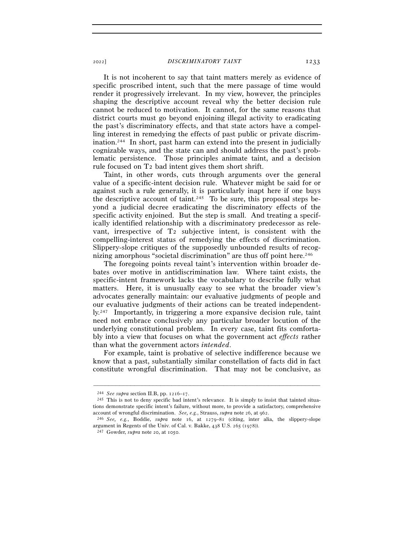It is not incoherent to say that taint matters merely as evidence of specific proscribed intent, such that the mere passage of time would render it progressively irrelevant. In my view, however, the principles shaping the descriptive account reveal why the better decision rule cannot be reduced to motivation. It cannot, for the same reasons that district courts must go beyond enjoining illegal activity to eradicating the past's discriminatory effects, and that state actors have a compelling interest in remedying the effects of past public or private discrimination.244 In short, past harm can extend into the present in judicially cognizable ways, and the state can and should address the past's problematic persistence. Those principles animate taint, and a decision rule focused on T2 bad intent gives them short shrift.

Taint, in other words, cuts through arguments over the general value of a specific-intent decision rule. Whatever might be said for or against such a rule generally, it is particularly inapt here if one buys the descriptive account of taint.<sup>245</sup> To be sure, this proposal steps beyond a judicial decree eradicating the discriminatory effects of the specific activity enjoined. But the step is small. And treating a specifically identified relationship with a discriminatory predecessor as relevant, irrespective of T2 subjective intent, is consistent with the compelling-interest status of remedying the effects of discrimination. Slippery-slope critiques of the supposedly unbounded results of recognizing amorphous "societal discrimination" are thus off point here.<sup>246</sup>

The foregoing points reveal taint's intervention within broader debates over motive in antidiscrimination law. Where taint exists, the specific-intent framework lacks the vocabulary to describe fully what matters. Here, it is unusually easy to see what the broader view's advocates generally maintain: our evaluative judgments of people and our evaluative judgments of their actions can be treated independently.247 Importantly, in triggering a more expansive decision rule, taint need not embrace conclusively any particular broader locution of the underlying constitutional problem. In every case, taint fits comfortably into a view that focuses on what the government act *effects* rather than what the government actors *intended*.

For example, taint is probative of selective indifference because we know that a past, substantially similar constellation of facts did in fact constitute wrongful discrimination. That may not be conclusive, as

<sup>&</sup>lt;sup>244</sup> *See supra* section II.B, pp.  $1216-17$ .<br><sup>245</sup> This is not to deny specific bad intent's relevance. It is simply to insist that tainted situations demonstrate specific intent's failure, without more, to provide a satisfactory, comprehensive account of wrongful discrimination. *See, e.g.*, Strauss, *supra* note 26, at <sup>962</sup>. 246 *See, e.g.*, Boddie, *supra* note 16, at 1279–81 (citing, inter alia, the slippery-slope

argument in Regents of the Univ. of Cal. v. Bakke, 438 U.S. 265 (<sup>1978</sup>)). 247 Gowder, *supra* note 20, at 1050.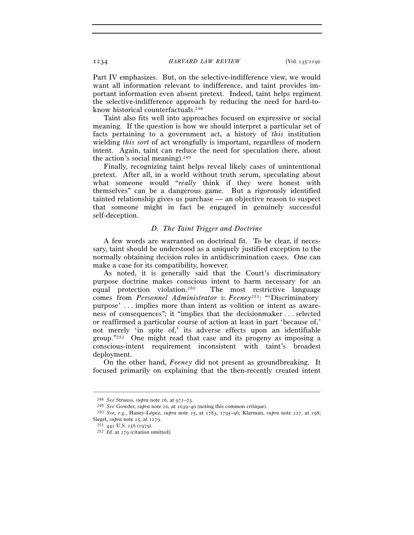Part IV emphasizes. But, on the selective-indifference view, we would want all information relevant to indifference, and taint provides important information even absent pretext. Indeed, taint helps regiment the selective-indifference approach by reducing the need for hard-toknow historical counterfactuals.248

Taint also fits well into approaches focused on expressive or social meaning. If the question is how we should interpret a particular set of facts pertaining to a government act, a history of *this* institution wielding *this sort* of act wrongfully is important, regardless of modern intent. Again, taint can reduce the need for speculation (here, about the action's social meaning).<sup>249</sup>

Finally, recognizing taint helps reveal likely cases of unintentional pretext. After all, in a world without truth serum, speculating about what someone would "*really* think if they were honest with themselves" can be a dangerous game. But a rigorously identified tainted relationship gives us purchase — an objective reason to suspect that someone might in fact be engaged in genuinely successful self-deception.

### *D. The Taint Trigger and Doctrine*

A few words are warranted on doctrinal fit. To be clear, if necessary, taint should be understood as a uniquely justified exception to the normally obtaining decision rules in antidiscrimination cases. One can make a case for its compatibility, however.

As noted, it is generally said that the Court's discriminatory purpose doctrine makes conscious intent to harm necessary for an equal protection violation.250 The most restrictive language comes from *Personnel Administrator v. Feeney*251: "'Discriminatory purpose' . . . implies more than intent as volition or intent as awareness of consequences"; it "implies that the decisionmaker . . . selected or reaffirmed a particular course of action at least in part 'because of,' not merely 'in spite of,' its adverse effects upon an identifiable group."252 One might read that case and its progeny as imposing a conscious-intent requirement inconsistent with taint's broadest deployment.

On the other hand, *Feeney* did not present as groundbreaking. It focused primarily on explaining that the then-recently created intent

<sup>&</sup>lt;sup>248</sup> See Strauss, *supra* note 26, at 972–73.<br><sup>249</sup> See Gowder, *supra* note 20, at 1039–40 (noting this common critique).<br><sup>250</sup> See, e.g., Haney-López, *supra* note 25, at 1783, 1795–96; Klarman, *supra* note 227, at 29 Siegel, *supra* note 25, at <sup>1279</sup>. 251 <sup>442</sup> U.S. 256 (<sup>1979</sup>). 252 *Id.* at 279 (citation omitted).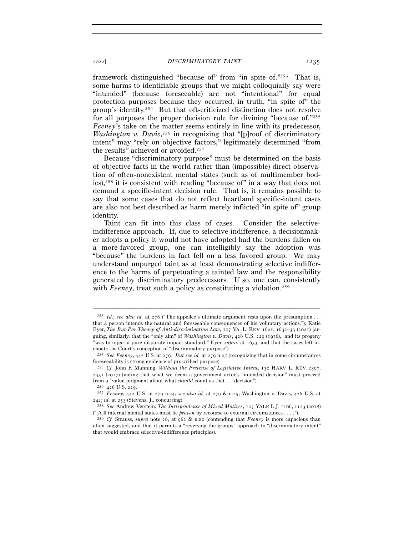framework distinguished "because of" from "in spite of."253 That is, some harms to identifiable groups that we might colloquially say were "intended" (because foreseeable) are not "intentional" for equal protection purposes because they occurred, in truth, "in spite of" the group's identity.254 But that oft-criticized distinction does not resolve for all purposes the proper decision rule for divining "because of."255 *Feeney*'s take on the matter seems entirely in line with its predecessor, Washington v. Davis,<sup>256</sup> in recognizing that "[p]roof of discriminatory intent" may "rely on objective factors," legitimately determined "from the results" achieved or avoided.<sup>257</sup>

Because "discriminatory purpose" must be determined on the basis of objective facts in the world rather than (impossible) direct observation of often-nonexistent mental states (such as of multimember bodies),258 it is consistent with reading "because of" in a way that does not demand a specific-intent decision rule. That is, it remains possible to say that some cases that do not reflect heartland specific-intent cases are also not best described as harm merely inflicted "in spite of" group identity.

Taint can fit into this class of cases. Consider the selectiveindifference approach. If, due to selective indifference, a decisionmaker adopts a policy it would not have adopted had the burdens fallen on a more-favored group, one can intelligibly say the adoption was "because" the burdens in fact fell on a less favored group. We may understand unpurged taint as at least demonstrating selective indifference to the harms of perpetuating a tainted law and the responsibility generated by discriminatory predecessors. If so, one can, consistently with *Feeney*, treat such a policy as constituting a violation.<sup>259</sup>

<sup>253</sup> *Id.*; *see also id.* at 278 ("The appellee's ultimate argument rests upon the presumption . . . that a person intends the natural and foreseeable consequences of his voluntary actions."); Katie Eyer, *The But-For Theory of Anti-discrimination Law*, 107 VA. L. REV. 1621, 1632-33 (2021) (arguing, similarly, that the "only aim" of *Washington v. Davis*, 426 U.S. 229 (1976), and its progeny "was to reject a pure disparate impact standard," Eyer, *supra*, at 1633, and that the cases left inchoate the Court's conception of "discriminatory purpose").

<sup>254</sup> *See Feeney*, 442 U.S. at 279. *But see id.* at 279 n.25 (recognizing that in some circumstances foreseeability is strong evidence of proscribed purpose).

<sup>255</sup> *Cf.* John F. Manning, *Without the Pretense of Legislative Intent*, 130 HARV. L. REV. 2397,  $2431$  ( $2017$ ) (noting that what we deem a government actor's "intended decision" must proceed from a "value judgment about what *should* count as that . . . decision"). 256 <sup>426</sup> U.S. <sup>229</sup>. 257 *Feeney*, 442 U.S. at 279 n.24; *see also id.* at 279 & n.25; Washington v. Davis, 426 U.S. at

<sup>242</sup>; *id.* at <sup>253</sup> (Stevens, J., concurring). 258 *See* Andrew Verstein, *The Jurisprudence of Mixed Motives*, 127 YALE L.J. 1106, 1123 (2018)

<sup>(&</sup>quot;[A]ll internal mental states must be *proven* by recourse to external circumstances . . . .").

<sup>259</sup> *Cf.* Strauss, *supra* note 26, at 962 & n.80 (contending that *Feeney* is more capacious than often suggested, and that it permits a "reversing the groups" approach to "discriminatory intent" that would embrace selective-indifference principles).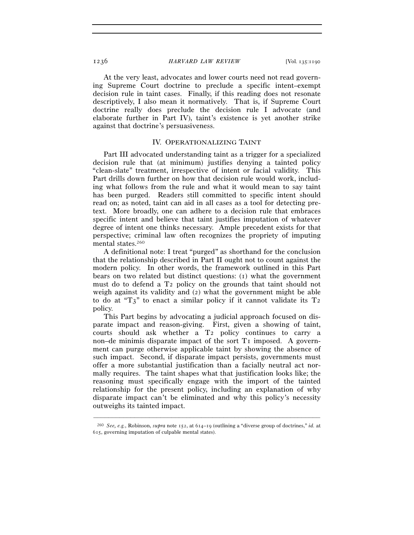At the very least, advocates and lower courts need not read governing Supreme Court doctrine to preclude a specific intent–exempt decision rule in taint cases. Finally, if this reading does not resonate descriptively, I also mean it normatively. That is, if Supreme Court doctrine really does preclude the decision rule I advocate (and elaborate further in Part IV), taint's existence is yet another strike against that doctrine's persuasiveness.

### IV. OPERATIONALIZING TAINT

Part III advocated understanding taint as a trigger for a specialized decision rule that (at minimum) justifies denying a tainted policy "clean-slate" treatment, irrespective of intent or facial validity. This Part drills down further on how that decision rule would work, including what follows from the rule and what it would mean to say taint has been purged. Readers still committed to specific intent should read on; as noted, taint can aid in all cases as a tool for detecting pretext. More broadly, one can adhere to a decision rule that embraces specific intent and believe that taint justifies imputation of whatever degree of intent one thinks necessary. Ample precedent exists for that perspective; criminal law often recognizes the propriety of imputing mental states.260

A definitional note: I treat "purged" as shorthand for the conclusion that the relationship described in Part II ought not to count against the modern policy. In other words, the framework outlined in this Part bears on two related but distinct questions: (1) what the government must do to defend a T2 policy on the grounds that taint should not weigh against its validity and (2) what the government might be able to do at " $T_3$ " to enact a similar policy if it cannot validate its  $T_2$ policy.

This Part begins by advocating a judicial approach focused on disparate impact and reason-giving. First, given a showing of taint, courts should ask whether a T2 policy continues to carry a non–de minimis disparate impact of the sort T1 imposed. A government can purge otherwise applicable taint by showing the absence of such impact. Second, if disparate impact persists, governments must offer a more substantial justification than a facially neutral act normally requires. The taint shapes what that justification looks like; the reasoning must specifically engage with the import of the tainted relationship for the present policy, including an explanation of why disparate impact can't be eliminated and why this policy's necessity outweighs its tainted impact.

<sup>–––––––––––––––––––––––––––––––––––––––––––––––––––––––––––––</sup> <sup>260</sup> *See, e.g.*, Robinson, *supra* note 152, at 614–19 (outlining a "diverse group of doctrines," *id.* at 615, governing imputation of culpable mental states).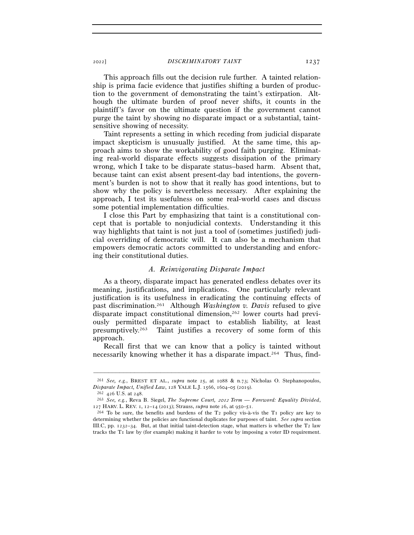This approach fills out the decision rule further. A tainted relationship is prima facie evidence that justifies shifting a burden of production to the government of demonstrating the taint's extirpation. Although the ultimate burden of proof never shifts, it counts in the plaintiff's favor on the ultimate question if the government cannot purge the taint by showing no disparate impact or a substantial, taintsensitive showing of necessity.

Taint represents a setting in which receding from judicial disparate impact skepticism is unusually justified. At the same time, this approach aims to show the workability of good faith purging. Eliminating real-world disparate effects suggests dissipation of the primary wrong, which I take to be disparate status–based harm. Absent that, because taint can exist absent present-day bad intentions, the government's burden is not to show that it really has good intentions, but to show why the policy is nevertheless necessary. After explaining the approach, I test its usefulness on some real-world cases and discuss some potential implementation difficulties.

I close this Part by emphasizing that taint is a constitutional concept that is portable to nonjudicial contexts. Understanding it this way highlights that taint is not just a tool of (sometimes justified) judicial overriding of democratic will. It can also be a mechanism that empowers democratic actors committed to understanding and enforcing their constitutional duties.

### *A. Reinvigorating Disparate Impact*

As a theory, disparate impact has generated endless debates over its meaning, justifications, and implications. One particularly relevant justification is its usefulness in eradicating the continuing effects of past discrimination.261 Although *Washington v. Davis* refused to give disparate impact constitutional dimension,262 lower courts had previously permitted disparate impact to establish liability, at least presumptively.263 Taint justifies a recovery of some form of this approach.

Recall first that we can know that a policy is tainted without necessarily knowing whether it has a disparate impact.<sup>264</sup> Thus, find-

<sup>–––––––––––––––––––––––––––––––––––––––––––––––––––––––––––––</sup> <sup>261</sup> *See, e.g.*, BREST ET AL., *supra* note 25, at 1088 & n.73; Nicholas O. Stephanopoulos, *Disparate Impact, Unified Law*, 128 YALE L.J. 1566, 1604–05 (2019).<br><sup>262</sup> 426 U.S. at 248.<br><sup>263</sup> *See, e.g.*, Reva B. Siegel, *The Supreme Court, 2012 Term — Foreword: Equality Divided,* 

<sup>127</sup> HARV. L. REV. 1, 12–14 (2013); Strauss, *supra* note 26, at 950–51.<br><sup>264</sup> To be sure, the benefits and burdens of the T2 policy vis-à-vis the T1 policy are key to

determining whether the policies are functional duplicates for purposes of taint. *See supra* section III.C, pp. 1232–34. But, at that initial taint-detection stage, what matters is whether the T2 law tracks the T1 law by (for example) making it harder to vote by imposing a voter ID requirement.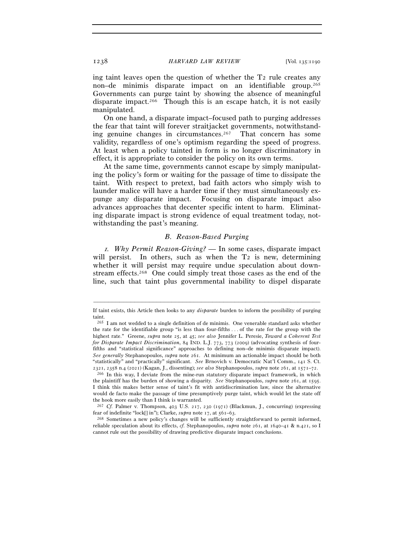ing taint leaves open the question of whether the T2 rule creates any non–de minimis disparate impact on an identifiable group.265 Governments can purge taint by showing the absence of meaningful disparate impact.<sup>266</sup> Though this is an escape hatch, it is not easily manipulated.

On one hand, a disparate impact–focused path to purging addresses the fear that taint will forever straitjacket governments, notwithstanding genuine changes in circumstances.267 That concern has some validity, regardless of one's optimism regarding the speed of progress. At least when a policy tainted in form is no longer discriminatory in effect, it is appropriate to consider the policy on its own terms.

At the same time, governments cannot escape by simply manipulating the policy's form or waiting for the passage of time to dissipate the taint. With respect to pretext, bad faith actors who simply wish to launder malice will have a harder time if they must simultaneously expunge any disparate impact. Focusing on disparate impact also advances approaches that decenter specific intent to harm. Eliminating disparate impact is strong evidence of equal treatment today, notwithstanding the past's meaning.

# *B. Reason-Based Purging*

<sup>1</sup>*. Why Permit Reason-Giving? —* In some cases, disparate impact will persist. In others, such as when the T<sub>2</sub> is new, determining whether it will persist may require undue speculation about downstream effects.268 One could simply treat those cases as the end of the line, such that taint plus governmental inability to dispel disparate

<sup>–––––––––––––––––––––––––––––––––––––––––––––––––––––––––––––</sup> If taint exists, this Article then looks to any *disparate* burden to inform the possibility of purging taint.

<sup>265</sup> I am not wedded to a single definition of de minimis. One venerable standard asks whether the rate for the identifiable group "is less than four-fifths . . . of the rate for the group with the highest rate." Greene, *supra* note 25, at 45; *see also* Jennifer L. Peresie, *Toward a Coherent Test for Disparate Impact Discrimination*, 84 IND. L.J. 773, 773 (2009) (advocating synthesis of fourfifths and "statistical significance" approaches to defining non–de minimis disparate impact). *See generally* Stephanopoulos, *supra* note 261. At minimum an actionable impact should be both "statistically" and "practically" significant. *See* Brnovich v. Democratic Nat'l Comm., 141 S. Ct. <sup>2321</sup>, 2358 n.4 (2021) (Kagan, J., dissenting); *see also* Stephanopoulos, *supra* note 261, at 1571–<sup>72</sup>. 266 In this way, I deviate from the mine-run statutory disparate impact framework, in which

the plaintiff has the burden of showing a disparity. *See* Stephanopoulos, *supra* note 261, at 1595. I think this makes better sense of taint's fit with antidiscrimination law, since the alternative would de facto make the passage of time presumptively purge taint, which would let the state off the hook more easily than I think is warranted.

<sup>&</sup>lt;sup>267</sup> *Cf.* Palmer v. Thompson, 403 U.S. 217, 230 (1971) (Blackmun, J., concurring) (expressing fear of indefinite "lock[] in"); Clarke, *supra* note 17, at 561–<sup>63</sup>. 268 Sometimes a new policy's changes will be sufficiently straightforward to permit informed,

reliable speculation about its effects, *cf.* Stephanopoulos, *supra* note 261, at 1640–41 & n.421, so I cannot rule out the possibility of drawing predictive disparate impact conclusions.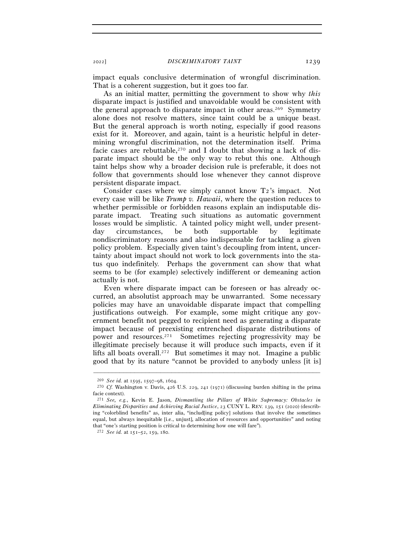impact equals conclusive determination of wrongful discrimination. That is a coherent suggestion, but it goes too far.

As an initial matter, permitting the government to show why *this* disparate impact is justified and unavoidable would be consistent with the general approach to disparate impact in other areas.<sup>269</sup> Symmetry alone does not resolve matters, since taint could be a unique beast. But the general approach is worth noting, especially if good reasons exist for it. Moreover, and again, taint is a heuristic helpful in determining wrongful discrimination, not the determination itself. Prima facie cases are rebuttable,<sup>270</sup> and I doubt that showing a lack of disparate impact should be the only way to rebut this one. Although taint helps show why a broader decision rule is preferable, it does not follow that governments should lose whenever they cannot disprove persistent disparate impact.

Consider cases where we simply cannot know T2's impact. Not every case will be like *Trump v. Hawaii*, where the question reduces to whether permissible or forbidden reasons explain an indisputable disparate impact. Treating such situations as automatic government losses would be simplistic. A tainted policy might well, under presentday circumstances, be both supportable by legitimate nondiscriminatory reasons and also indispensable for tackling a given policy problem. Especially given taint's decoupling from intent, uncertainty about impact should not work to lock governments into the status quo indefinitely. Perhaps the government can show that what seems to be (for example) selectively indifferent or demeaning action actually is not.

Even where disparate impact can be foreseen or has already occurred, an absolutist approach may be unwarranted. Some necessary policies may have an unavoidable disparate impact that compelling justifications outweigh. For example, some might critique any government benefit not pegged to recipient need as generating a disparate impact because of preexisting entrenched disparate distributions of power and resources.271 Sometimes rejecting progressivity may be illegitimate precisely because it will produce such impacts, even if it lifts all boats overall.<sup>272</sup> But sometimes it may not. Imagine a public good that by its nature "cannot be provided to anybody unless [it is]

<sup>269</sup> *See id.* at 1595, 1597–98, <sup>1604</sup>. 270 *Cf.* Washington v. Davis, 426 U.S. 229, 241 (1971) (discussing burden shifting in the prima facie context).

<sup>271</sup> *See, e.g.*, Kevin E. Jason, *Dismantling the Pillars of White Supremacy: Obstacles in Eliminating Disparities and Achieving Racial Justice*, 23 CUNY L. REV. 139, 151 (2020) (describing "colorblind benefits" as, inter alia, "includ[ing policy] solutions that involve the sometimes equal, but always inequitable [i.e., unjust], allocation of resources and opportunities" and noting that "one's starting position is critical to determining how one will fare"). 272 *See id.* at 151–52, 159, 180.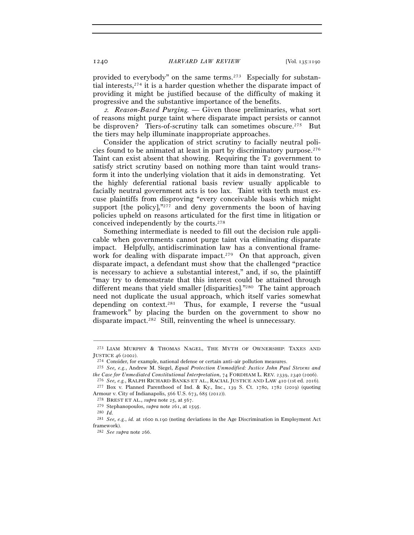provided to everybody" on the same terms.273 Especially for substantial interests,274 it is a harder question whether the disparate impact of providing it might be justified because of the difficulty of making it progressive and the substantive importance of the benefits.

<sup>2</sup>*. Reason-Based Purging. —* Given those preliminaries, what sort of reasons might purge taint where disparate impact persists or cannot be disproven? Tiers-of-scrutiny talk can sometimes obscure.<sup>275</sup> But the tiers may help illuminate inappropriate approaches.

Consider the application of strict scrutiny to facially neutral policies found to be animated at least in part by discriminatory purpose.276 Taint can exist absent that showing. Requiring the T2 government to satisfy strict scrutiny based on nothing more than taint would transform it into the underlying violation that it aids in demonstrating. Yet the highly deferential rational basis review usually applicable to facially neutral government acts is too lax. Taint with teeth must excuse plaintiffs from disproving "every conceivable basis which might support [the policy], $"277$  and deny governments the boon of having policies upheld on reasons articulated for the first time in litigation or conceived independently by the courts.278

Something intermediate is needed to fill out the decision rule applicable when governments cannot purge taint via eliminating disparate impact. Helpfully, antidiscrimination law has a conventional framework for dealing with disparate impact.<sup>279</sup> On that approach, given disparate impact, a defendant must show that the challenged "practice is necessary to achieve a substantial interest," and, if so, the plaintiff "may try to demonstrate that this interest could be attained through different means that yield smaller [disparities]."280 The taint approach need not duplicate the usual approach, which itself varies somewhat depending on context.281 Thus, for example, I reverse the "usual framework" by placing the burden on the government to show no disparate impact.282 Still, reinventing the wheel is unnecessary.

<sup>–––––––––––––––––––––––––––––––––––––––––––––––––––––––––––––</sup>  $^{273}$  LIAM MURPHY & THOMAS NAGEL, THE MYTH OF OWNERSHIP: TAXES AND JUSTICE 46 (2002).

<sup>&</sup>lt;sup>274</sup> Consider, for example, national defense or certain anti–air pollution measures.<br><sup>275</sup> *See, e.g.*, Andrew M. Siegel, *Equal Protection Unmodified: Justice John Paul Stevens and*<br>*the Case for Unmediated Constitutiona* 

<sup>&</sup>lt;sup>276</sup> See, e.g., RALPH RICHARD BANKS ET AL., RACIAL JUSTICE AND LAW 410 (1st ed. 2016).<br><sup>277</sup> Box v. Planned Parenthood of Ind. & Ky., Inc., 139 S. Ct. 1780, 1782 (2019) (quoting

Armour v. City of Indianapolis, 566 U.S. 673, 685 (2012)).<br><sup>278</sup> BREST ET AL., *supra* note 25, at 567.<br><sup>279</sup> Stephanopoulos, *supra* note 261, at 1595.<br><sup>280</sup> *Id.* 

<sup>281</sup> *See, e.g.*, *id.* at 1600 n.190 (noting deviations in the Age Discrimination in Employment Act framework).

<sup>282</sup> *See supra* note 266.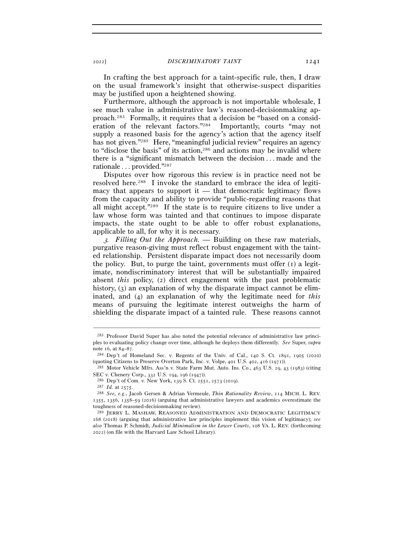In crafting the best approach for a taint-specific rule, then, I draw on the usual framework's insight that otherwise-suspect disparities may be justified upon a heightened showing.

Furthermore, although the approach is not importable wholesale, I see much value in administrative law's reasoned-decisionmaking approach.283 Formally, it requires that a decision be "based on a consideration of the relevant factors."284 Importantly, courts "may not supply a reasoned basis for the agency's action that the agency itself has not given."<sup>285</sup> Here, "meaningful judicial review" requires an agency to "disclose the basis" of its action,286 and actions may be invalid where there is a "significant mismatch between the decision . . . made and the rationale . . . provided."287

Disputes over how rigorous this review is in practice need not be resolved here.288 I invoke the standard to embrace the idea of legitimacy that appears to support it  $-$  that democratic legitimacy flows from the capacity and ability to provide "public-regarding reasons that all might accept."289 If the state is to require citizens to live under a law whose form was tainted and that continues to impose disparate impacts, the state ought to be able to offer robust explanations, applicable to all, for why it is necessary.

<sup>3</sup>*. Filling Out the Approach. —* Building on these raw materials, purgative reason-giving must reflect robust engagement with the tainted relationship. Persistent disparate impact does not necessarily doom the policy. But, to purge the taint, governments must offer  $(i)$  a legitimate, nondiscriminatory interest that will be substantially impaired absent *this* policy, (2) direct engagement with the past problematic history,  $(3)$  an explanation of why the disparate impact cannot be eliminated, and (4) an explanation of why the legitimate need for *this*  means of pursuing the legitimate interest outweighs the harm of shielding the disparate impact of a tainted rule. These reasons cannot

<sup>283</sup> Professor David Super has also noted the potential relevance of administrative law principles to evaluating policy change over time, although he deploys them differently. *See* Super, *supra* note 16, at 84–<sup>87</sup>. 284 Dep't of Homeland Sec. v. Regents of the Univ. of Cal., 140 S. Ct. 1891, 1905 (2020)

<sup>(</sup>quoting Citizens to Preserve Overton Park, Inc. v. Volpe, 401 U.S. 402, 416 (<sup>1971</sup>)). 285 Motor Vehicle Mfrs. Ass'n v. State Farm Mut. Auto. Ins. Co., 463 U.S. 29, 43 (1983) (citing

SEC v. Chenery Corp., 332 U.S. 194, 196 (1947)).<br><sup>286</sup> Dep't of Com. v. New York, 139 S. Ct. 2551, 2573 (2019).<br><sup>287</sup> Id. at 2575.<br><sup>288</sup> See, e.g., Jacob Gersen & Adrian Vermeule, *Thin Rationality Review*, 114 MICH. L. RE

<sup>1355</sup>, 1356, 1358–59 (2016) (arguing that administrative lawyers and academics overestimate the toughness of reasoned-decisionmaking review).

<sup>289</sup> JERRY L. MASHAW, REASONED ADMINISTRATION AND DEMOCRATIC LEGITIMACY 168 (2018) (arguing that administrative law principles implement this vision of legitimacy); *see also* Thomas P. Schmidt, *Judicial Minimalism in the Lower Courts*, 108 VA. L. REV. (forthcoming 2022) (on file with the Harvard Law School Library).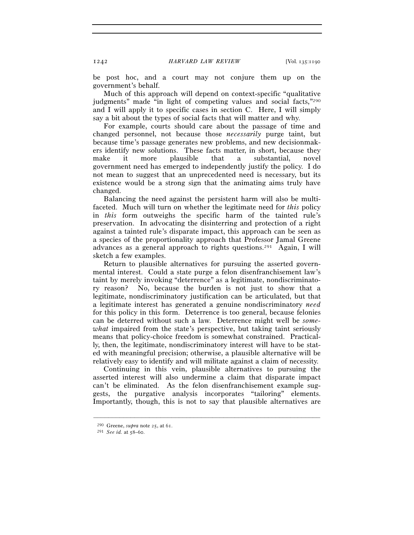be post hoc, and a court may not conjure them up on the government's behalf.

Much of this approach will depend on context-specific "qualitative judgments" made "in light of competing values and social facts,"290 and I will apply it to specific cases in section C. Here, I will simply say a bit about the types of social facts that will matter and why.

For example, courts should care about the passage of time and changed personnel, not because those *necessarily* purge taint, but because time's passage generates new problems, and new decisionmakers identify new solutions. These facts matter, in short, because they make it more plausible that a substantial, novel government need has emerged to independently justify the policy. I do not mean to suggest that an unprecedented need is necessary, but its existence would be a strong sign that the animating aims truly have changed.

Balancing the need against the persistent harm will also be multifaceted. Much will turn on whether the legitimate need for *this* policy in *this* form outweighs the specific harm of the tainted rule's preservation. In advocating the disinterring and protection of a right against a tainted rule's disparate impact, this approach can be seen as a species of the proportionality approach that Professor Jamal Greene advances as a general approach to rights questions.291 Again, I will sketch a few examples.

Return to plausible alternatives for pursuing the asserted governmental interest. Could a state purge a felon disenfranchisement law's taint by merely invoking "deterrence" as a legitimate, nondiscriminatory reason? No, because the burden is not just to show that a legitimate, nondiscriminatory justification can be articulated, but that a legitimate interest has generated a genuine nondiscriminatory *need*  for this policy in this form. Deterrence is too general, because felonies can be deterred without such a law. Deterrence might well be *somewhat* impaired from the state's perspective, but taking taint seriously means that policy-choice freedom is somewhat constrained. Practically, then, the legitimate, nondiscriminatory interest will have to be stated with meaningful precision; otherwise, a plausible alternative will be relatively easy to identify and will militate against a claim of necessity.

Continuing in this vein, plausible alternatives to pursuing the asserted interest will also undermine a claim that disparate impact can't be eliminated. As the felon disenfranchisement example suggests, the purgative analysis incorporates "tailoring" elements. Importantly, though, this is not to say that plausible alternatives are

<sup>290</sup> Greene, *supra* note 25, at <sup>61</sup>. 291 *See id.* at 58–60.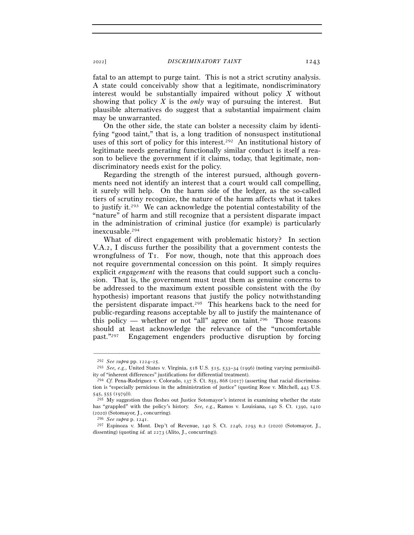fatal to an attempt to purge taint. This is not a strict scrutiny analysis. A state could conceivably show that a legitimate, nondiscriminatory interest would be substantially impaired without policy *X* without showing that policy *X* is the *only* way of pursuing the interest. But plausible alternatives do suggest that a substantial impairment claim may be unwarranted.

On the other side, the state can bolster a necessity claim by identifying "good taint," that is, a long tradition of nonsuspect institutional uses of this sort of policy for this interest.292 An institutional history of legitimate needs generating functionally similar conduct is itself a reason to believe the government if it claims, today, that legitimate, nondiscriminatory needs exist for the policy.

Regarding the strength of the interest pursued, although governments need not identify an interest that a court would call compelling, it surely will help. On the harm side of the ledger, as the so-called tiers of scrutiny recognize, the nature of the harm affects what it takes to justify it.293 We can acknowledge the potential contestability of the "nature" of harm and still recognize that a persistent disparate impact in the administration of criminal justice (for example) is particularly inexcusable.294

What of direct engagement with problematic history? In section V.A.2, I discuss further the possibility that a government contests the wrongfulness of T1. For now, though, note that this approach does not require governmental concession on this point. It simply requires explicit *engagement* with the reasons that could support such a conclusion. That is, the government must treat them as genuine concerns to be addressed to the maximum extent possible consistent with the (by hypothesis) important reasons that justify the policy notwithstanding the persistent disparate impact.295 This hearkens back to the need for public-regarding reasons acceptable by all to justify the maintenance of this policy — whether or not "all" agree on taint.<sup>296</sup> Those reasons should at least acknowledge the relevance of the "uncomfortable past."297 Engagement engenders productive disruption by forcing

<sup>292</sup> *See supra* pp. 1224–<sup>25</sup>. 293 *See, e.g.*, United States v. Virginia, 518 U.S. 515, 533–34 (1996) (noting varying permissibility of "inherent differences" justifications for differential treatment).

<sup>294</sup> *Cf.* Pena-Rodriguez v. Colorado, 137 S. Ct. 855, 868 (2017) (asserting that racial discrimination is "especially pernicious in the administration of justice" (quoting Rose v. Mitchell, 443 U.S. 545, 555 (1979))).

 $^{295}$  My suggestion thus fleshes out Justice Sotomayor's interest in examining whether the state has "grappled" with the policy's history. *See, e.g.*, Ramos v. Louisiana, 140 S. Ct. 1390, 1410 (<sup>2020</sup>) (Sotomayor, J., concurring). 296 *See supra* p. <sup>1241</sup>. 297 Espinoza v. Mont. Dep't of Revenue, 140 S. Ct. 2246, 2293 n.2 (2020) (Sotomayor, J.,

dissenting) (quoting *id.* at 2273 (Alito, J., concurring)).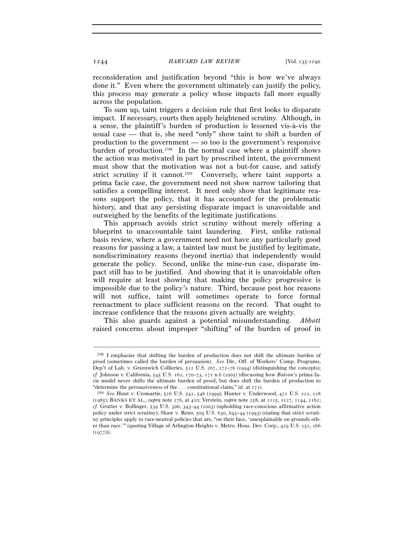reconsideration and justification beyond "this is how we've always done it." Even where the government ultimately can justify the policy, this process may generate a policy whose impacts fall more equally across the population.

To sum up, taint triggers a decision rule that first looks to disparate impact. If necessary, courts then apply heightened scrutiny. Although, in a sense, the plaintiff's burden of production is lessened vis-à-vis the usual case — that is, she need "only" show taint to shift a burden of production to the government — so too is the government's responsive burden of production.298 In the normal case where a plaintiff shows the action was motivated in part by proscribed intent, the government must show that the motivation was not a but-for cause, and satisfy strict scrutiny if it cannot.<sup>299</sup> Conversely, where taint supports a prima facie case, the government need not show narrow tailoring that satisfies a compelling interest. It need only show that legitimate reasons support the policy, that it has accounted for the problematic history, and that any persisting disparate impact is unavoidable and outweighed by the benefits of the legitimate justifications.

This approach avoids strict scrutiny without merely offering a blueprint to unaccountable taint laundering. First, unlike rational basis review, where a government need not have any particularly good reasons for passing a law, a tainted law must be justified by legitimate, nondiscriminatory reasons (beyond inertia) that independently would generate the policy. Second, unlike the mine-run case, disparate impact still has to be justified. And showing that it is unavoidable often will require at least showing that making the policy progressive is impossible due to the policy's nature. Third, because post hoc reasons will not suffice, taint will sometimes operate to force formal reenactment to place sufficient reasons on the record. That ought to increase confidence that the reasons given actually are weighty.

This also guards against a potential misunderstanding. *Abbott*  raised concerns about improper "shifting" of the burden of proof in

<sup>298</sup> I emphasize that shifting the burden of production does not shift the ultimate burden of proof (sometimes called the burden of persuasion). *See* Dir., Off. of Workers' Comp. Programs, Dep't of Lab. v. Greenwich Collieries, 512 U.S. 267, 272–76 (1994) (distinguishing the concepts); *cf.* Johnson v. California, 545 U.S. 162, 170–73, 171 n.6 (2005) (discussing how *Batson*'s prima facie model never shifts the ultimate burden of proof, but does shift the burden of production to

<sup>&</sup>quot;determine the persuasiveness of the . . . constitutional claim," *id.* at <sup>171</sup>). 299 *See* Hunt v. Cromartie, 526 U.S. 541, 546 (1999); Hunter v. Underwood, 471 U.S. 222, <sup>228</sup> (1985); BANKS ET AL., *supra* note 276, at 410; Verstein, *supra* note 258, at 1125, 1127, 1144, 1162; *cf.* Grutter v. Bollinger, 539 U.S. 306, 343–44 (2003) (upholding race-conscious affirmative action policy under strict scrutiny); Shaw v. Reno, 509 U.S. 630, 643–44 (1993) (stating that strict scrutiny principles apply to race-neutral policies that are, "on their face, 'unexplainable on grounds other than race.'" (quoting Village of Arlington Heights v. Metro. Hous. Dev. Corp., 429 U.S. 252, 266  $(1977))$ .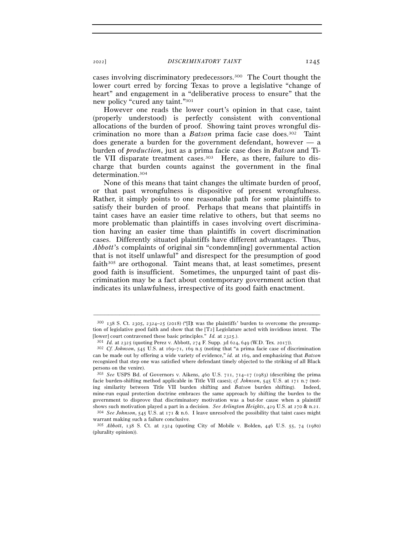cases involving discriminatory predecessors.300 The Court thought the lower court erred by forcing Texas to prove a legislative "change of heart" and engagement in a "deliberative process to ensure" that the new policy "cured any taint."301

However one reads the lower court's opinion in that case, taint (properly understood) is perfectly consistent with conventional allocations of the burden of proof. Showing taint proves wrongful discrimination no more than a *Batson* prima facie case does.302 Taint does generate a burden for the government defendant, however — a burden of *production*, just as a prima facie case does in *Batson* and Title VII disparate treatment cases.<sup>303</sup> Here, as there, failure to discharge that burden counts against the government in the final determination.304

None of this means that taint changes the ultimate burden of proof, or that past wrongfulness is dispositive of present wrongfulness. Rather, it simply points to one reasonable path for some plaintiffs to satisfy their burden of proof. Perhaps that means that plaintiffs in taint cases have an easier time relative to others, but that seems no more problematic than plaintiffs in cases involving overt discrimination having an easier time than plaintiffs in covert discrimination cases. Differently situated plaintiffs have different advantages. Thus, *Abbott*'s complaints of original sin "condemn[ing] governmental action that is not itself unlawful" and disrespect for the presumption of good faith<sup>305</sup> are orthogonal. Taint means that, at least sometimes, present good faith is insufficient. Sometimes, the unpurged taint of past discrimination may be a fact about contemporary government action that indicates its unlawfulness, irrespective of its good faith enactment.

 $300$   $138$  S. Ct. 2305, 2324–25 (2018) ("Ilt was the plaintiffs' burden to overcome the presumption of legislative good faith and show that the [T2] Legislature acted with invidious intent. The [lower] court contravened these basic principles." *Id.* at 2325.).<br><sup>301</sup> *Id.* at 2325 (quoting Perez v. Abbott, 274 F. Supp. 3d 624, 649 (W.D. Tex. 2017)).<br><sup>302</sup> *Cf. Johnson*, 545 U.S. at 169–71, 169 n.5 (noting that "

can be made out by offering a wide variety of evidence," *id.* at 169, and emphasizing that *Batson* recognized that step one was satisfied where defendant timely objected to the striking of all Black persons on the venire).

<sup>303</sup> *See* USPS Bd. of Governors v. Aikens, 460 U.S. 711, 714–17 (1983) (describing the prima facie burden-shifting method applicable in Title VII cases); *cf. Johnson*, 545 U.S. at 171 n.7 (noting similarity between Title VII burden shifting and *Batson* burden shifting). Indeed, mine-run equal protection doctrine embraces the same approach by shifting the burden to the government to disprove that discriminatory motivation was a but-for cause when a plaintiff shows such motivation played a part in a decision. *See Arlington Heights*, 429 U.S. at 270 & n.<sup>21</sup>. 304 *See Johnson*, 545 U.S. at 171 & n.6. I leave unresolved the possibility that taint cases might

warrant making such a failure conclusive.

<sup>305</sup> *Abbott*, 138 S. Ct. at 2324 (quoting City of Mobile v. Bolden, 446 U.S. 55, 74 (1980) (plurality opinion)).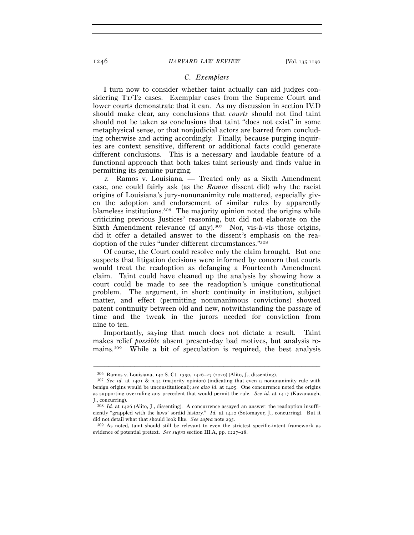## *C. Exemplars*

I turn now to consider whether taint actually can aid judges considering  $T_1/T_2$  cases. Exemplar cases from the Supreme Court and lower courts demonstrate that it can. As my discussion in section IV.D should make clear, any conclusions that *courts* should not find taint should not be taken as conclusions that taint "does not exist" in some metaphysical sense, or that nonjudicial actors are barred from concluding otherwise and acting accordingly. Finally, because purging inquiries are context sensitive, different or additional facts could generate different conclusions. This is a necessary and laudable feature of a functional approach that both takes taint seriously and finds value in permitting its genuine purging.

<sup>1</sup>*.* Ramos v. Louisiana*. —* Treated only as a Sixth Amendment case, one could fairly ask (as the *Ramos* dissent did) why the racist origins of Louisiana's jury-nonunanimity rule mattered, especially given the adoption and endorsement of similar rules by apparently blameless institutions.306 The majority opinion noted the origins while criticizing previous Justices' reasoning, but did not elaborate on the Sixth Amendment relevance (if any).<sup>307</sup> Nor, vis-à-vis those origins, did it offer a detailed answer to the dissent's emphasis on the readoption of the rules "under different circumstances."308

Of course, the Court could resolve only the claim brought. But one suspects that litigation decisions were informed by concern that courts would treat the readoption as defanging a Fourteenth Amendment claim. Taint could have cleaned up the analysis by showing how a court could be made to see the readoption's unique constitutional problem. The argument, in short: continuity in institution, subject matter, and effect (permitting nonunanimous convictions) showed patent continuity between old and new, notwithstanding the passage of time and the tweak in the jurors needed for conviction from nine to ten.

Importantly, saying that much does not dictate a result. Taint makes relief *possible* absent present-day bad motives, but analysis remains.309 While a bit of speculation is required, the best analysis

<sup>306</sup> Ramos v. Louisiana, 140 S. Ct. 1390, 1426–27 (<sup>2020</sup>) (Alito, J., dissenting). 307 *See id.* at 1401 & n.44 (majority opinion) (indicating that even a nonunanimity rule with benign origins would be unconstitutional); *see also id.* at 1405. One concurrence noted the origins as supporting overruling any precedent that would permit the rule. *See id.* at 1417 (Kavanaugh, J., concurring).

<sup>308</sup> *Id.* at 1426 (Alito, J., dissenting). A concurrence assayed an answer: the readoption insufficiently "grappled with the laws' sordid history." *Id.* at 1410 (Sotomayor, J., concurring). But it did not detail what that should look like. *See supra* note 295.<br><sup>309</sup> As noted, taint should still be relevant to even the strictest specific-intent framework as

evidence of potential pretext. *See supra* section III.A, pp. 1227–28.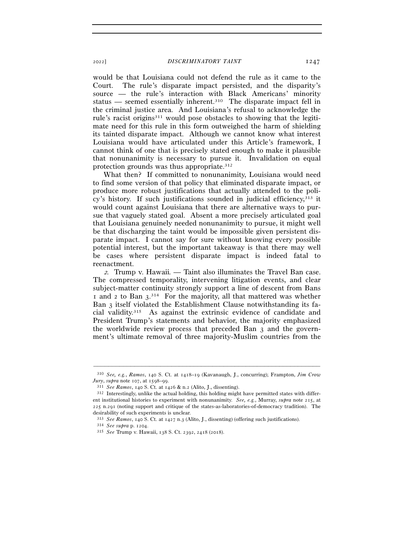would be that Louisiana could not defend the rule as it came to the Court. The rule's disparate impact persisted, and the disparity's source — the rule's interaction with Black Americans' minority status — seemed essentially inherent.310 The disparate impact fell in the criminal justice area. And Louisiana's refusal to acknowledge the rule's racist origins<sup>311</sup> would pose obstacles to showing that the legitimate need for this rule in this form outweighed the harm of shielding its tainted disparate impact. Although we cannot know what interest Louisiana would have articulated under this Article's framework, I cannot think of one that is precisely stated enough to make it plausible that nonunanimity is necessary to pursue it. Invalidation on equal protection grounds was thus appropriate.312

What then? If committed to nonunanimity, Louisiana would need to find some version of that policy that eliminated disparate impact, or produce more robust justifications that actually attended to the policy's history. If such justifications sounded in judicial efficiency, $313$  it would count against Louisiana that there are alternative ways to pursue that vaguely stated goal. Absent a more precisely articulated goal that Louisiana genuinely needed nonunanimity to pursue, it might well be that discharging the taint would be impossible given persistent disparate impact. I cannot say for sure without knowing every possible potential interest, but the important takeaway is that there may well be cases where persistent disparate impact is indeed fatal to reenactment.

<sup>2</sup>*.* Trump v. Hawaii*. —* Taint also illuminates the Travel Ban case. The compressed temporality, intervening litigation events, and clear subject-matter continuity strongly support a line of descent from Bans  $\overline{1}$  and 2 to Ban 3.<sup>314</sup> For the majority, all that mattered was whether Ban 3 itself violated the Establishment Clause notwithstanding its facial validity.315 As against the extrinsic evidence of candidate and President Trump's statements and behavior, the majority emphasized the worldwide review process that preceded Ban 3 and the government's ultimate removal of three majority-Muslim countries from the

<sup>–––––––––––––––––––––––––––––––––––––––––––––––––––––––––––––</sup> <sup>310</sup> *See, e.g.*, *Ramos*, 140 S. Ct. at 1418–19 (Kavanaugh, J., concurring); Frampton, *Jim Crow* 

*Jury*, *supra* note 107, at 1598–99.<br><sup>311</sup> See Ramos, 140 S. Ct. at 1426 & n.2 (Alito, J., dissenting).<br><sup>312</sup> Interestingly, unlike the actual holding, this holding might have permitted states with different institutional histories to experiment with nonunanimity. *See, e.g.*, Murray, *supra* note 215, at 225 n.291 (noting support and critique of the states-as-laboratories-of-democracy tradition). The desirability of such experiments is unclear.

<sup>313</sup> *See Ramos*, 140 S. Ct. at 1427 n.<sup>3</sup> (Alito, J., dissenting) (offering such justifications). 314 *See supra* p. <sup>1204</sup>. 315 *See* Trump v. Hawaii, 138 S. Ct. 2392, 2418 (2018).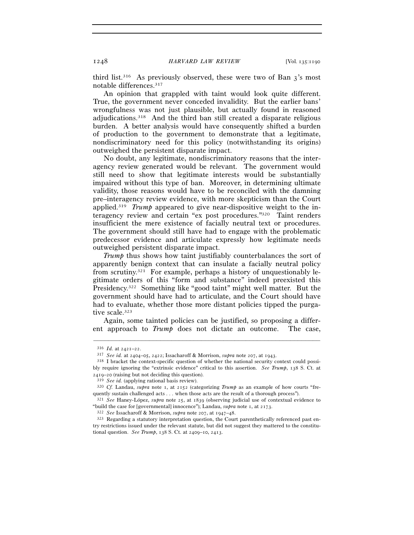third list.<sup>316</sup> As previously observed, these were two of Ban  $3$ 's most notable differences.317

An opinion that grappled with taint would look quite different. True, the government never conceded invalidity. But the earlier bans' wrongfulness was not just plausible, but actually found in reasoned adjudications.318 And the third ban still created a disparate religious burden. A better analysis would have consequently shifted a burden of production to the government to demonstrate that a legitimate, nondiscriminatory need for this policy (notwithstanding its origins) outweighed the persistent disparate impact.

No doubt, any legitimate, nondiscriminatory reasons that the interagency review generated would be relevant. The government would still need to show that legitimate interests would be substantially impaired without this type of ban. Moreover, in determining ultimate validity, those reasons would have to be reconciled with the damning pre–interagency review evidence, with more skepticism than the Court applied.319 *Trump* appeared to give near-dispositive weight to the interagency review and certain "ex post procedures."320 Taint renders insufficient the mere existence of facially neutral text or procedures. The government should still have had to engage with the problematic predecessor evidence and articulate expressly how legitimate needs outweighed persistent disparate impact.

*Trump* thus shows how taint justifiably counterbalances the sort of apparently benign context that can insulate a facially neutral policy from scrutiny.<sup>321</sup> For example, perhaps a history of unquestionably legitimate orders of this "form and substance" indeed preexisted this Presidency.322 Something like "good taint" might well matter. But the government should have had to articulate, and the Court should have had to evaluate, whether those more distant policies tipped the purgative scale.323

Again, some tainted policies can be justified, so proposing a different approach to *Trump* does not dictate an outcome. The case,

<sup>316</sup> *Id.* at 2421–<sup>22</sup>. 317 *See id.* at 2404–05, 2422; Issacharoff & Morrison, *supra* note 207, at <sup>1943</sup>. 318 I bracket the context-specific question of whether the national security context could possibly require ignoring the "extrinsic evidence" critical to this assertion. *See Trump*, 138 S. Ct. at 2419–20 (raising but not deciding this question).

<sup>319</sup> *See id.* (applying rational basis review). 320 *Cf.* Landau, *supra* note 1, at 2152 (categorizing *Trump* as an example of how courts "frequently sustain challenged acts . . . when those acts are the result of a thorough process"). 321 *See* Haney-López, *supra* note 25, at 1839 (observing judicial use of contextual evidence to

<sup>&</sup>quot;build the case for [governmental] innocence"); Landau, *supra* note 1, at 2173.<br><sup>322</sup> See Issacharoff & Morrison, *supra* note 207, at 1947–48.<br><sup>323</sup> Regarding a statutory interpretation question, the Court parenthetical

try restrictions issued under the relevant statute, but did not suggest they mattered to the constitutional question. *See Trump*, 138 S. Ct. at 2409–10, 2413.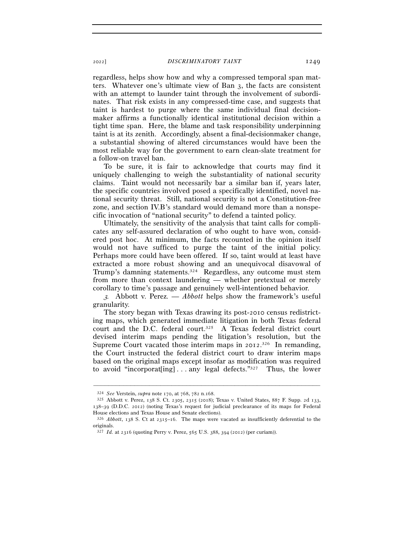regardless, helps show how and why a compressed temporal span matters. Whatever one's ultimate view of Ban 3, the facts are consistent with an attempt to launder taint through the involvement of subordinates. That risk exists in any compressed-time case, and suggests that taint is hardest to purge where the same individual final decisionmaker affirms a functionally identical institutional decision within a tight time span. Here, the blame and task responsibility underpinning taint is at its zenith. Accordingly, absent a final-decisionmaker change, a substantial showing of altered circumstances would have been the most reliable way for the government to earn clean-slate treatment for a follow-on travel ban.

To be sure, it is fair to acknowledge that courts may find it uniquely challenging to weigh the substantiality of national security claims. Taint would not necessarily bar a similar ban if, years later, the specific countries involved posed a specifically identified, novel national security threat. Still, national security is not a Constitution-free zone, and section IV.B's standard would demand more than a nonspecific invocation of "national security" to defend a tainted policy.

Ultimately, the sensitivity of the analysis that taint calls for complicates any self-assured declaration of who ought to have won, considered post hoc. At minimum, the facts recounted in the opinion itself would not have sufficed to purge the taint of the initial policy. Perhaps more could have been offered. If so, taint would at least have extracted a more robust showing and an unequivocal disavowal of Trump's damning statements.324 Regardless, any outcome must stem from more than context laundering — whether pretextual or merely corollary to time's passage and genuinely well-intentioned behavior.

<sup>3</sup>*.* Abbott v. Perez*. — Abbott* helps show the framework's useful granularity.

The story began with Texas drawing its post-2010 census redistricting maps, which generated immediate litigation in both Texas federal court and the D.C. federal court.325 A Texas federal district court devised interim maps pending the litigation's resolution, but the Supreme Court vacated those interim maps in 2012.<sup>326</sup> In remanding, the Court instructed the federal district court to draw interim maps based on the original maps except insofar as modification was required to avoid "incorporat [ing]...any legal defects." $327$  Thus, the lower

<sup>324</sup> *See* Verstein, *supra* note 170, at 768, 782 n.<sup>168</sup>. 325 Abbott v. Perez, 138 S. Ct. 2305, 2315 (2018); Texas v. United States, 887 F. Supp. 2d 133, 138–39 (D.D.C. 2012) (noting Texas's request for judicial preclearance of its maps for Federal House elections and Texas House and Senate elections).

<sup>326</sup> *Abbott*, 138 S. Ct at 2315–16. The maps were vacated as insufficiently deferential to the originals.

<sup>327</sup> *Id.* at 2316 (quoting Perry v. Perez, 565 U.S. 388, 394 (2012) (per curiam)).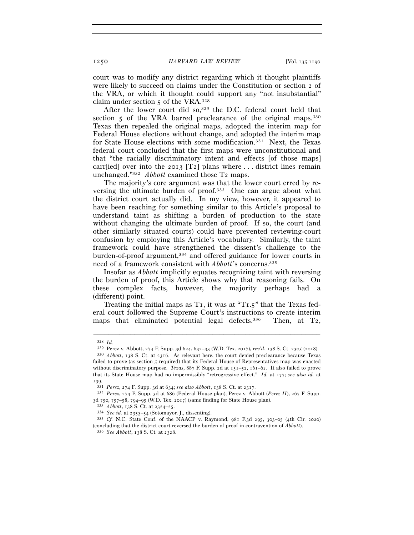court was to modify any district regarding which it thought plaintiffs were likely to succeed on claims under the Constitution or section 2 of the VRA, or which it thought could support any "not insubstantial" claim under section  $\zeta$  of the VRA.<sup>328</sup>

After the lower court did so, $329$  the D.C. federal court held that section 5 of the VRA barred preclearance of the original maps.<sup>330</sup> Texas then repealed the original maps, adopted the interim map for Federal House elections without change, and adopted the interim map for State House elections with some modification.331 Next, the Texas federal court concluded that the first maps were unconstitutional and that "the racially discriminatory intent and effects [of those maps] carr[ied] over into the 2013 [T2] plans where  $\dots$  district lines remain unchanged."332 *Abbott* examined those T2 maps.

The majority's core argument was that the lower court erred by reversing the ultimate burden of proof.333 One can argue about what the district court actually did. In my view, however, it appeared to have been reaching for something similar to this Article's proposal to understand taint as shifting a burden of production to the state without changing the ultimate burden of proof. If so, the court (and other similarly situated courts) could have prevented reviewing-court confusion by employing this Article's vocabulary. Similarly, the taint framework could have strengthened the dissent's challenge to the burden-of-proof argument,<sup>334</sup> and offered guidance for lower courts in need of a framework consistent with *Abbott*'s concerns.335

Insofar as *Abbott* implicitly equates recognizing taint with reversing the burden of proof, this Article shows why that reasoning fails. On these complex facts, however, the majority perhaps had a (different) point.

Treating the initial maps as  $T_1$ , it was at " $T_1$ ,  $T_2$ " that the Texas federal court followed the Supreme Court's instructions to create interim maps that eliminated potential legal defects.<sup>336</sup> Then, at  $T_2$ ,

<sup>328</sup> *Id.* 

<sup>329</sup> Perez v. Abbott, 274 F. Supp. 3d 624, 632–33 (W.D. Tex. 2017), *rev'd*, 138 S. Ct. 2305 (<sup>2018</sup>). 330 *Abbott*, 138 S. Ct. at 2316. As relevant here, the court denied preclearance because Texas

failed to prove (as section 5 required) that its Federal House of Representatives map was enacted without discriminatory purpose. *Texas*, 887 F. Supp. 2d at 151–52, 161–62. It also failed to prove that its State House map had no impermissibly "retrogressive effect." *Id.* at 177; *see also id.* at 139.<br> $331$  Perez, 274 F. Supp. 3d at 634; see also Abbott, 138 S. Ct. at 2317.

<sup>332</sup> *Perez*, 274 F. Supp. 3d at 686 (Federal House plan); Perez v. Abbott (*Perez II*), 267 F. Supp. 3d 750, 757-58, 794-95 (W.D. Tex. 2017) (same finding for State House plan).

<sup>&</sup>lt;sup>333</sup> *Abbott*, 138 S. Ct. at 2324–25.<br><sup>334</sup> *See id.* at 2353–54 (Sotomayor, J., dissenting).<br><sup>335</sup> *Cf.* N.C. State Conf. of the NAACP v. Raymond, 981 F.3d 295, 303–05 (4th Cir. 2020) (concluding that the district court reversed the burden of proof in contravention of *Abbott*). 336 *See Abbott*, 138 S. Ct. at 2328.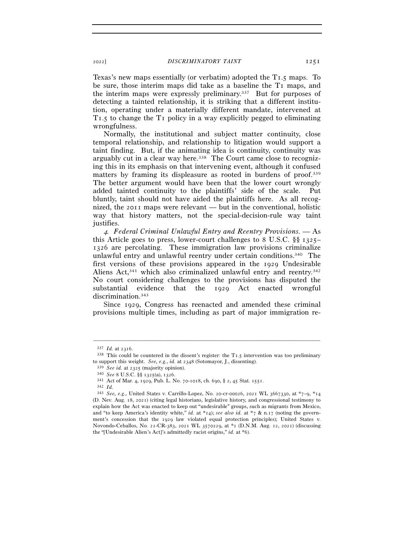Texas's new maps essentially (or verbatim) adopted the T1.5 maps. To be sure, those interim maps did take as a baseline the T1 maps, and the interim maps were expressly preliminary.337 But for purposes of detecting a tainted relationship, it is striking that a different institution, operating under a materially different mandate, intervened at T1.5 to change the T1 policy in a way explicitly pegged to eliminating wrongfulness.

Normally, the institutional and subject matter continuity, close temporal relationship, and relationship to litigation would support a taint finding. But, if the animating idea is continuity, continuity was arguably cut in a clear way here.<sup>338</sup> The Court came close to recognizing this in its emphasis on that intervening event, although it confused matters by framing its displeasure as rooted in burdens of proof.339 The better argument would have been that the lower court wrongly added tainted continuity to the plaintiffs' side of the scale. Put bluntly, taint should not have aided the plaintiffs here. As all recognized, the 2011 maps were relevant — but in the conventional, holistic way that history matters, not the special-decision-rule way taint justifies.

<sup>4</sup>*. Federal Criminal Unlawful Entry and Reentry Provisions. —* As this Article goes to press, lower-court challenges to 8 U.S.C. §§ 1325– 1326 are percolating. These immigration law provisions criminalize unlawful entry and unlawful reentry under certain conditions.340 The first versions of these provisions appeared in the 1929 Undesirable Aliens Act, 341 which also criminalized unlawful entry and reentry. 342 No court considering challenges to the provisions has disputed the substantial evidence that the 1929 Act enacted wrongful discrimination.343

Since 1929, Congress has reenacted and amended these criminal provisions multiple times, including as part of major immigration re-

 $337$  *Id.* at 2316.<br> $338$  This could be countered in the dissent's register: the T1.5 intervention was too preliminary to support this weight. *See, e.g., id.* at 2348 (Sotomayor, J., dissenting).<br><sup>339</sup> *See id.* at 2325 (majority opinion).<br><sup>340</sup> *See* 8 U.S.C. §§ 1325(a), 1326.<br><sup>341</sup> Act of Mar. 4, 1929, Pub. L. No. 70-1018, ch. 690, § 2

<sup>342</sup> *Id.*

<sup>343</sup> *See, e.g.*, United States v. Carrillo-Lopez, No. 20-cr-00026, 2021 WL 3667330, at \*7–9, \*14 (D. Nev. Aug. 18, 2021) (citing legal historians, legislative history, and congressional testimony to explain how the Act was enacted to keep out "undesirable" groups, such as migrants from Mexico, and "to keep America's identity white," *id.* at \*14); *see also id.* at \*7 & n.17 (noting the government's concession that the 1929 law violated equal protection principles); United States v. Novondo-Ceballos, No. 21-CR-383, 2021 WL 3570229, at \*1 (D.N.M. Aug. 12, 2021) (discussing the "[Undesirable Alien's Act]'s admittedly racist origins," *id.* at \*6).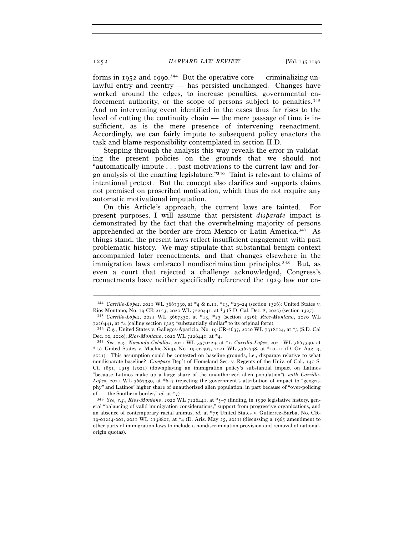forms in 1952 and 1990.<sup>344</sup> But the operative core — criminalizing unlawful entry and reentry — has persisted unchanged. Changes have worked around the edges, to increase penalties, governmental enforcement authority, or the scope of persons subject to penalties.345 And no intervening event identified in the cases thus far rises to the level of cutting the continuity chain — the mere passage of time is insufficient, as is the mere presence of intervening reenactment. Accordingly, we can fairly impute to subsequent policy enactors the task and blame responsibility contemplated in section II.D.

Stepping through the analysis this way reveals the error in validating the present policies on the grounds that we should not "automatically impute . . . past motivations to the current law and forgo analysis of the enacting legislature."346 Taint is relevant to claims of intentional pretext. But the concept also clarifies and supports claims not premised on proscribed motivation, which thus do not require any automatic motivational imputation.

On this Article's approach, the current laws are tainted. For present purposes, I will assume that persistent *disparate* impact is demonstrated by the fact that the overwhelming majority of persons apprehended at the border are from Mexico or Latin America.347 As things stand, the present laws reflect insufficient engagement with past problematic history. We may stipulate that substantial benign context accompanied later reenactments, and that changes elsewhere in the immigration laws embraced nondiscrimination principles.<sup>348</sup> But, as even a court that rejected a challenge acknowledged, Congress's reenactments have neither specifically referenced the 1929 law nor en-

<sup>–––––––––––––––––––––––––––––––––––––––––––––––––––––––––––––</sup> <sup>344</sup> *Carrillo-Lopez*, 2021 WL 3667330, at \*4 & n.11, \*13, \*23–24 (section 1326); United States v. Rios-Montano, No. 19-CR-2123, 2020 WL 7226441, at \*3 (S.D. Cal. Dec. 8, 2020) (section <sup>1325</sup>). 345 *Carrillo-Lopez*, 2021 WL 3667330, at \*13, \*23 (section 1326); *Rios-Montano*, 2020 WL

<sup>7226441</sup>, at \*4 (calling section <sup>1325</sup> "substantially similar" to its original form). 346 *E.g.*, United States v. Gallegos-Aparicio, No. 19-CR-2637, 2020 WL 7318124, at \*3 (S.D. Cal

Dec. 10, 2020); *Rios-Montano*, 2020 WL 7226441, at \*<sup>4</sup>. 347 *See, e.g.*, *Novondo-Ceballos*, 2021 WL 3570229, at \*1; *Carrillo-Lopez*, 2021 WL 3667330, at \*15; United States v. Machic-Xiap, No. 19-cr-407, 2021 WL 3362738, at \*10–11 (D. Or. Aug. 3, 2021). This assumption could be contested on baseline grounds, i.e., disparate relative to what nondisparate baseline? *Compare* Dep't of Homeland Sec. v. Regents of the Univ. of Cal., 140 S. Ct. 1891, 1915 (2021) (downplaying an immigration policy's substantial impact on Latinos "because Latinos make up a large share of the unauthorized alien population"), *with Carrillo-Lopez*, 2021 WL 3667330, at \*6–7 (rejecting the government's attribution of impact to "geography" and Latinos' higher share of unauthorized alien population, in part because of "over-policing of . . . the Southern border," *id.* at \*7).

<sup>348</sup> *See, e.g.*, *Rios-Montano*, 2020 WL 7226441, at \*5–7 (finding, in 1990 legislative history, general "balancing of valid immigration considerations," support from progressive organizations, and an absence of contemporary racial animus, *id.* at \*7); United States v. Gutierrez-Barba, No. CR-19-01224-001, 2021 WL 2138801, at \*4 (D. Ariz. May 25, 2021) (discussing a 1965 amendment to other parts of immigration laws to include a nondiscrimination provision and removal of nationalorigin quotas).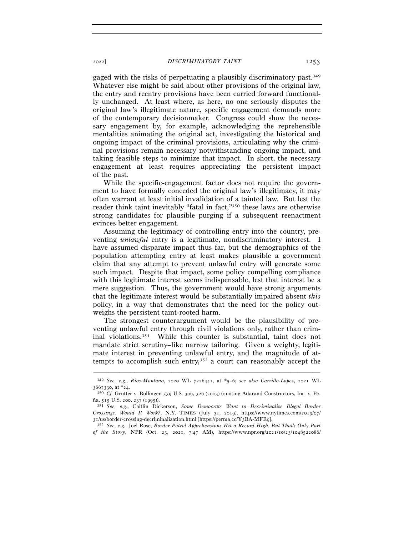gaged with the risks of perpetuating a plausibly discriminatory past.349 Whatever else might be said about other provisions of the original law, the entry and reentry provisions have been carried forward functionally unchanged. At least where, as here, no one seriously disputes the original law's illegitimate nature, specific engagement demands more of the contemporary decisionmaker. Congress could show the necessary engagement by, for example, acknowledging the reprehensible mentalities animating the original act, investigating the historical and ongoing impact of the criminal provisions, articulating why the criminal provisions remain necessary notwithstanding ongoing impact, and taking feasible steps to minimize that impact. In short, the necessary engagement at least requires appreciating the persistent impact of the past.

While the specific-engagement factor does not require the government to have formally conceded the original law's illegitimacy, it may often warrant at least initial invalidation of a tainted law. But lest the reader think taint inevitably "fatal in fact,"350 these laws are otherwise strong candidates for plausible purging if a subsequent reenactment evinces better engagement.

Assuming the legitimacy of controlling entry into the country, preventing *unlawful* entry is a legitimate, nondiscriminatory interest. I have assumed disparate impact thus far, but the demographics of the population attempting entry at least makes plausible a government claim that any attempt to prevent unlawful entry will generate some such impact. Despite that impact, some policy compelling compliance with this legitimate interest seems indispensable, lest that interest be a mere suggestion. Thus, the government would have strong arguments that the legitimate interest would be substantially impaired absent *this* policy, in a way that demonstrates that the need for the policy outweighs the persistent taint-rooted harm.

The strongest counterargument would be the plausibility of preventing unlawful entry through civil violations only, rather than criminal violations.351 While this counter is substantial, taint does not mandate strict scrutiny–like narrow tailoring. Given a weighty, legitimate interest in preventing unlawful entry, and the magnitude of attempts to accomplish such entry,352 a court can reasonably accept the

<sup>–––––––––––––––––––––––––––––––––––––––––––––––––––––––––––––</sup> <sup>349</sup> *See, e.g.*, *Rios-Montano*, 2020 WL 7226441, at \*5–6; *see also Carrillo-Lopez*, 2021 WL

<sup>&</sup>lt;sup>350</sup> *Cf.* Grutter v. Bollinger, 539 U.S. 306, 326 (2003) (quoting Adarand Constructors, Inc. v. Peña, 515 U.S. 200, 237 (<sup>1995</sup>)). 351 *See, e.g.*, Caitlin Dickerson, *Some Democrats Want to Decriminalize Illegal Border* 

*Crossings. Would It Work?*, N.Y. TIMES (July 31, 2019), https://www.nytimes.com/2019/07/

<sup>&</sup>lt;sup>352</sup> See, e.g., Joel Rose, *Border Patrol Apprehensions Hit a Record High. But That's Only Part of the Story*, NPR (Oct. 23, 2021, 7:47 AM), https://www.npr.org/2021/10/23/1048522086/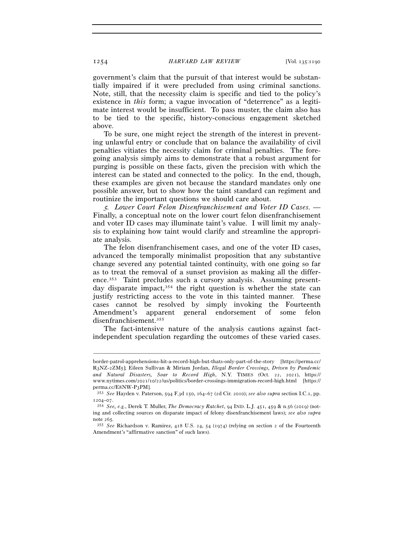government's claim that the pursuit of that interest would be substantially impaired if it were precluded from using criminal sanctions. Note, still, that the necessity claim is specific and tied to the policy's existence in *this* form; a vague invocation of "deterrence" as a legitimate interest would be insufficient. To pass muster, the claim also has to be tied to the specific, history-conscious engagement sketched above.

To be sure, one might reject the strength of the interest in preventing unlawful entry or conclude that on balance the availability of civil penalties vitiates the necessity claim for criminal penalties. The foregoing analysis simply aims to demonstrate that a robust argument for purging is possible on these facts, given the precision with which the interest can be stated and connected to the policy. In the end, though, these examples are given not because the standard mandates only one possible answer, but to show how the taint standard can regiment and routinize the important questions we should care about.

<sup>5</sup>*. Lower Court Felon Disenfranchisement and Voter ID Cases. —*  Finally, a conceptual note on the lower court felon disenfranchisement and voter ID cases may illuminate taint's value. I will limit my analysis to explaining how taint would clarify and streamline the appropriate analysis.

The felon disenfranchisement cases, and one of the voter ID cases, advanced the temporally minimalist proposition that any substantive change severed any potential tainted continuity, with one going so far as to treat the removal of a sunset provision as making all the difference.353 Taint precludes such a cursory analysis. Assuming presentday disparate impact,<sup>354</sup> the right question is whether the state can justify restricting access to the vote in this tainted manner. These cases cannot be resolved by simply invoking the Fourteenth Amendment's apparent general endorsement of some felon disenfranchisement.355

The fact-intensive nature of the analysis cautions against factindependent speculation regarding the outcomes of these varied cases.

border-patrol-apprehensions-hit-a-record-high-but-thats-only-part-of-the-story [https://perma.cc/ R3NZ-2ZM5]; Eileen Sullivan & Miriam Jordan, *Illegal Border Crossings, Driven by Pandemic and Natural Disasters, Soar to Record High*, N.Y. TIMES (Oct. 22, 2021), https:// www.nytimes.com/2021/10/22/us/politics/border-crossings-immigration-record-high.html [https:// perma.cc/E8NW-P3PM].

perma.cc/E8NW-P<sup>3</sup>PM]. 353 *See* Hayden v. Paterson, 594 F.3d 150, 164–67 (2d Cir. 2010); *see also supra* section I.C.1, pp. <sup>1204</sup>–<sup>07</sup>. 354 *See, e.g.*, Derek T. Muller, *The Democracy Ratchet*, 94 IND. L.J. 451, 459 & n.56 (2019) (not-

ing and collecting sources on disparate impact of felony disenfranchisement laws); *see also supra* note 265*.*

<sup>355</sup> *See* Richardson v. Ramirez, 418 U.S. 24, 54 (1974) (relying on section 2 of the Fourteenth Amendment's "affirmative sanction" of such laws).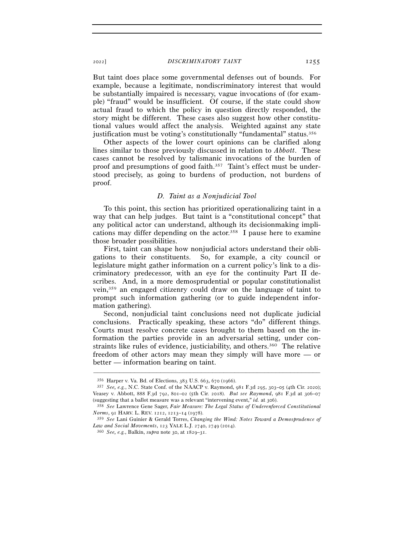But taint does place some governmental defenses out of bounds. For example, because a legitimate, nondiscriminatory interest that would be substantially impaired is necessary, vague invocations of (for example) "fraud" would be insufficient. Of course, if the state could show actual fraud to which the policy in question directly responded, the story might be different. These cases also suggest how other constitutional values would affect the analysis. Weighted against any state justification must be voting's constitutionally "fundamental" status.<sup>356</sup>

Other aspects of the lower court opinions can be clarified along lines similar to those previously discussed in relation to *Abbott*. These cases cannot be resolved by talismanic invocations of the burden of proof and presumptions of good faith.<sup>357</sup> Taint's effect must be understood precisely, as going to burdens of production, not burdens of proof.

# *D. Taint as a Nonjudicial Tool*

To this point, this section has prioritized operationalizing taint in a way that can help judges. But taint is a "constitutional concept" that any political actor can understand, although its decisionmaking implications may differ depending on the actor.358 I pause here to examine those broader possibilities.

First, taint can shape how nonjudicial actors understand their obligations to their constituents. So, for example, a city council or legislature might gather information on a current policy's link to a discriminatory predecessor, with an eye for the continuity Part II describes. And, in a more demosprudential or popular constitutionalist vein,359 an engaged citizenry could draw on the language of taint to prompt such information gathering (or to guide independent information gathering).

Second, nonjudicial taint conclusions need not duplicate judicial conclusions. Practically speaking, these actors "do" different things. Courts must resolve concrete cases brought to them based on the information the parties provide in an adversarial setting, under constraints like rules of evidence, justiciability, and others.<sup>360</sup> The relative freedom of other actors may mean they simply will have more — or better — information bearing on taint.

<sup>356</sup> Harper v. Va. Bd. of Elections, 383 U.S. 663, 670 (<sup>1966</sup>). 357 *See, e.g.*, N.C. State Conf. of the NAACP v. Raymond, 981 F.3d 295, 303–05 (4th Cir. 2020); Veasey v. Abbott, 888 F.3d 792, 801–02 (5th Cir. 2018). *But see Raymond*, 981 F.3d at 306–07 (suggesting that a ballot measure was a relevant "intervening event," *id.* at 306).

<sup>358</sup> *See* Lawrence Gene Sager, *Fair Measure: The Legal Status of Underenforced Constitutional Norms*, 91 HARV. L. REV. 1212, 1213–14 (1978).

<sup>359</sup> *See* Lani Guinier & Gerald Torres, *Changing the Wind: Notes Toward a Demosprudence of Law and Social Movements*, 123 YALE L.J. 2740, 2749 (<sup>2014</sup>). 360 *See, e.g.*, Balkin, *supra* note 30, at 1829–31.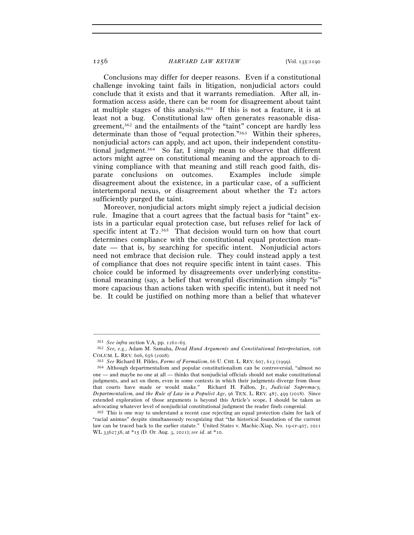Conclusions may differ for deeper reasons. Even if a constitutional challenge invoking taint fails in litigation, nonjudicial actors could conclude that it exists and that it warrants remediation. After all, information access aside, there can be room for disagreement about taint at multiple stages of this analysis.361 If this is not a feature, it is at least not a bug. Constitutional law often generates reasonable disagreement,362 and the entailments of the "taint" concept are hardly less determinate than those of "equal protection."363 Within their spheres, nonjudicial actors can apply, and act upon, their independent constitutional judgment.364 So far, I simply mean to observe that different actors might agree on constitutional meaning and the approach to divining compliance with that meaning and still reach good faith, disparate conclusions on outcomes. Examples include simple disagreement about the existence, in a particular case, of a sufficient intertemporal nexus, or disagreement about whether the T2 actors sufficiently purged the taint.

Moreover, nonjudicial actors might simply reject a judicial decision rule. Imagine that a court agrees that the factual basis for "taint" exists in a particular equal protection case, but refuses relief for lack of specific intent at  $T_2$ <sup>365</sup>. That decision would turn on how that court determines compliance with the constitutional equal protection mandate — that is, by searching for specific intent. Nonjudicial actors need not embrace that decision rule. They could instead apply a test of compliance that does not require specific intent in taint cases. This choice could be informed by disagreements over underlying constitutional meaning (say, a belief that wrongful discrimination simply "is" more capacious than actions taken with specific intent), but it need not be. It could be justified on nothing more than a belief that whatever

<sup>361</sup> *See infra* section V.A, pp. 1261–<sup>65</sup>. 362 *See, e.g.*, Adam M. Samaha, *Dead Hand Arguments and Constitutional Interpretation*, <sup>108</sup> COLUM. L. REV. 606, 656 (2008).

<sup>363</sup> *See* Richard H. Pildes, *Forms of Formalism*, 66 U. CHI. L. REV. 607, 613 (<sup>1999</sup>). 364 Although departmentalism and popular constitutionalism can be controversial, "almost no one — and maybe no one at all — thinks that nonjudicial officials should not make constitutional judgments, and act on them, even in some contexts in which their judgments diverge from those that courts have made or would make." Richard H. Fallon, Jr., *Judicial Supremacy, Departmentalism, and the Rule of Law in a Populist Age*, 96 TEX. L. REV. 487, 499 (2018). Since extended exploration of those arguments is beyond this Article's scope, I should be taken as advocating whatever level of nonjudicial constitutional judgment the reader finds congenial.

<sup>365</sup> This is one way to understand a recent case rejecting an equal protection claim for lack of "racial animus" despite simultaneously recognizing that "the historical foundation of the current law can be traced back to the earlier statute." United States v. Machic-Xiap, No. 19-cr-407, 2021 WL 3362738, at \*15 (D. Or. Aug. 3, 2021); *see id.* at \*10.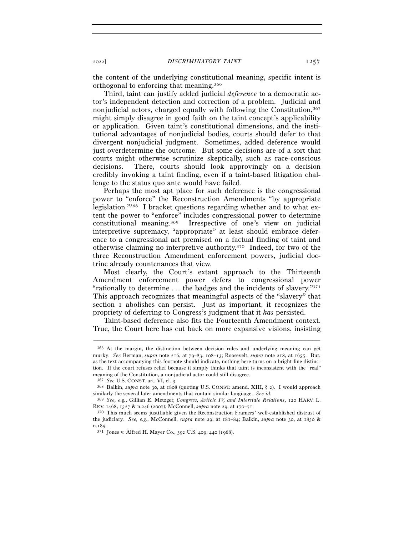the content of the underlying constitutional meaning, specific intent is orthogonal to enforcing that meaning.366

Third, taint can justify added judicial *deference* to a democratic actor's independent detection and correction of a problem. Judicial and nonjudicial actors, charged equally with following the Constitution,367 might simply disagree in good faith on the taint concept's applicability or application. Given taint's constitutional dimensions, and the institutional advantages of nonjudicial bodies, courts should defer to that divergent nonjudicial judgment. Sometimes, added deference would just overdetermine the outcome. But some decisions are of a sort that courts might otherwise scrutinize skeptically, such as race-conscious decisions. There, courts should look approvingly on a decision credibly invoking a taint finding, even if a taint-based litigation challenge to the status quo ante would have failed.

Perhaps the most apt place for such deference is the congressional power to "enforce" the Reconstruction Amendments "by appropriate legislation."368 I bracket questions regarding whether and to what extent the power to "enforce" includes congressional power to determine constitutional meaning.369 Irrespective of one's view on judicial interpretive supremacy, "appropriate" at least should embrace deference to a congressional act premised on a factual finding of taint and otherwise claiming no interpretive authority.370 Indeed, for two of the three Reconstruction Amendment enforcement powers, judicial doctrine already countenances that view.

Most clearly, the Court's extant approach to the Thirteenth Amendment enforcement power defers to congressional power "rationally to determine . . . the badges and the incidents of slavery."371 This approach recognizes that meaningful aspects of the "slavery" that section 1 abolishes can persist. Just as important, it recognizes the propriety of deferring to Congress's judgment that it *has* persisted.

Taint-based deference also fits the Fourteenth Amendment context. True, the Court here has cut back on more expansive visions, insisting

<sup>366</sup> At the margin, the distinction between decision rules and underlying meaning can get murky. *See* Berman, *supra* note 216, at 79–83, 108–13; Roosevelt, *supra* note 218, at 1655. But, as the text accompanying this footnote should indicate, nothing here turns on a bright-line distinction. If the court refuses relief because it simply thinks that taint is inconsistent with the "real" meaning of the Constitution, a nonjudicial actor could still disagree.

<sup>367</sup> *See* U.S. CONST. art. VI, cl. <sup>3</sup>. 368 Balkin, *supra* note 30, at 1808 (quoting U.S. CONST. amend. XIII, § 2). I would approach similarly the several later amendments that contain similar language. *See id.* 

<sup>369</sup> *See, e.g.*, Gillian E. Metzger, *Congress, Article IV, and Interstate Relations*, 120 HARV. L. REV. <sup>1468</sup>, 1527 & n.246 (2007); McConnell, *supra* note 29, at 170–<sup>71</sup>. 370 This much seems justifiable given the Reconstruction Framers' well-established distrust of

the judiciary. *See, e.g.*, McConnell, *supra* note 29, at 181–84; Balkin, *supra* note 30, at 1850 & n.<sup>185</sup>. 371 Jones v. Alfred H. Mayer Co., 392 U.S. 409, 440 (1968).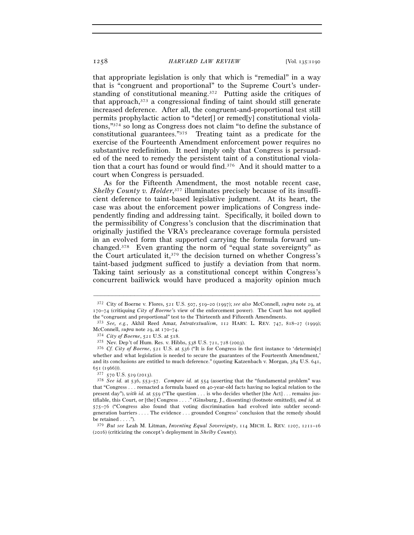that appropriate legislation is only that which is "remedial" in a way that is "congruent and proportional" to the Supreme Court's understanding of constitutional meaning.372 Putting aside the critiques of that approach,373 a congressional finding of taint should still generate increased deference. After all, the congruent-and-proportional test still permits prophylactic action to "deter[] or remed[y] constitutional violations,"374 so long as Congress does not claim "to define the substance of constitutional guarantees."375 Treating taint as a predicate for the exercise of the Fourteenth Amendment enforcement power requires no substantive redefinition. It need imply only that Congress is persuaded of the need to remedy the persistent taint of a constitutional violation that a court has found or would find.376 And it should matter to a court when Congress is persuaded.

As for the Fifteenth Amendment, the most notable recent case, Shelby County v. Holder,<sup>377</sup> illuminates precisely because of its insufficient deference to taint-based legislative judgment. At its heart, the case was about the enforcement power implications of Congress independently finding and addressing taint. Specifically, it boiled down to the permissibility of Congress's conclusion that the discrimination that originally justified the VRA's preclearance coverage formula persisted in an evolved form that supported carrying the formula forward unchanged.<sup>378</sup> Even granting the norm of "equal state sovereignty" as the Court articulated it,379 the decision turned on whether Congress's taint-based judgment sufficed to justify a deviation from that norm. Taking taint seriously as a constitutional concept within Congress's concurrent bailiwick would have produced a majority opinion much

<sup>372</sup> City of Boerne v. Flores, 521 U.S. 507, 519–20 (1997); *see also* McConnell, *supra* note 29, at 170–74 (critiquing *City of Boerne*'s view of the enforcement power). The Court has not applied the "congruent and proportional" test to the Thirteenth and Fifteenth Amendments.

<sup>373</sup> *See, e.g.*, Akhil Reed Amar, *Intratextualism*, 112 HARV. L. REV. 747, 818–27 (1999); McConnell, *supra* note 29, at 170–<sup>74</sup>. 374 *City of Boerne*, 521 U.S. at 518.

<sup>375</sup> Nev. Dep't of Hum. Res. v. Hibbs, 538 U.S. 721, 728 (<sup>2003</sup>). 376 *Cf. City of Boerne*, 521 U.S. at 536 ("It is for Congress in the first instance to 'determin[e] whether and what legislation is needed to secure the guarantees of the Fourteenth Amendment,' and its conclusions are entitled to much deference." (quoting Katzenbach v. Morgan, 384 U.S. 641, <sup>651</sup> (<sup>1966</sup>))). 377 <sup>570</sup> U.S. 529 (<sup>2013</sup>). 378 *See id.* at 536, 553–57. *Compare id.* at 554 (asserting that the "fundamental problem" was

that "Congress . . . reenacted a formula based on 40-year-old facts having no logical relation to the present day"), *with id.* at 559 ("The question . . . is who decides whether [the Act] . . . remains justifiable, this Court, or [the] Congress . . . ." (Ginsburg, J., dissenting) (footnote omitted)), *and id.* at 575–76 ("Congress also found that voting discrimination had evolved into subtler secondgeneration barriers . . . . The evidence . . . grounded Congress' conclusion that the remedy should be retained  $\dots$ .").

<sup>379</sup> *But see* Leah M. Litman, *Inventing Equal Sovereignty*, 114 MICH. L. REV. 1207, 1211–16 (2016) (criticizing the concept's deployment in *Shelby County*).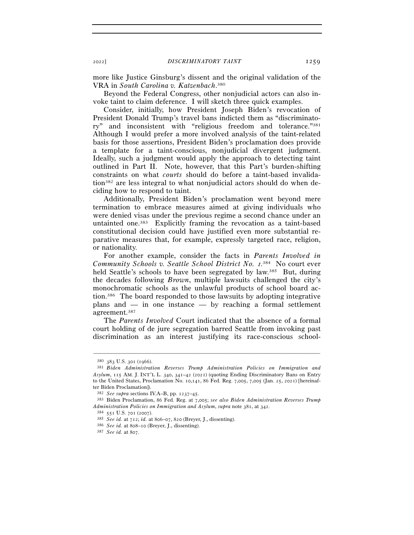more like Justice Ginsburg's dissent and the original validation of the VRA in *South Carolina v. Katzenbach*. 380

Beyond the Federal Congress, other nonjudicial actors can also invoke taint to claim deference. I will sketch three quick examples.

Consider, initially, how President Joseph Biden's revocation of President Donald Trump's travel bans indicted them as "discriminatory" and inconsistent with "religious freedom and tolerance."381 Although I would prefer a more involved analysis of the taint-related basis for those assertions, President Biden's proclamation does provide a template for a taint-conscious, nonjudicial divergent judgment. Ideally, such a judgment would apply the approach to detecting taint outlined in Part II. Note, however, that this Part's burden-shifting constraints on what *courts* should do before a taint-based invalidation382 are less integral to what nonjudicial actors should do when deciding how to respond to taint.

Additionally, President Biden's proclamation went beyond mere termination to embrace measures aimed at giving individuals who were denied visas under the previous regime a second chance under an untainted one.383 Explicitly framing the revocation as a taint-based constitutional decision could have justified even more substantial reparative measures that, for example, expressly targeted race, religion, or nationality.

For another example, consider the facts in *Parents Involved in*  Community Schools v. Seattle School District No. 1.<sup>384</sup> No court ever held Seattle's schools to have been segregated by law.<sup>385</sup> But, during the decades following *Brown*, multiple lawsuits challenged the city's monochromatic schools as the unlawful products of school board action.386 The board responded to those lawsuits by adopting integrative plans and — in one instance — by reaching a formal settlement agreement.387

The *Parents Involved* Court indicated that the absence of a formal court holding of de jure segregation barred Seattle from invoking past discrimination as an interest justifying its race-conscious school-

<sup>380</sup> <sup>383</sup> U.S. 301 (<sup>1966</sup>). 381 *Biden Administration Reverses Trump Administration Policies on Immigration and Asylum*, 115 AM. J. INT'L L. 340, 341–42 (2021) (quoting Ending Discriminatory Bans on Entry to the United States, Proclamation No. 10,141, 86 Fed. Reg. 7,005, 7,005 (Jan. 25, 2021) [hereinafter Biden Proclamation]).

<sup>382</sup> *See supra* sections IV.A–B, pp. 1237–<sup>45</sup>. 383 Biden Proclamation, 86 Fed. Reg. at 7,005; *see also Biden Administration Reverses Trump Administration Policies on Immigration and Asylum, supra* note 381, at 342.<br><sup>384</sup> 551 U.S. 701 (2007).<br><sup>385</sup> *See id.* at 712; *id.* at 806–07, 820 (Breyer, J., dissenting).<br><sup>386</sup> *See id.* at 808–10 (Breyer, J., dissent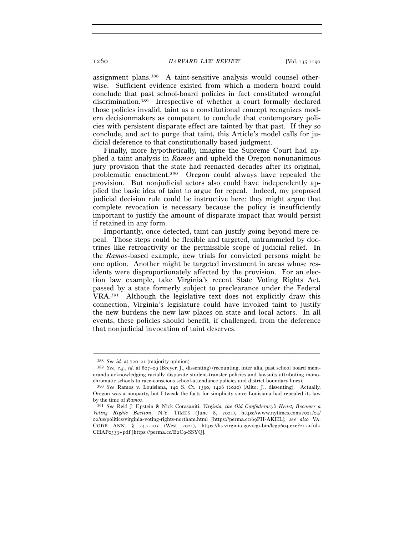assignment plans.388 A taint-sensitive analysis would counsel otherwise. Sufficient evidence existed from which a modern board could conclude that past school-board policies in fact constituted wrongful discrimination.389 Irrespective of whether a court formally declared those policies invalid, taint as a constitutional concept recognizes modern decisionmakers as competent to conclude that contemporary policies with persistent disparate effect are tainted by that past. If they so conclude, and act to purge that taint, this Article's model calls for judicial deference to that constitutionally based judgment.

Finally, more hypothetically, imagine the Supreme Court had applied a taint analysis in *Ramos* and upheld the Oregon nonunanimous jury provision that the state had reenacted decades after its original, problematic enactment.390 Oregon could always have repealed the provision. But nonjudicial actors also could have independently applied the basic idea of taint to argue for repeal. Indeed, my proposed judicial decision rule could be instructive here: they might argue that complete revocation is necessary because the policy is insufficiently important to justify the amount of disparate impact that would persist if retained in any form.

Importantly, once detected, taint can justify going beyond mere repeal. Those steps could be flexible and targeted, untrammeled by doctrines like retroactivity or the permissible scope of judicial relief. In the *Ramos*-based example, new trials for convicted persons might be one option. Another might be targeted investment in areas whose residents were disproportionately affected by the provision. For an election law example, take Virginia's recent State Voting Rights Act, passed by a state formerly subject to preclearance under the Federal VRA.391 Although the legislative text does not explicitly draw this connection, Virginia's legislature could have invoked taint to justify the new burdens the new law places on state and local actors. In all events, these policies should benefit, if challenged, from the deference that nonjudicial invocation of taint deserves.

<sup>388</sup> *See id.* at 720–<sup>21</sup> (majority opinion). 389 *See, e.g.*, *id.* at 807–09 (Breyer, J., dissenting) (recounting, inter alia, past school board memoranda acknowledging racially disparate student-transfer policies and lawsuits attributing mono-

chromatic schools to race-conscious school-attendance policies and district boundary lines). 390 *See* Ramos v. Louisiana, 140 S. Ct. 1390, 1426 (2020) (Alito, J., dissenting). Actually, Oregon was a nonparty, but I tweak the facts for simplicity since Louisiana had repealed its law by the time of *Ramos*. 391 *See* Reid J. Epstein & Nick Corasaniti, *Virginia, the Old Confederacy's Heart, Becomes a* 

*Voting Rights Bastion*, N.Y. TIMES (June 8, 2021), https://www.nytimes.com/2021/04/ 02/us/politics/virginia-voting-rights-northam.html [https://perma.cc/69PH-AKHL]; *see also* VA. CODE ANN. § 24.2-105 (West 2021), https://lis.virginia.gov/cgi-bin/legp604.exe?212+ful+ CHAP0533+pdf [https://perma.cc/B2C9-SSYQ].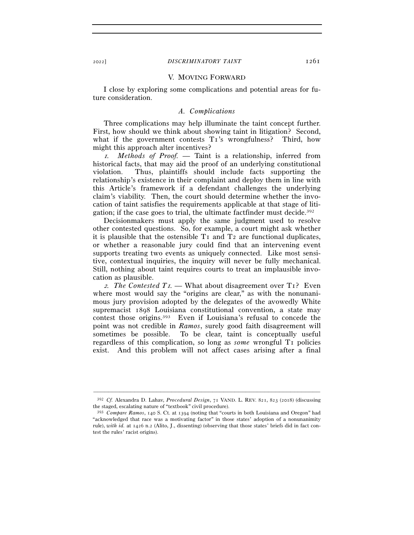#### 2022] *DISCRIMINATORY TAINT* 1261

#### V. MOVING FORWARD

I close by exploring some complications and potential areas for future consideration.

### *A. Complications*

Three complications may help illuminate the taint concept further. First, how should we think about showing taint in litigation? Second, what if the government contests T<sub>1</sub>'s wrongfulness? Third, how might this approach alter incentives?

<sup>1</sup>*. Methods of Proof. —* Taint is a relationship, inferred from historical facts, that may aid the proof of an underlying constitutional violation. Thus, plaintiffs should include facts supporting the relationship's existence in their complaint and deploy them in line with this Article's framework if a defendant challenges the underlying claim's viability. Then, the court should determine whether the invocation of taint satisfies the requirements applicable at that stage of litigation; if the case goes to trial, the ultimate factfinder must decide.392

Decisionmakers must apply the same judgment used to resolve other contested questions. So, for example, a court might ask whether it is plausible that the ostensible  $T_1$  and  $T_2$  are functional duplicates, or whether a reasonable jury could find that an intervening event supports treating two events as uniquely connected. Like most sensitive, contextual inquiries, the inquiry will never be fully mechanical. Still, nothing about taint requires courts to treat an implausible invocation as plausible.

<sup>2</sup>*. The Contested T*1*. —* What about disagreement over T1? Even where most would say the "origins are clear," as with the nonunanimous jury provision adopted by the delegates of the avowedly White supremacist 1898 Louisiana constitutional convention, a state may contest those origins.393 Even if Louisiana's refusal to concede the point was not credible in *Ramos*, surely good faith disagreement will sometimes be possible. To be clear, taint is conceptually useful regardless of this complication, so long as *some* wrongful T1 policies exist. And this problem will not affect cases arising after a final

<sup>–––––––––––––––––––––––––––––––––––––––––––––––––––––––––––––</sup> <sup>392</sup> *Cf.* Alexandra D. Lahav, *Procedural Design*, 71 VAND. L. REV. 821, 823 (2018) (discussing the staged, escalating nature of "textbook" civil procedure).

<sup>393</sup> *Compare Ramos*, 140 S. Ct. at 1394 (noting that "courts in both Louisiana and Oregon" had "acknowledged that race was a motivating factor" in those states' adoption of a nonunanimity rule), *with id.* at 1426 n.2 (Alito, J., dissenting) (observing that those states' briefs did in fact contest the rules' racist origins).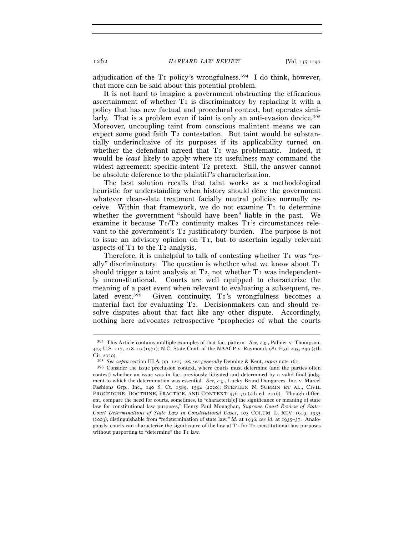1262 *HARVARD LAW REVIEW* [Vol. 135:<sup>1190</sup>

adjudication of the  $T_1$  policy's wrongfulness.<sup>394</sup> I do think, however, that more can be said about this potential problem.

It is not hard to imagine a government obstructing the efficacious ascertainment of whether T1 is discriminatory by replacing it with a policy that has new factual and procedural context, but operates similarly. That is a problem even if taint is only an anti-evasion device.<sup>395</sup> Moreover, uncoupling taint from conscious malintent means we can expect some good faith  $T_2$  contestation. But taint would be substantially underinclusive of its purposes if its applicability turned on whether the defendant agreed that T<sub>I</sub> was problematic. Indeed, it would be *least* likely to apply where its usefulness may command the widest agreement: specific-intent T2 pretext. Still, the answer cannot be absolute deference to the plaintiff's characterization.

The best solution recalls that taint works as a methodological heuristic for understanding when history should deny the government whatever clean-slate treatment facially neutral policies normally receive. Within that framework, we do not examine T1 to determine whether the government "should have been" liable in the past. We examine it because T1/T2 continuity makes T1's circumstances relevant to the government's T2 justificatory burden. The purpose is not to issue an advisory opinion on T1, but to ascertain legally relevant aspects of  $T_1$  to the  $T_2$  analysis.

Therefore, it is unhelpful to talk of contesting whether  $T_1$  was "really" discriminatory. The question is whether what we know about  $T<sub>I</sub>$ should trigger a taint analysis at  $T_2$ , not whether  $T_1$  was independently unconstitutional. Courts are well equipped to characterize the meaning of a past event when relevant to evaluating a subsequent, related event.<sup>396</sup> Given continuity, T<sub>1</sub>'s wrongfulness becomes a material fact for evaluating T2. Decisionmakers can and should resolve disputes about that fact like any other dispute. Accordingly, nothing here advocates retrospective "prophecies of what the courts

<sup>394</sup> This Article contains multiple examples of that fact pattern. *See, e.g.*, Palmer v. Thompson, 403 U.S. 217, 218–19 (1971); N.C. State Conf. of the NAACP v. Raymond, 981 F.3d 295, 299 (4th Cir. 2020).

<sup>395</sup> *See supra* section III.A, pp. 1227–28; *see generally* Denning & Kent, *supra* note <sup>161</sup>. 396 Consider the issue preclusion context, where courts must determine (and the parties often contest) whether an issue was in fact previously litigated and determined by a valid final judgment to which the determination was essential. *See, e.g.*, Lucky Brand Dungarees, Inc. v. Marcel Fashions Grp., Inc., 140 S. Ct. 1589, 1594 (2020); STEPHEN N. SUBRIN ET AL., CIVIL PROCEDURE: DOCTRINE, PRACTICE, AND CONTEXT 976-79 (5th ed. 2016). Though different, compare the need for courts, sometimes, to "characteriz[e] the significance or meaning of state law for constitutional law purposes," Henry Paul Monaghan, *Supreme Court Review of State-Court Determinations of State Law in Constitutional Cases*, 103 COLUM. L. REV. 1919, 1935 (2003), distinguishable from "redetermination of state law," *id.* at 1936; *see id.* at 1935–37. Analogously, courts can characterize the significance of the law at T1 for T2 constitutional law purposes without purporting to "determine" the T1 law.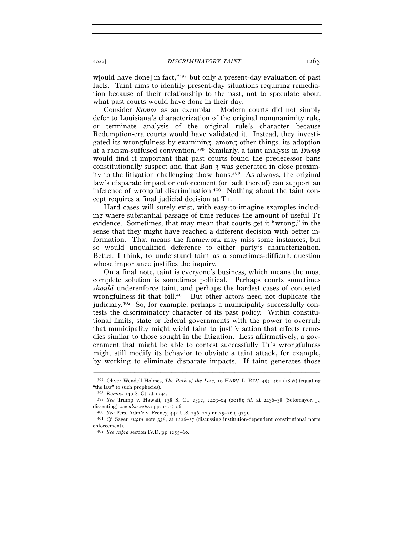<sup>2022</sup>] *DISCRIMINATORY TAINT* 1263

w[ould have done] in fact,"397 but only a present-day evaluation of past facts. Taint aims to identify present-day situations requiring remediation because of their relationship to the past, not to speculate about what past courts would have done in their day.

Consider *Ramos* as an exemplar. Modern courts did not simply defer to Louisiana's characterization of the original nonunanimity rule, or terminate analysis of the original rule's character because Redemption-era courts would have validated it. Instead, they investigated its wrongfulness by examining, among other things, its adoption at a racism-suffused convention.398 Similarly, a taint analysis in *Trump* would find it important that past courts found the predecessor bans constitutionally suspect and that Ban 3 was generated in close proximity to the litigation challenging those bans.399 As always, the original law's disparate impact or enforcement (or lack thereof) can support an inference of wrongful discrimination.400 Nothing about the taint concept requires a final judicial decision at T1.

Hard cases will surely exist, with easy-to-imagine examples including where substantial passage of time reduces the amount of useful T1 evidence. Sometimes, that may mean that courts get it "wrong," in the sense that they might have reached a different decision with better information. That means the framework may miss some instances, but so would unqualified deference to either party's characterization. Better, I think, to understand taint as a sometimes-difficult question whose importance justifies the inquiry.

On a final note, taint is everyone's business, which means the most complete solution is sometimes political. Perhaps courts sometimes *should* underenforce taint, and perhaps the hardest cases of contested wrongfulness fit that bill.<sup>401</sup> But other actors need not duplicate the judiciary.402 So, for example, perhaps a municipality successfully contests the discriminatory character of its past policy. Within constitutional limits, state or federal governments with the power to overrule that municipality might wield taint to justify action that effects remedies similar to those sought in the litigation. Less affirmatively, a government that might be able to contest successfully T1's wrongfulness might still modify its behavior to obviate a taint attack, for example, by working to eliminate disparate impacts. If taint generates those

<sup>–––––––––––––––––––––––––––––––––––––––––––––––––––––––––––––</sup> <sup>397</sup> Oliver Wendell Holmes, *The Path of the Law*, 10 HARV. L. REV. 457, 461 (1897) (equating "the law" to such prophecies).

<sup>398</sup> *Ramos*, 140 S. Ct. at <sup>1394</sup>. 399 *See* Trump v. Hawaii, 138 S. Ct. 2392, 2403–04 (2018); *id.* at 2436–38 (Sotomayor, J., dissenting); see also supra pp. 1205–06.<br>  $^{400}$  See Pers. Adm'r v. Feeney, 442 U.S. 256, 279 nn.25–26 (1979).<br>  $^{401}$  Cf. Sager, supra note 358, at 1226–27 (discussing institution-dependent constitutional norm

enforcement).

<sup>402</sup> *See supra* section IV.D, pp 1255–60.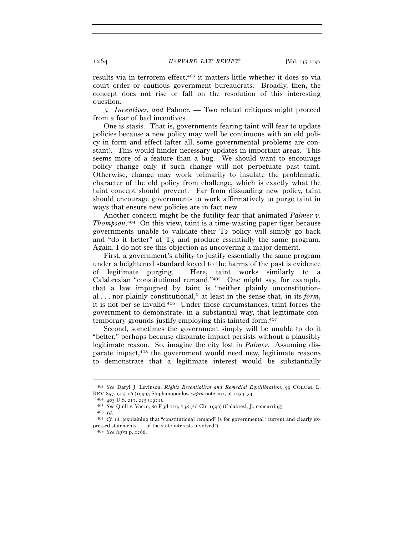results via in terrorem effect,<sup>403</sup> it matters little whether it does so via court order or cautious government bureaucrats. Broadly, then, the concept does not rise or fall on the resolution of this interesting question.

<sup>3</sup>*. Incentives, and* Palmer*. —* Two related critiques might proceed from a fear of bad incentives.

One is stasis. That is, governments fearing taint will fear to update policies because a new policy may well be continuous with an old policy in form and effect (after all, some governmental problems are constant). This would hinder necessary updates in important areas. This seems more of a feature than a bug. We should want to encourage policy change only if such change will not perpetuate past taint. Otherwise, change may work primarily to insulate the problematic character of the old policy from challenge, which is exactly what the taint concept should prevent. Far from dissuading new policy, taint should encourage governments to work affirmatively to purge taint in ways that ensure new policies are in fact new.

Another concern might be the futility fear that animated *Palmer v. Thompson*. 404 On this view, taint is a time-wasting paper tiger because governments unable to validate their T2 policy will simply go back and "do it better" at T3 and produce essentially the same program. Again, I do not see this objection as uncovering a major demerit.

First, a government's ability to justify essentially the same program under a heightened standard keyed to the harms of the past is evidence of legitimate purging. Here, taint works similarly to a Calabresian "constitutional remand."405 One might say, for example, that a law impugned by taint is "neither plainly unconstitutional . . . nor plainly constitutional," at least in the sense that, in its *form*, it is not per se invalid.406 Under those circumstances, taint forces the government to demonstrate, in a substantial way, that legitimate contemporary grounds justify employing this tainted form.407

Second, sometimes the government simply will be unable to do it "better," perhaps because disparate impact persists without a plausibly legitimate reason. So, imagine the city lost in *Palmer*. Assuming disparate impact,408 the government would need new, legitimate reasons to demonstrate that a legitimate interest would be substantially

<sup>–––––––––––––––––––––––––––––––––––––––––––––––––––––––––––––</sup> <sup>403</sup> *See* Daryl J. Levinson, *Rights Essentialism and Remedial Equilibration*, 99 COLUM. L. REV. 857, 905–06 (1999); Stephanopoulos, *supra* note 261, at 1633–<sup>34</sup>. 404 <sup>403</sup> U.S. 217, 225 (<sup>1971</sup>). 405 *See* Quill v. Vacco, 80 F.3d 716, 738 (2d Cir. <sup>1996</sup>) (Calabresi, J., concurring). 406 *Id.* 

<sup>407</sup> *Cf. id.* (explaining that "constitutional remand" is for governmental "current and clearly expressed statements . . . of the state interests involved"). 408 *See infra* p. 1266.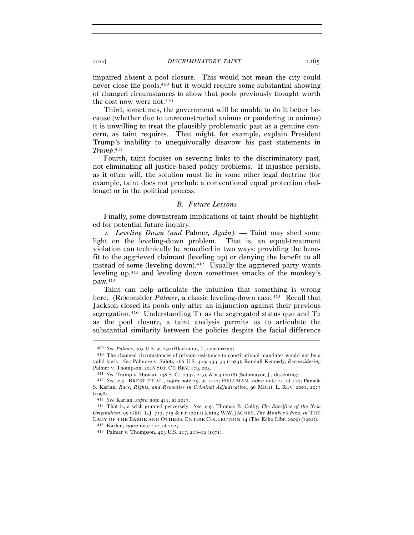impaired absent a pool closure. This would not mean the city could never close the pools,409 but it would require some substantial showing of changed circumstances to show that pools previously thought worth the cost now were not.<sup>410</sup>

Third, sometimes, the government will be unable to do it better because (whether due to unreconstructed animus or pandering to animus) it is unwilling to treat the plausibly problematic past as a genuine concern, as taint requires. That might, for example, explain President Trump's inability to unequivocally disavow his past statements in *Trump*. 411

Fourth, taint focuses on severing links to the discriminatory past, not eliminating all justice-based policy problems. If injustice persists, as it often will, the solution must lie in some other legal doctrine (for example, taint does not preclude a conventional equal protection challenge) or in the political process.

# *B. Future Lessons*

Finally, some downstream implications of taint should be highlighted for potential future inquiry.

<sup>1</sup>*. Leveling Down (and* Palmer*, Again). —* Taint may shed some light on the leveling-down problem. That is, an equal-treatment violation can technically be remedied in two ways: providing the benefit to the aggrieved claimant (leveling up) or denying the benefit to all instead of some (leveling down).412 Usually the aggrieved party wants leveling up,413 and leveling down sometimes smacks of the monkey's paw.414

Taint can help articulate the intuition that something is wrong here. (Re)consider *Palmer*, a classic leveling-down case.<sup>415</sup> Recall that Jackson closed its pools only after an injunction against their previous segregation.<sup>416</sup> Understanding  $T_1$  as the segregated status quo and  $T_2$ as the pool closure, a taint analysis permits us to articulate the substantial similarity between the policies despite the facial difference

<sup>409</sup> *See Palmer*, 403 U.S. at <sup>230</sup> (Blackmun, J., concurring). 410 The changed circumstances of private resistance to constitutional mandates would not be a valid basis. *See* Palmore v. Sidoti, 466 U.S. 429, 433–34 (1984); Randall Kennedy, *Reconsidering* 

<sup>&</sup>lt;sup>411</sup> See Trump v. Hawaii, 138 S. Ct. 2392, 2439 & n.4 (2018) (Sotomayor, J., dissenting).<br><sup>412</sup> See, e.g., BREST ET AL., *supra* note 25, at 1122; HELLMAN, *supra* note 24, at 127; Pamela S. Karlan, *Race, Rights, and Remedies in Criminal Adjudication*, 96 MICH. L. REV. 2001, 2027 (<sup>1998</sup>). 413 *See* Karlan, *supra* note 412, at <sup>2027</sup>. 414 That is, a wish granted perversely. *See, e.g.*, Thomas B. Colby, *The Sacrifice of the New* 

*Originalism*, 99 GEO. L.J. 713, 715 & n.6 (2011) (citing W.W. JACOBS, *The Monkey's Paw*, *in* THE LADY OF THE BARGE AND OTHERS, ENTIRE COLLECTION 14 (The Echo Libr. 2009) (1902)).  $415$  Karlan, *supra* note 412, at 2027.  $416$  Palmer v. Thompson, 403 U.S. 217, 218–19 (1971).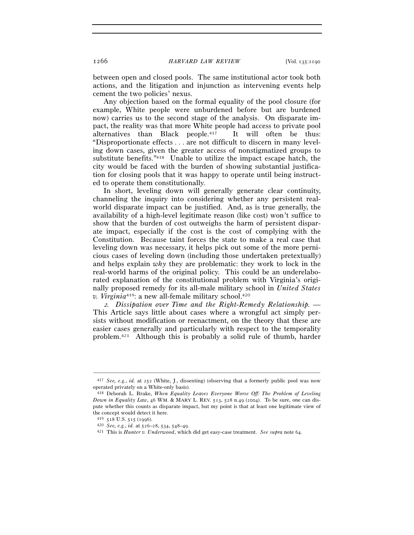between open and closed pools. The same institutional actor took both actions, and the litigation and injunction as intervening events help cement the two policies' nexus.

Any objection based on the formal equality of the pool closure (for example, White people were unburdened before but are burdened now) carries us to the second stage of the analysis. On disparate impact, the reality was that more White people had access to private pool alternatives than Black people.417 It will often be thus: "Disproportionate effects . . . are not difficult to discern in many leveling down cases, given the greater access of nonstigmatized groups to substitute benefits."418 Unable to utilize the impact escape hatch, the city would be faced with the burden of showing substantial justification for closing pools that it was happy to operate until being instructed to operate them constitutionally.

In short, leveling down will generally generate clear continuity, channeling the inquiry into considering whether any persistent realworld disparate impact can be justified. And, as is true generally, the availability of a high-level legitimate reason (like cost) won't suffice to show that the burden of cost outweighs the harm of persistent disparate impact, especially if the cost is the cost of complying with the Constitution. Because taint forces the state to make a real case that leveling down was necessary, it helps pick out some of the more pernicious cases of leveling down (including those undertaken pretextually) and helps explain *why* they are problematic: they work to lock in the real-world harms of the original policy. This could be an underelaborated explanation of the constitutional problem with Virginia's originally proposed remedy for its all-male military school in *United States v. Virginia*<sup>419</sup>: a new all-female military school.<sup>420</sup>

<sup>2</sup>*. Dissipation over Time and the Right-Remedy Relationship. —*  This Article says little about cases where a wrongful act simply persists without modification or reenactment, on the theory that these are easier cases generally and particularly with respect to the temporality problem.421 Although this is probably a solid rule of thumb, harder

<sup>–––––––––––––––––––––––––––––––––––––––––––––––––––––––––––––</sup> <sup>417</sup> *See, e.g.*, *id.* at 252 (White, J., dissenting) (observing that a formerly public pool was now operated privately on a White-only basis).

<sup>418</sup> Deborah L. Brake, *When Equality Leaves Everyone Worse Off: The Problem of Leveling Down in Equality Law*, 46 WM. & MARY L. REV. 513, 528 n.49 (2004). To be sure, one can dispute whether this counts as disparate impact, but my point is that at least one legitimate view of the concept would detect it here.

 $\begin{array}{r} 419 \ \ 518 \ \ 1.5. \ 515 \ \ (1996). \\ 420 \ \ 5ee, \ e.g., \ id. \ \ at \ 526-28, \ 534, \ 548-49. \end{array}$ 

<sup>420</sup> *See, e.g.*, *id.* at 526–28, 534, 548–<sup>49</sup>. 421 This is *Hunter v. Underwood*, which did get easy-case treatment. *See supra* note 64.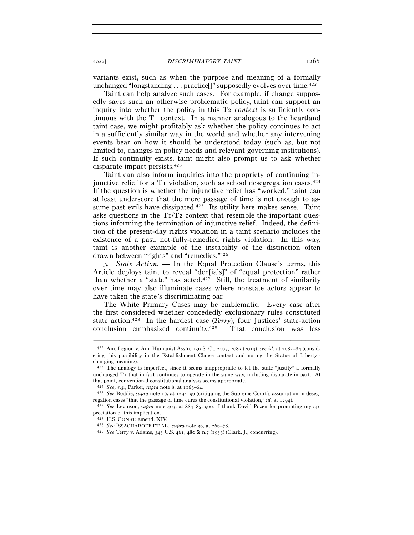<sup>2022</sup>] *DISCRIMINATORY TAINT* 1267

variants exist, such as when the purpose and meaning of a formally unchanged "longstanding . . . practice[]" supposedly evolves over time.<sup>422</sup>

Taint can help analyze such cases. For example, if change supposedly saves such an otherwise problematic policy, taint can support an inquiry into whether the policy in this T2 *context* is sufficiently continuous with the T1 context. In a manner analogous to the heartland taint case, we might profitably ask whether the policy continues to act in a sufficiently similar way in the world and whether any intervening events bear on how it should be understood today (such as, but not limited to, changes in policy needs and relevant governing institutions). If such continuity exists, taint might also prompt us to ask whether disparate impact persists.423

Taint can also inform inquiries into the propriety of continuing injunctive relief for a  $T_1$  violation, such as school desegregation cases.<sup>424</sup> If the question is whether the injunctive relief has "worked," taint can at least underscore that the mere passage of time is not enough to assume past evils have dissipated.<sup>425</sup> Its utility here makes sense. Taint asks questions in the  $T_1/T_2$  context that resemble the important questions informing the termination of injunctive relief. Indeed, the definition of the present-day rights violation in a taint scenario includes the existence of a past, not-fully-remedied rights violation. In this way, taint is another example of the instability of the distinction often drawn between "rights" and "remedies."426

<sup>3</sup>*. State Action. —* In the Equal Protection Clause's terms, this Article deploys taint to reveal "den[ials]" of "equal protection" rather than whether a "state" has acted.427 Still, the treatment of similarity over time may also illuminate cases where nonstate actors appear to have taken the state's discriminating oar.

The White Primary Cases may be emblematic. Every case after the first considered whether concededly exclusionary rules constituted state action.428 In the hardest case (*Terry*), four Justices' state-action conclusion emphasized continuity.429 That conclusion was less

<sup>422</sup> Am. Legion v. Am. Humanist Ass'n, 139 S. Ct. 2067, 2083 (2019); *see id.* at 2082–84 (considering this possibility in the Establishment Clause context and noting the Statue of Liberty's changing meaning).

<sup>423</sup> The analogy is imperfect, since it seems inappropriate to let the state "justify" a formally unchanged T<sub>I</sub> that in fact continues to operate in the same way, including disparate impact. At that point, conventional constitutional analysis seems appropriate.

<sup>424</sup> *See, e.g.*, Parker, *supra* note 8, at 1163–<sup>64</sup>. 425 *See* Boddie, *supra* note 16, at 1294–96 (critiquing the Supreme Court's assumption in desegregation cases "that the passage of time cures the constitutional violation," *id.* at <sup>1294</sup>). 426 *See* Levinson, *supra* note 403, at 884–85, 900. I thank David Pozen for prompting my ap-

preciation of this implication.

<sup>427</sup> U.S. CONST. amend. XIV. 428 *See* ISSACHAROFF ET AL., *supra* note 36, at 266–<sup>78</sup>. 429 *See* Terry v. Adams, 345 U.S. 461, 480 & n.7 (1953) (Clark, J., concurring).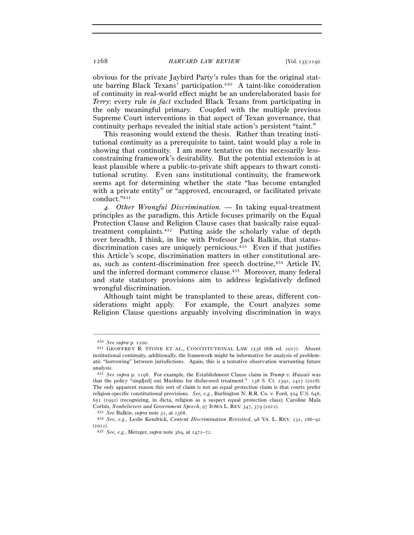1268 *HARVARD LAW REVIEW* [Vol. 135:<sup>1190</sup>

obvious for the private Jaybird Party's rules than for the original statute barring Black Texans' participation.<sup>430</sup> A taint-like consideration of continuity in real-world effect might be an underelaborated basis for *Terry*: every rule *in fact* excluded Black Texans from participating in the only meaningful primary. Coupled with the multiple previous Supreme Court interventions in that aspect of Texan governance, that continuity perhaps revealed the initial state action's persistent "taint."

This reasoning would extend the thesis. Rather than treating institutional continuity as a prerequisite to taint, taint would play a role in showing that continuity. I am more tentative on this necessarily lessconstraining framework's desirability. But the potential extension is at least plausible where a public-to-private shift appears to thwart constitutional scrutiny. Even sans institutional continuity, the framework seems apt for determining whether the state "has become entangled with a private entity" or "approved, encouraged, or facilitated private conduct."431

<sup>4</sup>*. Other Wrongful Discrimination. —* In taking equal-treatment principles as the paradigm, this Article focuses primarily on the Equal Protection Clause and Religion Clause cases that basically raise equaltreatment complaints.432 Putting aside the scholarly value of depth over breadth, I think, in line with Professor Jack Balkin, that statusdiscrimination cases are uniquely pernicious.<sup>433</sup> Even if that justifies this Article's scope, discrimination matters in other constitutional areas, such as content-discrimination free speech doctrine,434 Article IV, and the inferred dormant commerce clause.435 Moreover, many federal and state statutory provisions aim to address legislatively defined wrongful discrimination.

Although taint might be transplanted to these areas, different considerations might apply. For example, the Court analyzes some Religion Clause questions arguably involving discrimination in ways

<sup>430</sup> *See supra* p. <sup>1200</sup>. 431 GEOFFREY R. STONE ET AL., CONSTITUTIONAL LAW <sup>1536</sup> (8th ed. 2017). Absent institutional continuity, additionally, the framework might be informative for analysis of problematic "borrowing" between jurisdictions. Again, this is a tentative observation warranting future analysis.

<sup>432</sup> *See supra* p. 1198. For example, the Establishment Clause claim in *Trump v. Hawaii* was that the policy "singl[ed] out Muslims for disfavored treatment." 138 S. Ct. 2392, 2417 (2018). The only apparent reason this sort of claim is not an equal protection claim is that courts prefer religion-specific constitutional provisions. *See, e.g.*, Burlington N. R.R. Co. v. Ford, 504 U.S. 648, 651 (1992) (recognizing, in dicta, religion as a suspect equal protection class); Caroline Mala Corbin, *Nonbelievers and Government Speech*, 97 IOWA L. REV. 347, 379 (2012).<br><sup>433</sup> See Balkin, *supra* note 31, at 2368.<br><sup>434</sup> See, e.g., Leslie Kendrick, *Content Discrimination Revisited*, 98 VA. L. REV. 231, 286–92

<sup>(</sup><sup>2012</sup>). 435 *See, e.g.*, Metzger, *supra* note 369, at 1471–72.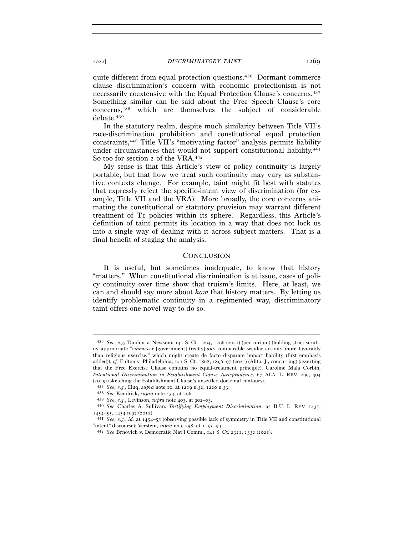quite different from equal protection questions.436 Dormant commerce clause discrimination's concern with economic protectionism is not necessarily coextensive with the Equal Protection Clause's concerns.437 Something similar can be said about the Free Speech Clause's core concerns,438 which are themselves the subject of considerable debate.439

In the statutory realm, despite much similarity between Title VII's race-discrimination prohibition and constitutional equal protection constraints,440 Title VII's "motivating factor" analysis permits liability under circumstances that would not support constitutional liability.441 So too for section 2 of the VRA.442

My sense is that this Article's view of policy continuity is largely portable, but that how we treat such continuity may vary as substantive contexts change. For example, taint might fit best with statutes that expressly reject the specific-intent view of discrimination (for example, Title VII and the VRA). More broadly, the core concerns animating the constitutional or statutory provision may warrant different treatment of T1 policies within its sphere. Regardless, this Article's definition of taint permits its location in a way that does not lock us into a single way of dealing with it across subject matters. That is a final benefit of staging the analysis.

# **CONCLUSION**

It is useful, but sometimes inadequate, to know that history "matters." When constitutional discrimination is at issue, cases of policy continuity over time show that truism's limits. Here, at least, we can and should say more about *how* that history matters. By letting us identify problematic continuity in a regimented way, discriminatory taint offers one novel way to do so.

<sup>436</sup> *See, e.g*, Tandon v. Newsom, 141 S. Ct. 1294, 1296 (2021) (per curiam) (holding strict scrutiny appropriate "*whenever* [government] treat[s] *any* comparable secular activity more favorably than religious exercise," which might create de facto disparate impact liability (first emphasis added)); *cf.* Fulton v. Philadelphia, 141 S. Ct. 1868, 1896–97 (2021) (Alito, J., concurring) (asserting that the Free Exercise Clause contains no equal-treatment principle); Caroline Mala Corbin, *Intentional Discrimination in Establishment Clause Jurisprudence*, 67 ALA. L. REV. 299, 304 (2015) (sketching the Establishment Clause's unsettled doctrinal contours).<br>  $^{437}$  See, e.g., Huq, supra note 10, at 1219 n.32, 1220 n.33.<br>  $^{438}$  See Kendrick, supra note 434, at 296.<br>  $^{439}$  See, e.g., Levinson, sup

<sup>1454</sup>–55, 1454 n.97 (<sup>2012</sup>). 441 *See, e.g.*, *id.* at 1454–55 (observing possible lack of symmetry in Title VII and constitutional

<sup>&</sup>quot;intent" discourse); Verstein, *supra* note 258, at 1155–<sup>59</sup>. 442 *See* Brnovich v. Democratic Nat'l Comm., 141 S. Ct. 2321, 2332 (2021).